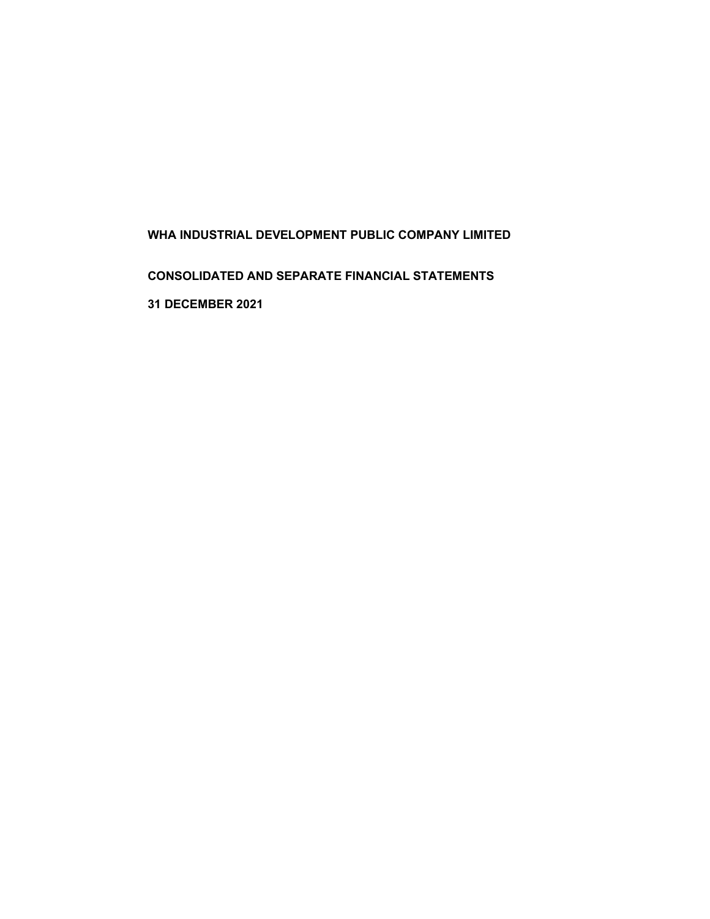# WHA INDUSTRIAL DEVELOPMENT PUBLIC COMPANY LIMITED

CONSOLIDATED AND SEPARATE FINANCIAL STATEMENTS

31 DECEMBER 2021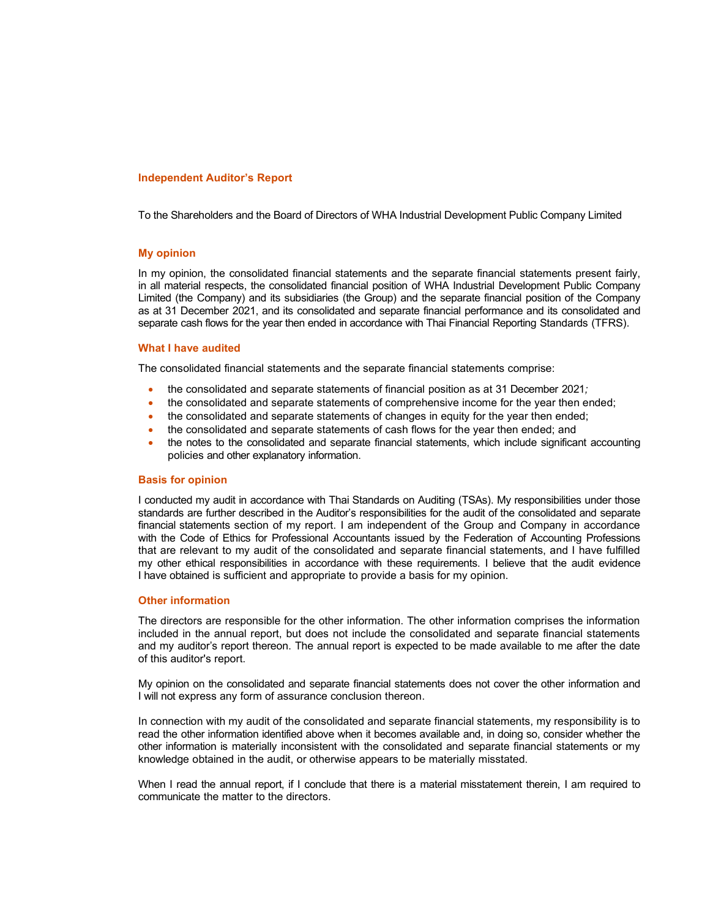#### **Independent Auditor's Report**

To the Shareholders and the Board of Directors of WHA Industrial Development Public Company Limited

#### My opinion

In my opinion, the consolidated financial statements and the separate financial statements present fairly, in all material respects, the consolidated financial position of WHA Industrial Development Public Company Limited (the Company) and its subsidiaries (the Group) and the separate financial position of the Company as at 31 December 2021, and its consolidated and separate financial performance and its consolidated and separate cash flows for the year then ended in accordance with Thai Financial Reporting Standards (TFRS).

#### What I have audited

The consolidated financial statements and the separate financial statements comprise:

- the consolidated and separate statements of financial position as at 31 December 2021;
- the consolidated and separate statements of comprehensive income for the year then ended;
- the consolidated and separate statements of changes in equity for the year then ended;
- the consolidated and separate statements of cash flows for the year then ended; and
- the notes to the consolidated and separate financial statements, which include significant accounting policies and other explanatory information.

#### Basis for opinion

I conducted my audit in accordance with Thai Standards on Auditing (TSAs). My responsibilities under those standards are further described in the Auditor's responsibilities for the audit of the consolidated and separate financial statements section of my report. I am independent of the Group and Company in accordance with the Code of Ethics for Professional Accountants issued by the Federation of Accounting Professions that are relevant to my audit of the consolidated and separate financial statements, and I have fulfilled my other ethical responsibilities in accordance with these requirements. I believe that the audit evidence I have obtained is sufficient and appropriate to provide a basis for my opinion.

#### Other information

The directors are responsible for the other information. The other information comprises the information included in the annual report, but does not include the consolidated and separate financial statements and my auditor's report thereon. The annual report is expected to be made available to me after the date of this auditor's report.

My opinion on the consolidated and separate financial statements does not cover the other information and I will not express any form of assurance conclusion thereon.

In connection with my audit of the consolidated and separate financial statements, my responsibility is to read the other information identified above when it becomes available and, in doing so, consider whether the other information is materially inconsistent with the consolidated and separate financial statements or my knowledge obtained in the audit, or otherwise appears to be materially misstated.

When I read the annual report, if I conclude that there is a material misstatement therein, I am required to communicate the matter to the directors.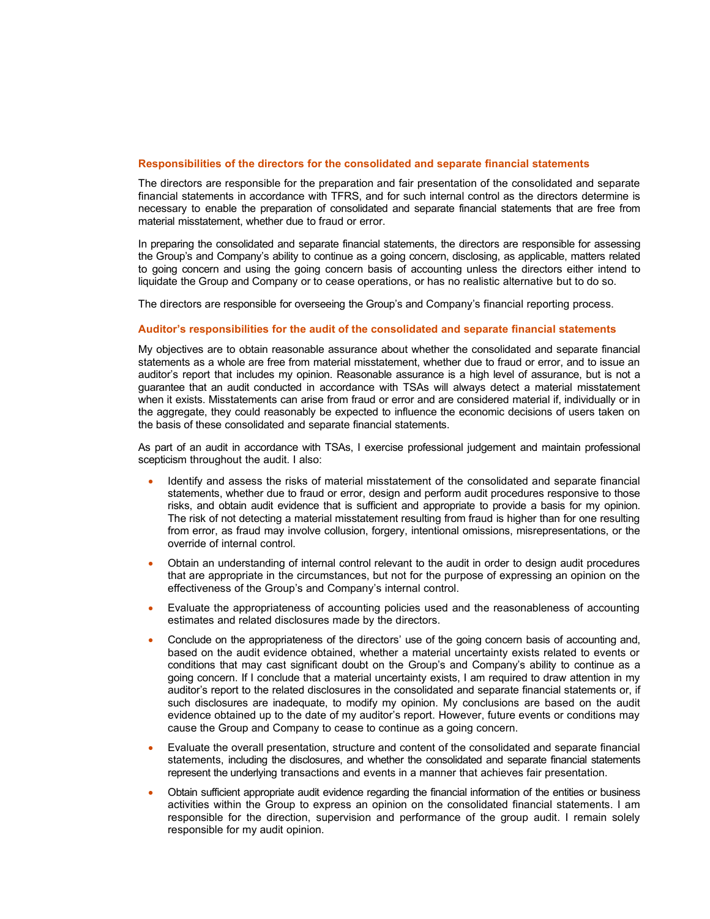#### Responsibilities of the directors for the consolidated and separate financial statements

The directors are responsible for the preparation and fair presentation of the consolidated and separate financial statements in accordance with TFRS, and for such internal control as the directors determine is necessary to enable the preparation of consolidated and separate financial statements that are free from material misstatement, whether due to fraud or error.

In preparing the consolidated and separate financial statements, the directors are responsible for assessing the Group's and Company's ability to continue as a going concern, disclosing, as applicable, matters related to going concern and using the going concern basis of accounting unless the directors either intend to liquidate the Group and Company or to cease operations, or has no realistic alternative but to do so.

The directors are responsible for overseeing the Group's and Company's financial reporting process.

#### Auditor's responsibilities for the audit of the consolidated and separate financial statements

My objectives are to obtain reasonable assurance about whether the consolidated and separate financial statements as a whole are free from material misstatement, whether due to fraud or error, and to issue an auditor's report that includes my opinion. Reasonable assurance is a high level of assurance, but is not a guarantee that an audit conducted in accordance with TSAs will always detect a material misstatement when it exists. Misstatements can arise from fraud or error and are considered material if, individually or in the aggregate, they could reasonably be expected to influence the economic decisions of users taken on the basis of these consolidated and separate financial statements.

As part of an audit in accordance with TSAs, I exercise professional judgement and maintain professional scepticism throughout the audit. I also:

- Identify and assess the risks of material misstatement of the consolidated and separate financial statements, whether due to fraud or error, design and perform audit procedures responsive to those risks, and obtain audit evidence that is sufficient and appropriate to provide a basis for my opinion. The risk of not detecting a material misstatement resulting from fraud is higher than for one resulting from error, as fraud may involve collusion, forgery, intentional omissions, misrepresentations, or the override of internal control.
- Obtain an understanding of internal control relevant to the audit in order to design audit procedures that are appropriate in the circumstances, but not for the purpose of expressing an opinion on the effectiveness of the Group's and Company's internal control.
- Evaluate the appropriateness of accounting policies used and the reasonableness of accounting estimates and related disclosures made by the directors.
- Conclude on the appropriateness of the directors' use of the going concern basis of accounting and, based on the audit evidence obtained, whether a material uncertainty exists related to events or conditions that may cast significant doubt on the Group's and Company's ability to continue as a going concern. If I conclude that a material uncertainty exists, I am required to draw attention in my auditor's report to the related disclosures in the consolidated and separate financial statements or, if such disclosures are inadequate, to modify my opinion. My conclusions are based on the audit evidence obtained up to the date of my auditor's report. However, future events or conditions may cause the Group and Company to cease to continue as a going concern.
- Evaluate the overall presentation, structure and content of the consolidated and separate financial statements, including the disclosures, and whether the consolidated and separate financial statements represent the underlying transactions and events in a manner that achieves fair presentation.
- Obtain sufficient appropriate audit evidence regarding the financial information of the entities or business activities within the Group to express an opinion on the consolidated financial statements. I am responsible for the direction, supervision and performance of the group audit. I remain solely responsible for my audit opinion.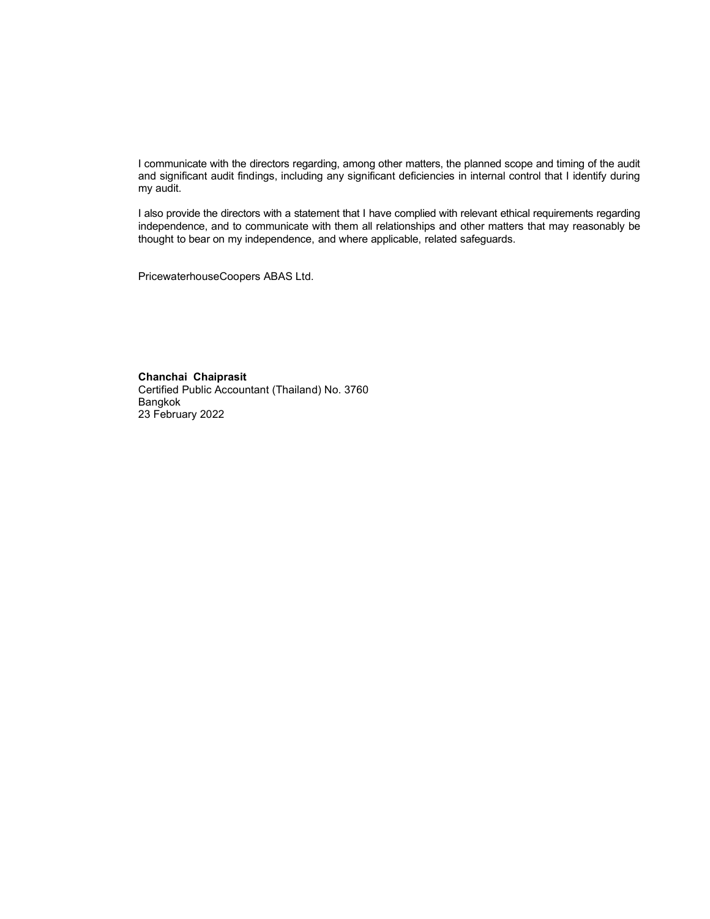I communicate with the directors regarding, among other matters, the planned scope and timing of the audit and significant audit findings, including any significant deficiencies in internal control that I identify during my audit.

I also provide the directors with a statement that I have complied with relevant ethical requirements regarding independence, and to communicate with them all relationships and other matters that may reasonably be thought to bear on my independence, and where applicable, related safeguards.

PricewaterhouseCoopers ABAS Ltd.

Chanchai Chaiprasit Certified Public Accountant (Thailand) No. 3760 Bangkok 23 February 2022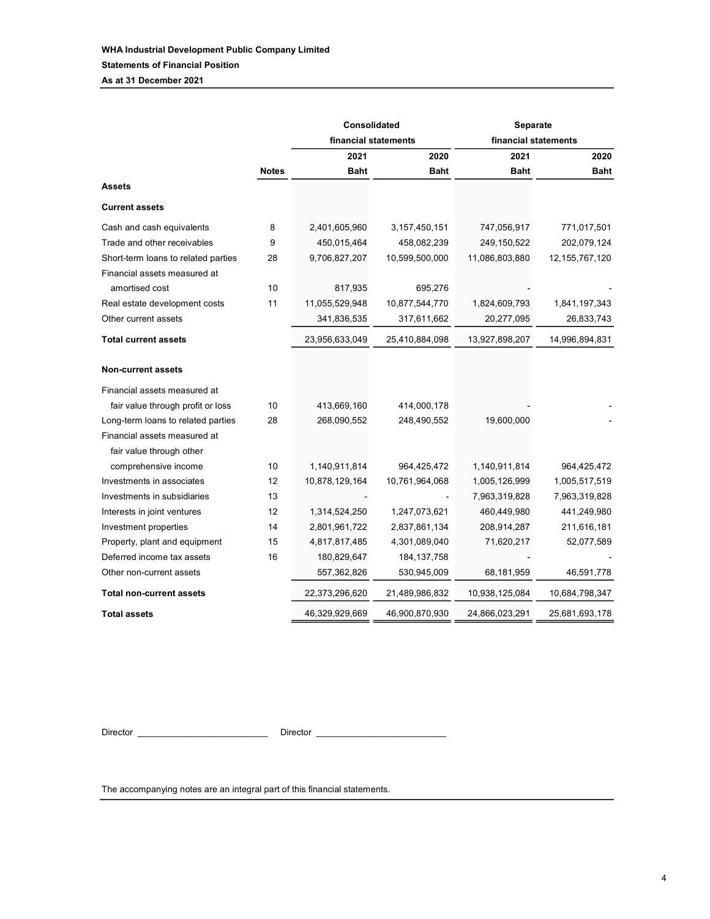# WHA Industrial Development Public Company Limited **Statements of Financial Position**

|  |  |  |  | As at 31 December 2021 |  |
|--|--|--|--|------------------------|--|
|--|--|--|--|------------------------|--|

|                                     |              | <b>Consolidated</b>  |                | Separate             |                   |
|-------------------------------------|--------------|----------------------|----------------|----------------------|-------------------|
|                                     |              | financial statements |                | financial statements |                   |
|                                     |              | 2021                 | 2020           | 2021                 | 2020              |
|                                     | <b>Notes</b> | <b>Baht</b>          | <b>Baht</b>    | <b>Baht</b>          | <b>Baht</b>       |
| <b>Assets</b>                       |              |                      |                |                      |                   |
| <b>Current assets</b>               |              |                      |                |                      |                   |
| Cash and cash equivalents           | 8            | 2,401,605,960        | 3,157,450,151  | 747,056,917          | 771,017,501       |
| Trade and other receivables         | 9            | 450,015,464          | 458,082,239    | 249,150,522          | 202,079,124       |
| Short-term loans to related parties | 28           | 9,706,827,207        | 10,599,500,000 | 11,086,803,880       | 12, 155, 767, 120 |
| Financial assets measured at        |              |                      |                |                      |                   |
| amortised cost                      | 10           | 817,935              | 695,276        |                      |                   |
| Real estate development costs       | 11           | 11,055,529,948       | 10,877,544,770 | 1,824,609,793        | 1,841,197,343     |
| Other current assets                |              | 341,836,535          | 317,611,662    | 20,277,095           | 26,833,743        |
| <b>Total current assets</b>         |              | 23,956,633,049       | 25,410,884,098 | 13,927,898,207       | 14,996,894,831    |
| <b>Non-current assets</b>           |              |                      |                |                      |                   |
| Financial assets measured at        |              |                      |                |                      |                   |
| fair value through profit or loss   | 10           | 413,669,160          | 414,000,178    |                      |                   |
| Long-term loans to related parties  | 28           | 268,090,552          | 248,490,552    | 19,600,000           |                   |
| Financial assets measured at        |              |                      |                |                      |                   |
| fair value through other            |              |                      |                |                      |                   |
| comprehensive income                | 10           | 1,140,911,814        | 964,425,472    | 1,140,911,814        | 964,425,472       |
| Investments in associates           | 12           | 10,878,129,164       | 10,761,964,068 | 1,005,126,999        | 1,005,517,519     |
| Investments in subsidiaries         | 13           |                      |                | 7,963,319,828        | 7,963,319,828     |
| Interests in joint ventures         | 12           | 1,314,524,250        | 1,247,073,621  | 460,449,980          | 441,249,980       |
| Investment properties               | 14           | 2,801,961,722        | 2,837,861,134  | 208,914,287          | 211,616,181       |
| Property, plant and equipment       | 15           | 4,817,817,485        | 4,301,089,040  | 71,620,217           | 52,077,589        |
| Deferred income tax assets          | 16           | 180,829,647          | 184, 137, 758  |                      |                   |
| Other non-current assets            |              | 557,362,826          | 530,945,009    | 68,181,959           | 46,591,778        |
| <b>Total non-current assets</b>     |              | 22,373,296,620       | 21,489,986,832 | 10,938,125,084       | 10,684,798,347    |
| <b>Total assets</b>                 |              | 46,329,929,669       | 46,900,870,930 | 24,866,023,291       | 25,681,693,178    |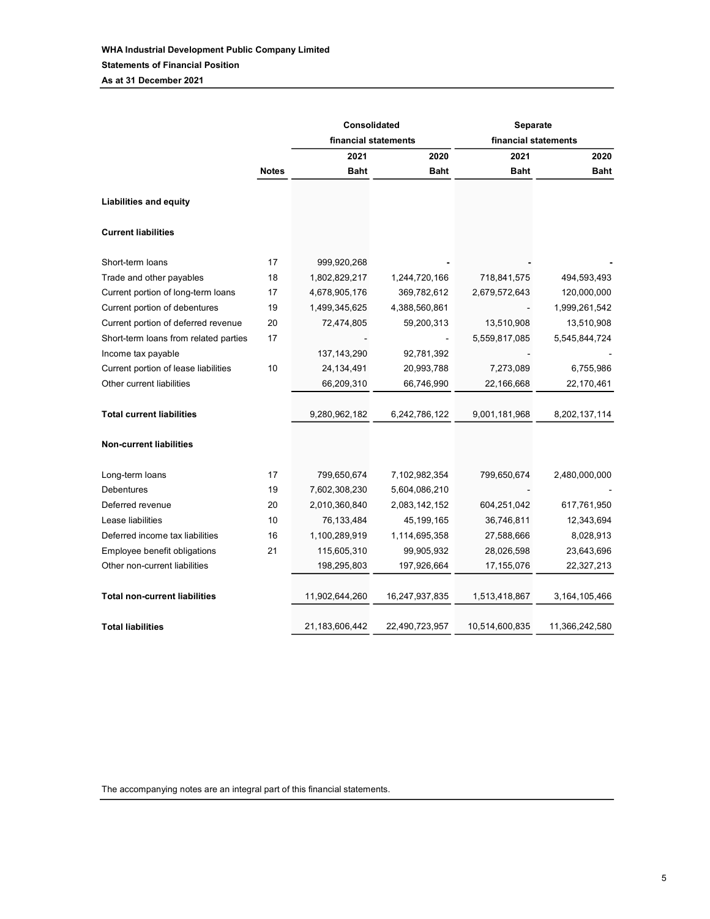|                                       |              |                | <b>Consolidated</b>  | Separate       |                      |
|---------------------------------------|--------------|----------------|----------------------|----------------|----------------------|
|                                       |              |                | financial statements |                | financial statements |
|                                       |              | 2021           | 2020                 | 2021           | 2020                 |
|                                       | <b>Notes</b> | Baht           | <b>Baht</b>          | <b>Baht</b>    | <b>Baht</b>          |
| <b>Liabilities and equity</b>         |              |                |                      |                |                      |
| <b>Current liabilities</b>            |              |                |                      |                |                      |
| Short-term loans                      | 17           | 999,920,268    |                      |                |                      |
| Trade and other payables              | 18           | 1,802,829,217  | 1,244,720,166        | 718,841,575    | 494,593,493          |
| Current portion of long-term loans    | 17           | 4,678,905,176  | 369,782,612          | 2,679,572,643  | 120,000,000          |
| Current portion of debentures         | 19           | 1,499,345,625  | 4,388,560,861        |                | 1,999,261,542        |
| Current portion of deferred revenue   | 20           | 72,474,805     | 59,200,313           | 13,510,908     | 13,510,908           |
| Short-term loans from related parties | 17           |                |                      | 5,559,817,085  | 5,545,844,724        |
| Income tax payable                    |              | 137, 143, 290  | 92,781,392           |                |                      |
| Current portion of lease liabilities  | 10           | 24, 134, 491   | 20,993,788           | 7,273,089      | 6,755,986            |
| Other current liabilities             |              | 66,209,310     | 66,746,990           | 22,166,668     | 22,170,461           |
| <b>Total current liabilities</b>      |              | 9,280,962,182  | 6,242,786,122        | 9,001,181,968  | 8,202,137,114        |
| <b>Non-current liabilities</b>        |              |                |                      |                |                      |
| Long-term loans                       | 17           | 799,650,674    | 7,102,982,354        | 799,650,674    | 2,480,000,000        |
| Debentures                            | 19           | 7,602,308,230  | 5,604,086,210        |                |                      |
| Deferred revenue                      | 20           | 2,010,360,840  | 2,083,142,152        | 604,251,042    | 617,761,950          |
| Lease liabilities                     | 10           | 76,133,484     | 45,199,165           | 36,746,811     | 12,343,694           |
| Deferred income tax liabilities       | 16           | 1,100,289,919  | 1,114,695,358        | 27,588,666     | 8,028,913            |
| Employee benefit obligations          | 21           | 115,605,310    | 99,905,932           | 28,026,598     | 23,643,696           |
| Other non-current liabilities         |              | 198,295,803    | 197,926,664          | 17,155,076     | 22,327,213           |
| <b>Total non-current liabilities</b>  |              | 11,902,644,260 | 16,247,937,835       | 1,513,418,867  | 3,164,105,466        |
| <b>Total liabilities</b>              |              | 21,183,606,442 | 22,490,723,957       | 10,514,600,835 | 11,366,242,580       |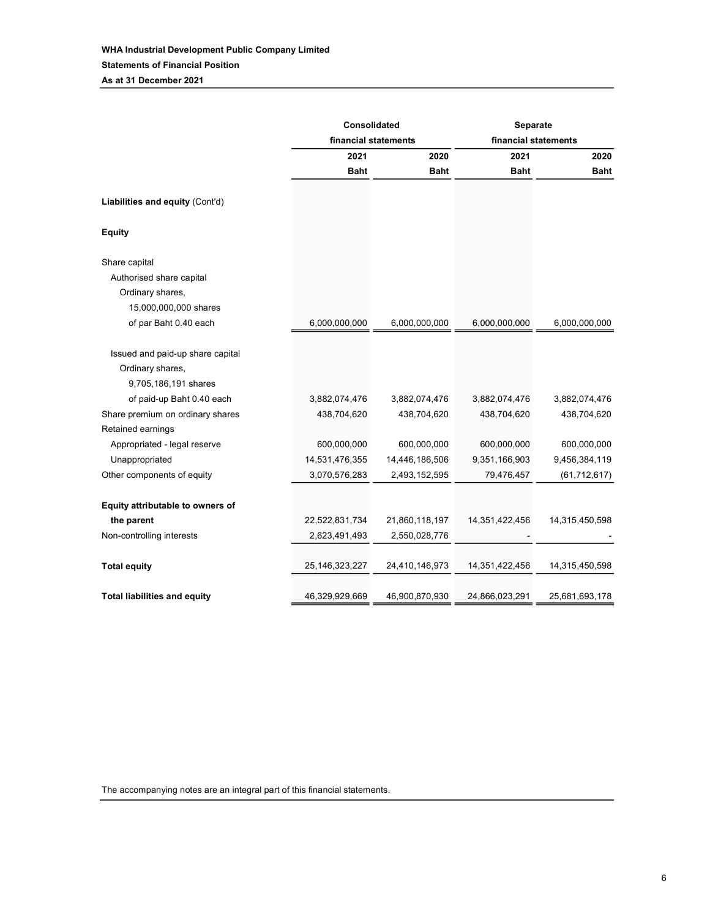|                                     | Consolidated         |                | Separate             |                |
|-------------------------------------|----------------------|----------------|----------------------|----------------|
|                                     | financial statements |                | financial statements |                |
|                                     | 2021                 | 2020           | 2021                 | 2020           |
|                                     | <b>Baht</b>          | <b>Baht</b>    | <b>Baht</b>          | <b>Baht</b>    |
| Liabilities and equity (Cont'd)     |                      |                |                      |                |
|                                     |                      |                |                      |                |
| Equity                              |                      |                |                      |                |
| Share capital                       |                      |                |                      |                |
| Authorised share capital            |                      |                |                      |                |
| Ordinary shares,                    |                      |                |                      |                |
| 15,000,000,000 shares               |                      |                |                      |                |
| of par Baht 0.40 each               | 6,000,000,000        | 6,000,000,000  | 6,000,000,000        | 6,000,000,000  |
| Issued and paid-up share capital    |                      |                |                      |                |
| Ordinary shares,                    |                      |                |                      |                |
| 9,705,186,191 shares                |                      |                |                      |                |
| of paid-up Baht 0.40 each           | 3,882,074,476        | 3,882,074,476  | 3,882,074,476        | 3,882,074,476  |
| Share premium on ordinary shares    | 438,704,620          | 438,704,620    | 438,704,620          | 438,704,620    |
| Retained earnings                   |                      |                |                      |                |
| Appropriated - legal reserve        | 600,000,000          | 600,000,000    | 600,000,000          | 600,000,000    |
| Unappropriated                      | 14,531,476,355       | 14,446,186,506 | 9,351,166,903        | 9,456,384,119  |
| Other components of equity          | 3,070,576,283        | 2,493,152,595  | 79,476,457           | (61, 712, 617) |
|                                     |                      |                |                      |                |
| Equity attributable to owners of    |                      |                |                      |                |
| the parent                          | 22,522,831,734       | 21,860,118,197 | 14,351,422,456       | 14,315,450,598 |
| Non-controlling interests           | 2,623,491,493        | 2,550,028,776  |                      |                |
| <b>Total equity</b>                 | 25, 146, 323, 227    | 24,410,146,973 | 14,351,422,456       | 14,315,450,598 |
| <b>Total liabilities and equity</b> | 46,329,929,669       | 46,900,870,930 | 24,866,023,291       | 25,681,693,178 |
|                                     |                      |                |                      |                |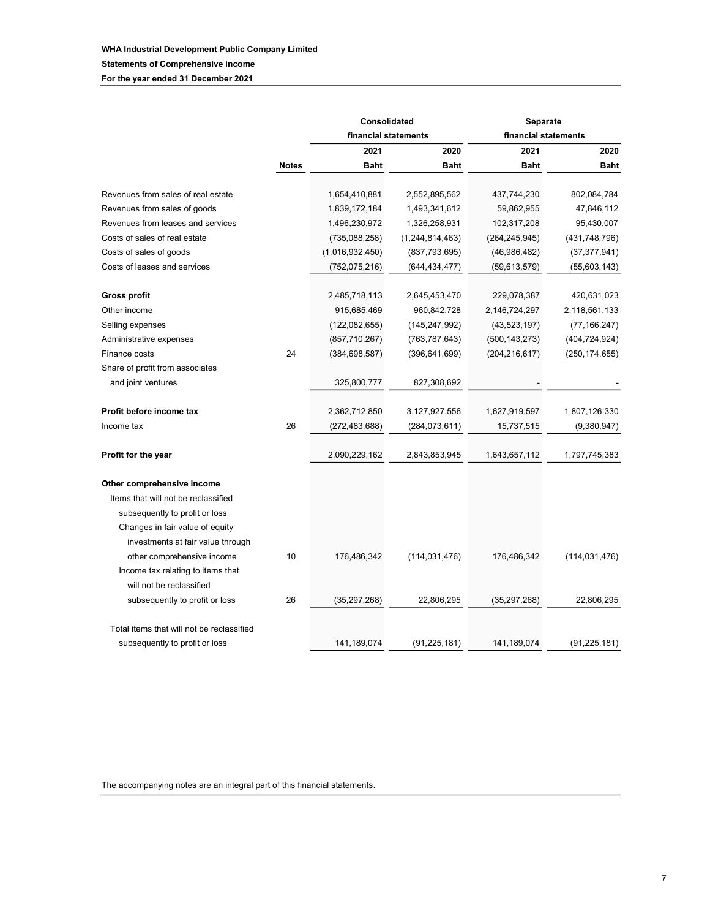# WHA Industrial Development Public Company Limited **Statements of Comprehensive income** For the year ended 31 December 2021

|                                           |              | <b>Consolidated</b>  |                 | Separate             |                 |
|-------------------------------------------|--------------|----------------------|-----------------|----------------------|-----------------|
|                                           |              | financial statements |                 | financial statements |                 |
|                                           |              | 2021                 | 2020            | 2021                 | 2020            |
|                                           | <b>Notes</b> | <b>Baht</b>          | <b>Baht</b>     | <b>Baht</b>          | <b>Baht</b>     |
| Revenues from sales of real estate        |              | 1,654,410,881        | 2,552,895,562   | 437,744,230          | 802,084,784     |
| Revenues from sales of goods              |              | 1,839,172,184        | 1,493,341,612   | 59,862,955           | 47,846,112      |
| Revenues from leases and services         |              | 1,496,230,972        | 1,326,258,931   | 102,317,208          | 95,430,007      |
| Costs of sales of real estate             |              | (735,088,258)        | (1,244,814,463) | (264, 245, 945)      | (431, 748, 796) |
| Costs of sales of goods                   |              | (1,016,932,450)      | (837, 793, 695) | (46,986,482)         | (37, 377, 941)  |
| Costs of leases and services              |              | (752, 075, 216)      | (644, 434, 477) | (59, 613, 579)       | (55,603,143)    |
|                                           |              |                      |                 |                      |                 |
| <b>Gross profit</b>                       |              | 2,485,718,113        | 2,645,453,470   | 229,078,387          | 420,631,023     |
| Other income                              |              | 915,685,469          | 960,842,728     | 2,146,724,297        | 2,118,561,133   |
| Selling expenses                          |              | (122,082,655)        | (145, 247, 992) | (43, 523, 197)       | (77, 166, 247)  |
| Administrative expenses                   |              | (857, 710, 267)      | (763, 787, 643) | (500, 143, 273)      | (404, 724, 924) |
| Finance costs                             | 24           | (384, 698, 587)      | (396, 641, 699) | (204, 216, 617)      | (250, 174, 655) |
| Share of profit from associates           |              |                      |                 |                      |                 |
| and joint ventures                        |              | 325,800,777          | 827,308,692     |                      |                 |
| Profit before income tax                  |              | 2,362,712,850        | 3,127,927,556   | 1,627,919,597        | 1,807,126,330   |
| Income tax                                | 26           | (272, 483, 688)      | (284, 073, 611) | 15,737,515           | (9,380,947)     |
| Profit for the year                       |              | 2,090,229,162        | 2,843,853,945   | 1,643,657,112        | 1,797,745,383   |
| Other comprehensive income                |              |                      |                 |                      |                 |
| Items that will not be reclassified       |              |                      |                 |                      |                 |
| subsequently to profit or loss            |              |                      |                 |                      |                 |
| Changes in fair value of equity           |              |                      |                 |                      |                 |
| investments at fair value through         |              |                      |                 |                      |                 |
| other comprehensive income                | 10           | 176,486,342          | (114, 031, 476) | 176,486,342          | (114, 031, 476) |
| Income tax relating to items that         |              |                      |                 |                      |                 |
| will not be reclassified                  |              |                      |                 |                      |                 |
| subsequently to profit or loss            | 26           | (35, 297, 268)       | 22,806,295      | (35, 297, 268)       | 22,806,295      |
|                                           |              |                      |                 |                      |                 |
| Total items that will not be reclassified |              |                      |                 |                      |                 |
| subsequently to profit or loss            |              | 141.189.074          | (91, 225, 181)  | 141,189,074          | (91, 225, 181)  |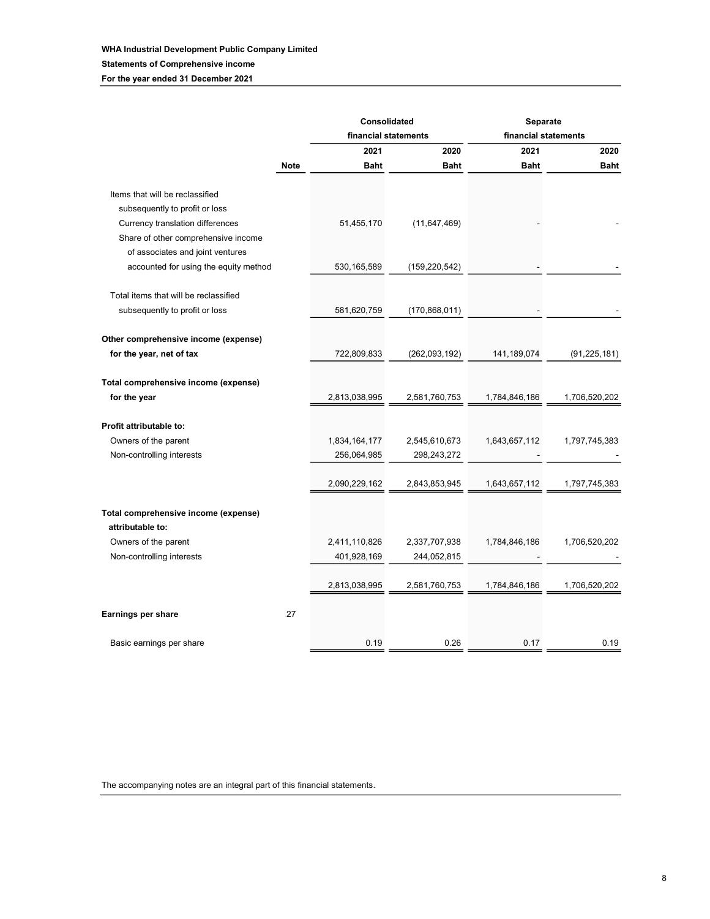# WHA Industrial Development Public Company Limited **Statements of Comprehensive income** For the year ended 31 December 2021

|                                       |             |               | Consolidated         | Separate      |                      |
|---------------------------------------|-------------|---------------|----------------------|---------------|----------------------|
|                                       |             |               | financial statements |               | financial statements |
|                                       |             | 2021          | 2020                 | 2021          | 2020                 |
|                                       | <b>Note</b> | <b>Baht</b>   | <b>Baht</b>          | <b>Baht</b>   | <b>Baht</b>          |
| Items that will be reclassified       |             |               |                      |               |                      |
| subsequently to profit or loss        |             |               |                      |               |                      |
| Currency translation differences      |             | 51,455,170    | (11, 647, 469)       |               |                      |
| Share of other comprehensive income   |             |               |                      |               |                      |
| of associates and joint ventures      |             |               |                      |               |                      |
| accounted for using the equity method |             | 530, 165, 589 | (159, 220, 542)      |               |                      |
| Total items that will be reclassified |             |               |                      |               |                      |
| subsequently to profit or loss        |             | 581,620,759   | (170, 868, 011)      |               |                      |
| Other comprehensive income (expense)  |             |               |                      |               |                      |
| for the year, net of tax              |             | 722,809,833   | (262,093,192)        | 141,189,074   | (91, 225, 181)       |
| Total comprehensive income (expense)  |             |               |                      |               |                      |
| for the year                          |             | 2,813,038,995 | 2,581,760,753        | 1,784,846,186 | 1,706,520,202        |
|                                       |             |               |                      |               |                      |
| Profit attributable to:               |             |               |                      |               |                      |
| Owners of the parent                  |             | 1,834,164,177 | 2,545,610,673        | 1,643,657,112 | 1,797,745,383        |
| Non-controlling interests             |             | 256,064,985   | 298,243,272          |               |                      |
|                                       |             | 2,090,229,162 | 2,843,853,945        | 1,643,657,112 | 1,797,745,383        |
| Total comprehensive income (expense)  |             |               |                      |               |                      |
| attributable to:                      |             |               |                      |               |                      |
| Owners of the parent                  |             | 2,411,110,826 | 2,337,707,938        | 1,784,846,186 | 1,706,520,202        |
| Non-controlling interests             |             | 401,928,169   | 244,052,815          |               |                      |
|                                       |             | 2,813,038,995 | 2,581,760,753        | 1,784,846,186 | 1,706,520,202        |
|                                       |             |               |                      |               |                      |
| <b>Earnings per share</b>             | 27          |               |                      |               |                      |
| Basic earnings per share              |             | 0.19          | 0.26                 | 0.17          | 0.19                 |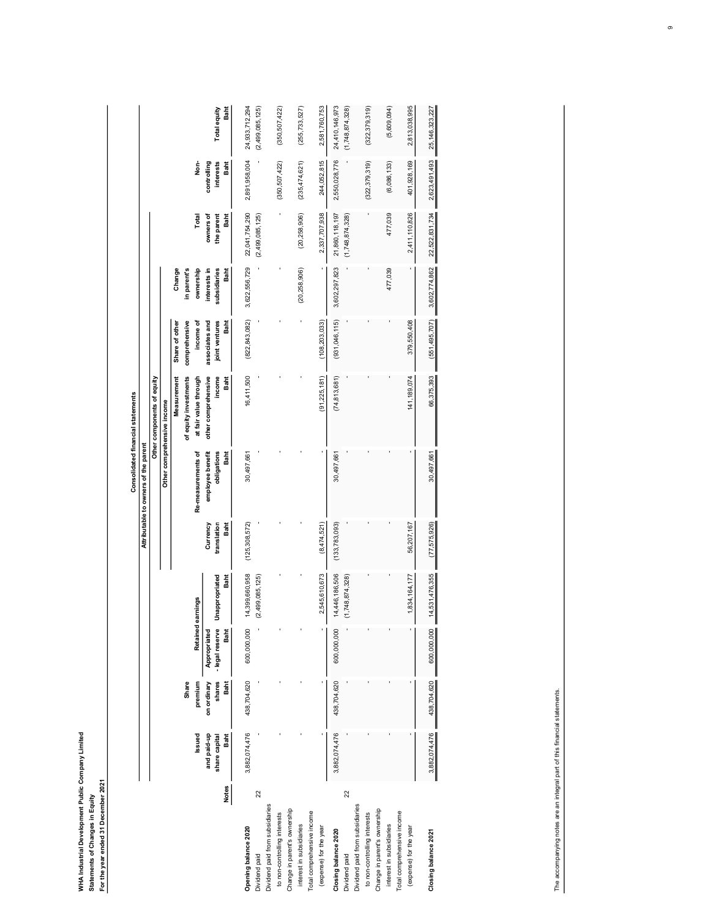WHA Industrial Development Public Company Limited<br>Statements of Changes in Equity<br>For the year ended 31 December 2021

|                                                      |              |                                      |                               |                                        |                        |                                 |                                         | <b>Consolidated financial statements</b> |                                          |                                      |                                 |                                  |                      |
|------------------------------------------------------|--------------|--------------------------------------|-------------------------------|----------------------------------------|------------------------|---------------------------------|-----------------------------------------|------------------------------------------|------------------------------------------|--------------------------------------|---------------------------------|----------------------------------|----------------------|
|                                                      |              |                                      |                               |                                        |                        |                                 | Attributable to owners of the parent    |                                          |                                          |                                      |                                 |                                  |                      |
|                                                      |              |                                      |                               |                                        |                        |                                 |                                         | Other components of equity               |                                          |                                      |                                 |                                  |                      |
|                                                      |              |                                      |                               |                                        |                        |                                 |                                         | Other comprehensive income               |                                          |                                      |                                 |                                  |                      |
|                                                      |              |                                      |                               |                                        |                        |                                 |                                         | Measurement                              | Share of other                           | Change                               |                                 |                                  |                      |
|                                                      |              |                                      | Share                         |                                        |                        |                                 |                                         | of equity investments                    | comprehensive                            | in parent's                          |                                 |                                  |                      |
|                                                      |              | Issued                               | premium                       | Retained                               | earnings               |                                 | Re-measurements of                      | at fair value through                    | income of                                | ownership                            | Total                           | d<br>2                           |                      |
|                                                      | <b>Notes</b> | Baht<br>and paid-up<br>share capital | on ordinary<br>shares<br>Baht | Baht<br>-legal reserve<br>Appropriated | Unappropriated<br>Baht | Baht<br>Currency<br>translation | employee benefit<br>obligations<br>Baht | other comprehensive<br>income<br>Baht    | associates and<br>joint ventures<br>Baht | interests in<br>Baht<br>subsidiaries | owners of<br>Baht<br>the parent | controlling<br>interests<br>Baht | Baht<br>Total equity |
|                                                      |              |                                      |                               |                                        |                        |                                 |                                         |                                          |                                          |                                      |                                 |                                  |                      |
| Opening balance 2020                                 |              | 3,882,074,476                        | 438,704,620                   | 600,000,000                            | 14,399,660,958         | (125, 308, 572)                 | 30,497,661                              | 16,411,500                               | (822, 843, 082)                          | 3,622,556,729                        | 22,041,754,290                  | 2,891,958,004                    | 24,933,712,294       |
| Dividend paid                                        | 22           |                                      |                               |                                        | (2,499,085,125)        |                                 |                                         |                                          |                                          |                                      | (2,499,085,125)                 |                                  | (2,499,085,125)      |
| Dividend paid from subsidiaries                      |              |                                      |                               |                                        |                        |                                 |                                         |                                          |                                          |                                      |                                 |                                  |                      |
| to non-controlling interests                         |              |                                      |                               |                                        |                        |                                 |                                         |                                          |                                          |                                      |                                 | (350, 507, 422)                  | (350, 507, 422)      |
| Change in parent's ownership                         |              |                                      |                               |                                        |                        |                                 |                                         |                                          |                                          |                                      |                                 |                                  |                      |
| interest in subsidiaries                             |              |                                      |                               |                                        |                        |                                 |                                         |                                          |                                          | (20, 258, 906)                       | (20, 258, 906)                  | (235,474,621)                    | (255, 733, 527)      |
| Total comprehensive income<br>(expense) for the year |              |                                      |                               |                                        | 2,545,610,673          | (8,474,521)                     |                                         | (91, 225, 181)                           | (108, 203, 033)                          |                                      | 2,337,707,938                   | 244,052,815                      | 2,581,760,753        |
| Closing balance 2020                                 |              | 3,882,074,476                        | 438,704,620                   | 600,000,000                            | 14,446,186,506         | (133, 783, 093)                 | 30,497,661                              | (74, 813, 681)                           | (931,046,115)                            | 3,602,297,823                        | 21,860,118,197                  | 2,550,028,776                    | 24,410,146,973       |
| Dividend paid                                        | 22           |                                      |                               |                                        | (1,748,874,328)        |                                 |                                         |                                          |                                          |                                      | (1,748,874,328)                 |                                  | (1,748,874,328)      |
| Dividend paid from subsidiaries                      |              |                                      |                               |                                        |                        |                                 |                                         |                                          |                                          |                                      |                                 |                                  |                      |
| to non-controlling interests                         |              |                                      |                               |                                        |                        |                                 |                                         |                                          |                                          |                                      |                                 | (322, 379, 319)                  | (322, 379, 319)      |
| Change in parent's ownership                         |              |                                      |                               |                                        |                        |                                 |                                         |                                          |                                          |                                      |                                 |                                  |                      |
| interest in subsidiaries                             |              |                                      |                               |                                        |                        |                                 |                                         |                                          |                                          | 477,039                              | 477,039                         | (6,086,133)                      | (5,609,094)          |
| Total comprehensive income                           |              |                                      |                               |                                        |                        |                                 |                                         |                                          |                                          |                                      |                                 |                                  |                      |
| (expense) for the year                               |              |                                      |                               |                                        | 1,834,164,177          | 56,207,167                      |                                         | 141, 189, 074                            | 379,550,408                              |                                      | 2,411,110,826                   | 401,928,169                      | 2,813,038,995        |
| Closing balance 2021                                 |              | 3,882,074,476                        | 438,704,620                   | 600,000,000                            | 14,531,476,355         | (77, 575, 926)                  | 30,497,661                              | 66,375,393                               | (551, 495, 707)                          | 3,602,774,862                        | 22,522,831,734                  | 2,623,491,493                    | 25, 146, 323, 227    |
|                                                      |              |                                      |                               |                                        |                        |                                 |                                         |                                          |                                          |                                      |                                 |                                  |                      |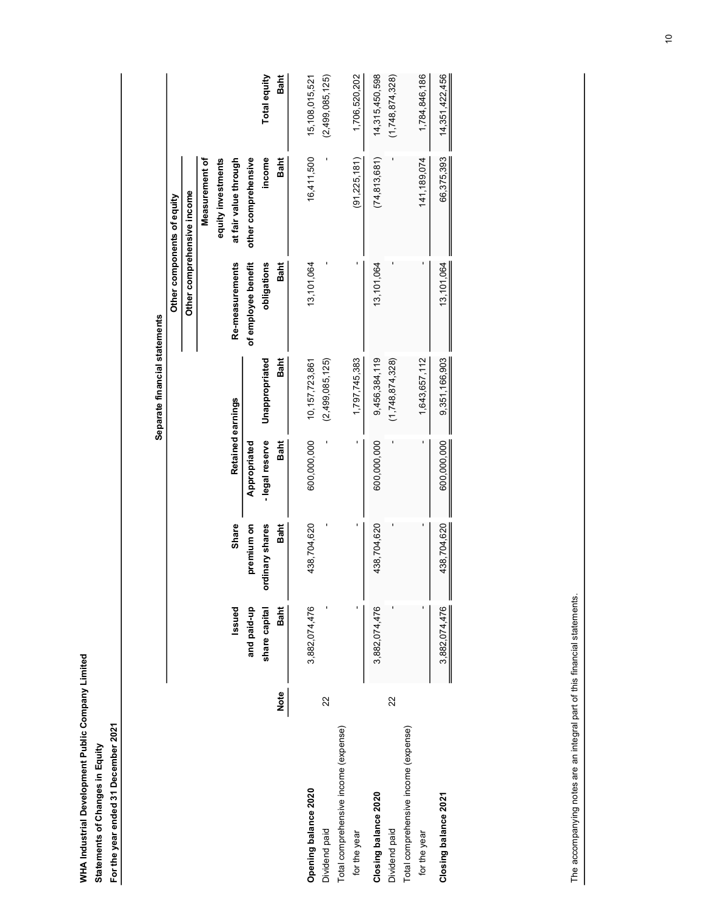|                                      |      |               |                 |                   |                   |                     | Other components of equity |                   |
|--------------------------------------|------|---------------|-----------------|-------------------|-------------------|---------------------|----------------------------|-------------------|
|                                      |      |               |                 |                   |                   |                     | Other comprehensive income |                   |
|                                      |      |               |                 |                   |                   |                     | Measurement of             |                   |
|                                      |      |               |                 |                   |                   |                     | equity investments         |                   |
|                                      |      | Issued        | Share           | Retained earnings |                   | Re-measurements     | at fair value through      |                   |
|                                      |      | and paid-up   | premium on      | Appropriated      |                   | of employee benefit | other comprehensive        |                   |
|                                      |      | share capital | ordinary shares | -legal reserve    | Unappropriated    | obligations         | income                     | Total equity      |
|                                      | Note | Baht          | Baht            | Baht              | Baht              | Baht                | Baht                       | Baht              |
| Opening balance 2020                 |      | 3,882,074,476 | 438,704,620     | 600,000,000       | 10, 157, 723, 861 | 13,101,064          | 16,411,500                 | 15, 108, 015, 521 |
| Dividend paid                        | 22   |               |                 |                   | (2,499,085,125)   |                     |                            | (2,499,085,125)   |
| Total comprehensive income (expense) |      |               |                 |                   |                   |                     |                            |                   |
| for the year                         |      |               |                 |                   | 1,797,745,383     |                     | (91, 225, 181)             | 1,706,520,202     |
| Closing balance 2020                 |      | 3,882,074,476 | 438,704,620     | 600,000,000       | 9,456,384,119     | 13,101,064          | (74, 813, 681)             | 14,315,450,598    |
| Dividend paid                        | 22   |               |                 |                   | (1,748,874,328)   |                     |                            | (1,748,874,328)   |
| Total comprehensive income (expense) |      |               |                 |                   |                   |                     |                            |                   |
| for the year                         |      |               |                 |                   | 1,643,657,112     |                     | 141,189,074                | 1,784,846,186     |
| Closing balance 2021                 |      | 3,882,074,476 | 438,704,620     | 600,000,000       | 9,351,166,903     | 13,101,064          | 66,375,393                 | 14,351,422,456    |

WHA Industrial Development Public Company Limited

For the year ended 31 December 2021 Statements of Changes in Equity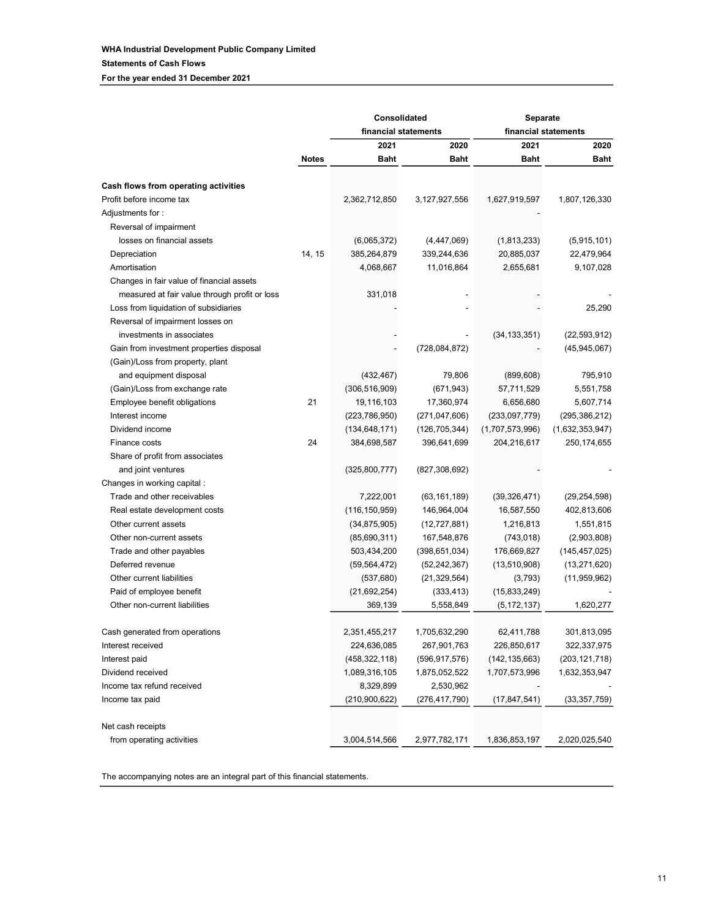|                                               |              | <b>Consolidated</b>  |                 | <b>Separate</b> |                      |
|-----------------------------------------------|--------------|----------------------|-----------------|-----------------|----------------------|
|                                               |              | financial statements |                 |                 | financial statements |
|                                               |              | 2021                 | 2020            | 2021            | 2020                 |
|                                               | <b>Notes</b> | <b>Baht</b>          | <b>Baht</b>     | <b>Baht</b>     | <b>Baht</b>          |
|                                               |              |                      |                 |                 |                      |
| Cash flows from operating activities          |              |                      |                 |                 |                      |
| Profit before income tax                      |              | 2,362,712,850        | 3,127,927,556   | 1,627,919,597   | 1,807,126,330        |
| Adjustments for:                              |              |                      |                 |                 |                      |
| Reversal of impairment                        |              |                      |                 |                 |                      |
| losses on financial assets                    |              | (6,065,372)          | (4, 447, 069)   | (1,813,233)     | (5,915,101)          |
| Depreciation                                  | 14, 15       | 385,264,879          | 339,244,636     | 20,885,037      | 22,479,964           |
| Amortisation                                  |              | 4,068,667            | 11,016,864      | 2,655,681       | 9,107,028            |
| Changes in fair value of financial assets     |              |                      |                 |                 |                      |
| measured at fair value through profit or loss |              | 331,018              |                 |                 |                      |
| Loss from liquidation of subsidiaries         |              |                      |                 |                 | 25,290               |
| Reversal of impairment losses on              |              |                      |                 |                 |                      |
| investments in associates                     |              |                      |                 | (34, 133, 351)  | (22, 593, 912)       |
| Gain from investment properties disposal      |              |                      | (728, 084, 872) |                 | (45, 945, 067)       |
| (Gain)/Loss from property, plant              |              |                      |                 |                 |                      |
| and equipment disposal                        |              | (432, 467)           | 79,806          | (899, 608)      | 795,910              |
| (Gain)/Loss from exchange rate                |              | (306, 516, 909)      | (671, 943)      | 57,711,529      | 5,551,758            |
| Employee benefit obligations                  | 21           | 19,116,103           | 17,360,974      | 6,656,680       | 5,607,714            |
| Interest income                               |              | (223,786,950)        | (271, 047, 606) | (233,097,779)   | (295, 386, 212)      |
| Dividend income                               |              | (134, 648, 171)      | (126, 705, 344) | (1,707,573,996) | (1,632,353,947)      |
| Finance costs                                 | 24           | 384,698,587          | 396,641,699     | 204,216,617     | 250, 174, 655        |
| Share of profit from associates               |              |                      |                 |                 |                      |
| and joint ventures                            |              | (325,800,777)        | (827, 308, 692) |                 |                      |
| Changes in working capital:                   |              |                      |                 |                 |                      |
| Trade and other receivables                   |              | 7,222,001            | (63, 161, 189)  | (39, 326, 471)  | (29, 254, 598)       |
| Real estate development costs                 |              | (116, 150, 959)      | 146,964,004     | 16,587,550      | 402,813,606          |
| Other current assets                          |              | (34, 875, 905)       | (12, 727, 881)  | 1,216,813       | 1,551,815            |
| Other non-current assets                      |              | (85,690,311)         | 167,548,876     | (743, 018)      | (2,903,808)          |
| Trade and other payables                      |              | 503,434,200          | (398,651,034)   | 176,669,827     | (145, 457, 025)      |
| Deferred revenue                              |              | (59, 564, 472)       | (52, 242, 367)  | (13,510,908)    | (13, 271, 620)       |
| Other current liabilities                     |              | (537,680)            | (21, 329, 564)  | (3,793)         | (11, 959, 962)       |
| Paid of employee benefit                      |              | (21, 692, 254)       | (333, 413)      | (15,833,249)    |                      |
| Other non-current liabilities                 |              | 369,139              | 5,558,849       | (5, 172, 137)   | 1,620,277            |
| Cash generated from operations                |              | 2,351,455,217        | 1,705,632,290   | 62,411,788      | 301,813,095          |
| Interest received                             |              | 224,636,085          | 267,901,763     | 226,850,617     | 322,337,975          |
| Interest paid                                 |              | (458, 322, 118)      | (596, 917, 576) | (142, 135, 663) | (203, 121, 718)      |
| Dividend received                             |              | 1,089,316,105        | 1,875,052,522   | 1,707,573,996   | 1,632,353,947        |
| Income tax refund received                    |              | 8,329,899            | 2,530,962       |                 |                      |
| Income tax paid                               |              | (210, 900, 622)      | (276, 417, 790) | (17, 847, 541)  | (33, 357, 759)       |
|                                               |              |                      |                 |                 |                      |
| Net cash receipts                             |              |                      |                 |                 |                      |
| from operating activities                     |              | 3,004,514,566        | 2,977,782,171   | 1,836,853,197   | 2,020,025,540        |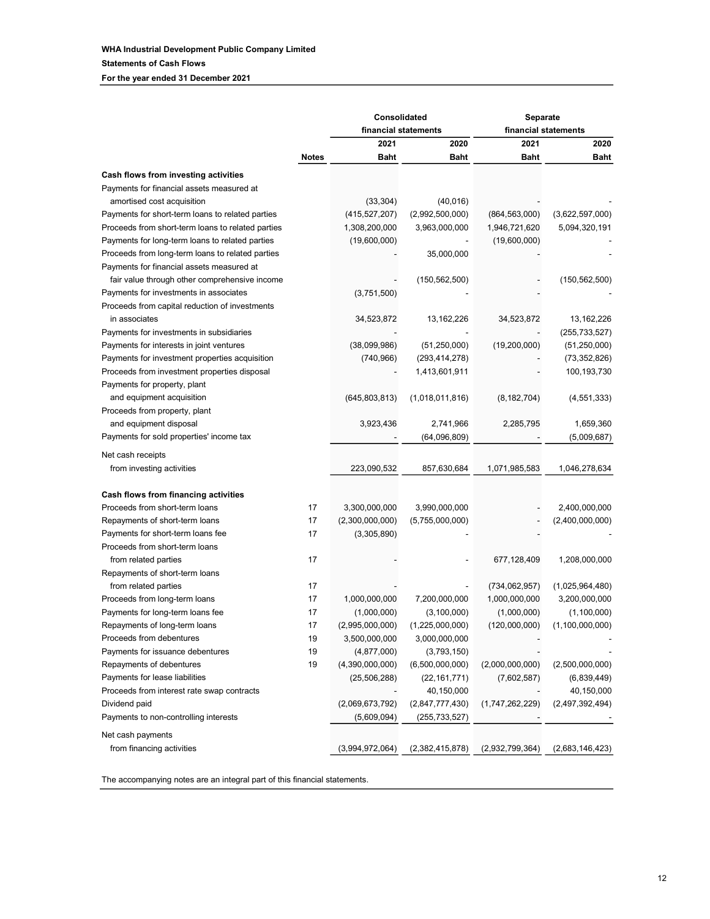|                                                   |              | Consolidated         |                 | <b>Separate</b> |                      |
|---------------------------------------------------|--------------|----------------------|-----------------|-----------------|----------------------|
|                                                   |              | financial statements |                 |                 | financial statements |
|                                                   |              | 2021                 | 2020            | 2021            | 2020                 |
|                                                   | <b>Notes</b> | <b>Baht</b>          | <b>Baht</b>     | <b>Baht</b>     | Baht                 |
| Cash flows from investing activities              |              |                      |                 |                 |                      |
| Payments for financial assets measured at         |              |                      |                 |                 |                      |
| amortised cost acquisition                        |              | (33, 304)            | (40, 016)       |                 |                      |
| Payments for short-term loans to related parties  |              | (415, 527, 207)      | (2,992,500,000) | (864, 563, 000) | (3,622,597,000)      |
| Proceeds from short-term loans to related parties |              | 1,308,200,000        | 3,963,000,000   | 1,946,721,620   | 5,094,320,191        |
| Payments for long-term loans to related parties   |              | (19,600,000)         |                 | (19,600,000)    |                      |
| Proceeds from long-term loans to related parties  |              |                      | 35,000,000      |                 |                      |
| Payments for financial assets measured at         |              |                      |                 |                 |                      |
| fair value through other comprehensive income     |              |                      | (150, 562, 500) |                 | (150, 562, 500)      |
| Payments for investments in associates            |              | (3,751,500)          |                 |                 |                      |
| Proceeds from capital reduction of investments    |              |                      |                 |                 |                      |
| in associates                                     |              | 34,523,872           | 13,162,226      | 34,523,872      | 13,162,226           |
| Payments for investments in subsidiaries          |              |                      |                 |                 | (255, 733, 527)      |
| Payments for interests in joint ventures          |              | (38,099,986)         | (51, 250, 000)  | (19,200,000)    | (51, 250, 000)       |
| Payments for investment properties acquisition    |              | (740, 966)           | (293, 414, 278) |                 | (73,352,826)         |
| Proceeds from investment properties disposal      |              |                      | 1,413,601,911   |                 | 100,193,730          |
| Payments for property, plant                      |              |                      |                 |                 |                      |
| and equipment acquisition                         |              | (645, 803, 813)      | (1,018,011,816) | (8, 182, 704)   | (4, 551, 333)        |
| Proceeds from property, plant                     |              |                      |                 |                 |                      |
| and equipment disposal                            |              | 3,923,436            | 2,741,966       | 2,285,795       | 1,659,360            |
| Payments for sold properties' income tax          |              |                      | (64,096,809)    |                 | (5,009,687)          |
| Net cash receipts                                 |              |                      |                 |                 |                      |
|                                                   |              | 223,090,532          |                 | 1,071,985,583   |                      |
| from investing activities                         |              |                      | 857,630,684     |                 | 1,046,278,634        |
| <b>Cash flows from financing activities</b>       |              |                      |                 |                 |                      |
| Proceeds from short-term loans                    | 17           | 3,300,000,000        | 3,990,000,000   |                 | 2,400,000,000        |
| Repayments of short-term loans                    | 17           | (2,300,000,000)      | (5,755,000,000) |                 | (2,400,000,000)      |
| Payments for short-term loans fee                 | 17           | (3,305,890)          |                 |                 |                      |
| Proceeds from short-term loans                    |              |                      |                 |                 |                      |
| from related parties                              | 17           |                      |                 | 677,128,409     | 1,208,000,000        |
| Repayments of short-term loans                    |              |                      |                 |                 |                      |
| from related parties                              | 17           |                      |                 | (734,062,957)   | (1,025,964,480)      |
| Proceeds from long-term loans                     | 17           | 1,000,000,000        | 7,200,000,000   | 1,000,000,000   | 3,200,000,000        |
| Payments for long-term loans fee                  | 17           | (1,000,000)          | (3,100,000)     | (1,000,000)     | (1, 100, 000)        |
| Repayments of long-term loans                     | 17           | (2,995,000,000)      | (1,225,000,000) | (120,000,000)   | (1, 100, 000, 000)   |
| Proceeds from debentures                          | 19           | 3,500,000,000        | 3,000,000,000   |                 |                      |
| Payments for issuance debentures                  | 19           | (4,877,000)          | (3,793,150)     |                 |                      |
| Repayments of debentures                          | 19           | (4,390,000,000)      | (6,500,000,000) | (2,000,000,000) | (2,500,000,000)      |
| Payments for lease liabilities                    |              | (25, 506, 288)       | (22, 161, 771)  | (7,602,587)     | (6,839,449)          |
| Proceeds from interest rate swap contracts        |              |                      | 40,150,000      |                 | 40,150,000           |
| Dividend paid                                     |              | (2,069,673,792)      | (2,847,777,430) | (1,747,262,229) | (2,497,392,494)      |
| Payments to non-controlling interests             |              | (5,609,094)          | (255,733,527)   |                 |                      |
| Net cash payments                                 |              |                      |                 |                 |                      |
| from financing activities                         |              | (3,994,972,064)      | (2,382,415,878) | (2,932,799,364) | (2,683,146,423)      |
|                                                   |              |                      |                 |                 |                      |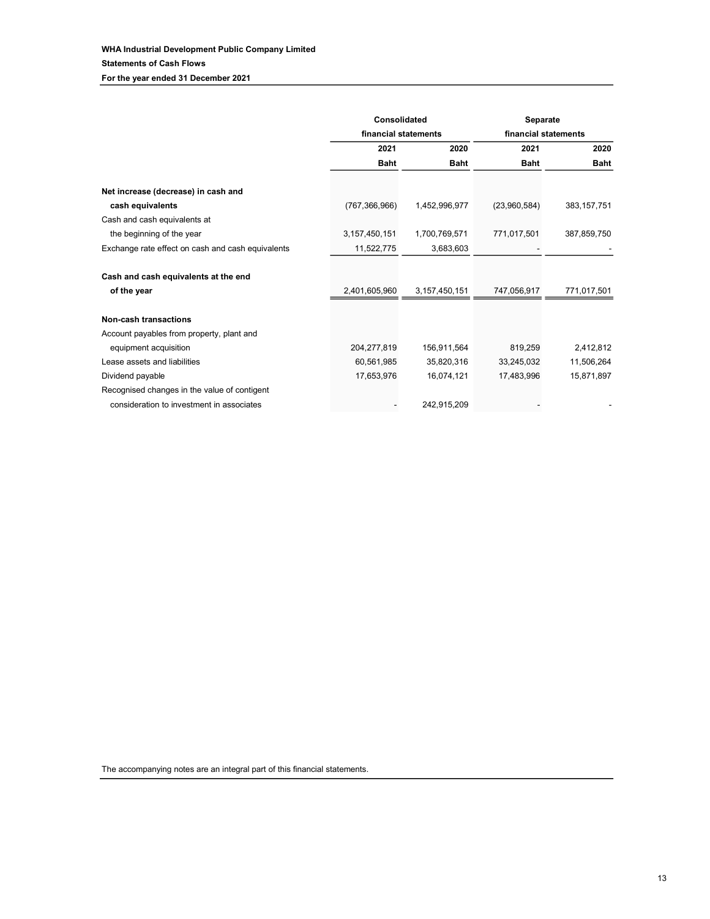|                                                   | Consolidated    |                      | Separate     |                      |
|---------------------------------------------------|-----------------|----------------------|--------------|----------------------|
|                                                   |                 | financial statements |              | financial statements |
|                                                   | 2021            | 2020                 | 2021         | 2020                 |
|                                                   | <b>Baht</b>     | <b>Baht</b>          | <b>Baht</b>  | <b>Baht</b>          |
|                                                   |                 |                      |              |                      |
| Net increase (decrease) in cash and               |                 |                      |              |                      |
| cash equivalents                                  | (767, 366, 966) | 1,452,996,977        | (23,960,584) | 383, 157, 751        |
| Cash and cash equivalents at                      |                 |                      |              |                      |
| the beginning of the year                         | 3,157,450,151   | 1,700,769,571        | 771,017,501  | 387,859,750          |
| Exchange rate effect on cash and cash equivalents | 11,522,775      | 3,683,603            |              |                      |
| Cash and cash equivalents at the end              |                 |                      |              |                      |
| of the year                                       | 2,401,605,960   | 3,157,450,151        | 747,056,917  | 771,017,501          |
| Non-cash transactions                             |                 |                      |              |                      |
| Account payables from property, plant and         |                 |                      |              |                      |
| equipment acquisition                             | 204, 277, 819   | 156,911,564          | 819.259      | 2,412,812            |
| Lease assets and liabilities                      | 60,561,985      | 35,820,316           | 33,245,032   | 11,506,264           |
| Dividend payable                                  | 17,653,976      | 16,074,121           | 17.483.996   | 15,871,897           |
| Recognised changes in the value of contigent      |                 |                      |              |                      |
| consideration to investment in associates         |                 | 242,915,209          |              |                      |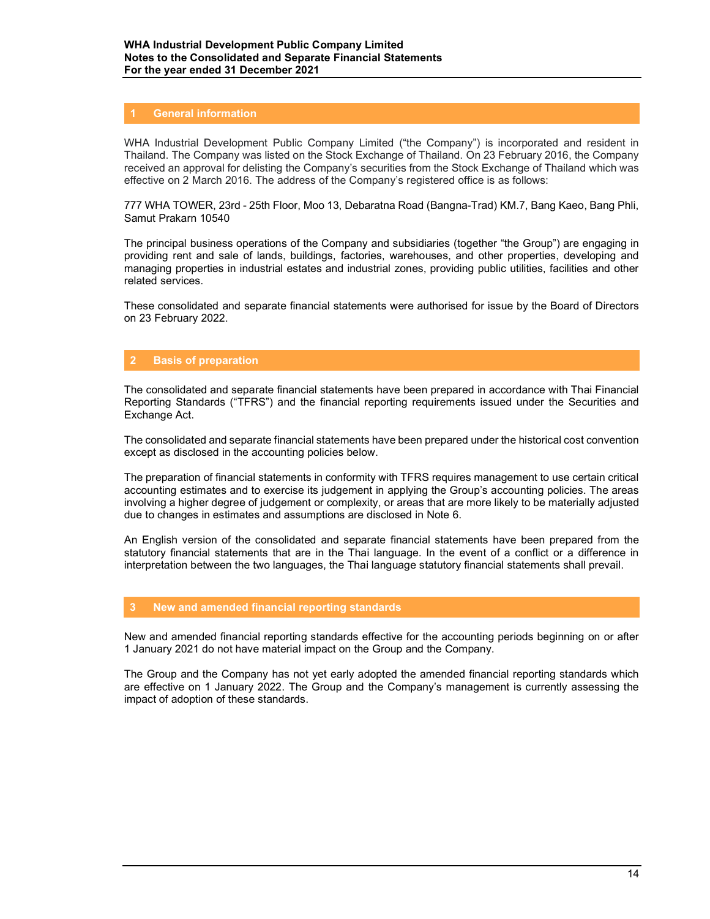### **General information**

WHA Industrial Development Public Company Limited ("the Company") is incorporated and resident in Thailand. The Company was listed on the Stock Exchange of Thailand. On 23 February 2016, the Company received an approval for delisting the Company's securities from the Stock Exchange of Thailand which was effective on 2 March 2016. The address of the Company's registered office is as follows:

777 WHA TOWER, 23rd - 25th Floor, Moo 13, Debaratna Road (Bangna-Trad) KM.7, Bang Kaeo, Bang Phli, Samut Prakarn 10540

The principal business operations of the Company and subsidiaries (together "the Group") are engaging in providing rent and sale of lands, buildings, factories, warehouses, and other properties, developing and managing properties in industrial estates and industrial zones, providing public utilities, facilities and other related services.

These consolidated and separate financial statements were authorised for issue by the Board of Directors on 23 February 2022.

#### $\overline{2}$ **Basis of preparation**

The consolidated and separate financial statements have been prepared in accordance with Thai Financial Reporting Standards ("TFRS") and the financial reporting requirements issued under the Securities and Exchange Act.

The consolidated and separate financial statements have been prepared under the historical cost convention except as disclosed in the accounting policies below.

The preparation of financial statements in conformity with TFRS requires management to use certain critical accounting estimates and to exercise its judgement in applying the Group's accounting policies. The areas involving a higher degree of judgement or complexity, or areas that are more likely to be materially adjusted due to changes in estimates and assumptions are disclosed in Note 6.

An English version of the consolidated and separate financial statements have been prepared from the statutory financial statements that are in the Thai language. In the event of a conflict or a difference in interpretation between the two languages, the Thai language statutory financial statements shall prevail.

# New and amended financial reporting standards

New and amended financial reporting standards effective for the accounting periods beginning on or after 1 January 2021 do not have material impact on the Group and the Company.

The Group and the Company has not vet early adopted the amended financial reporting standards which are effective on 1 January 2022. The Group and the Company's management is currently assessing the impact of adoption of these standards.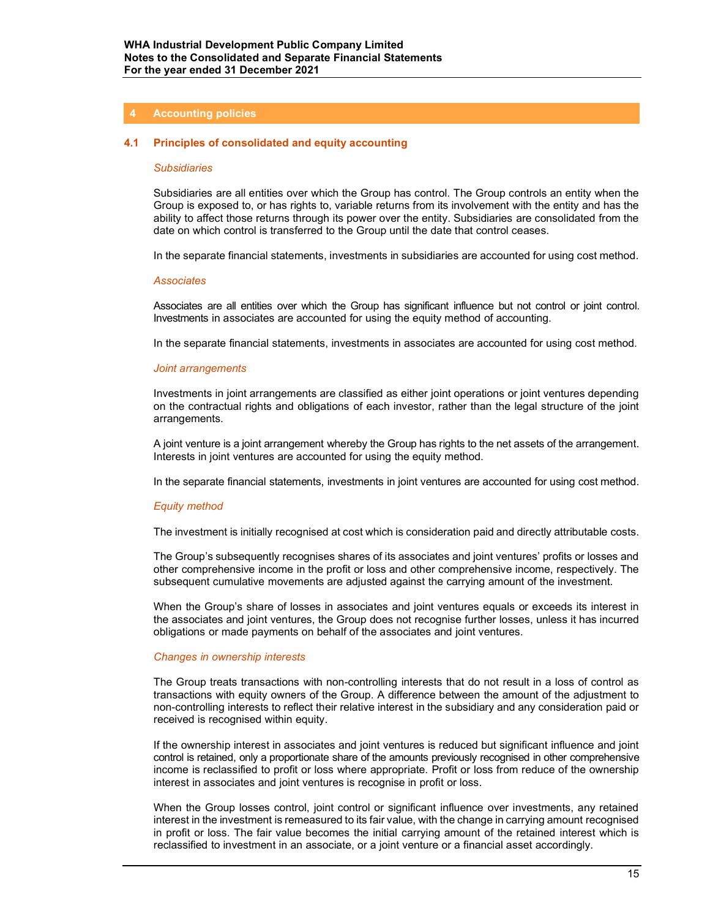#### **Accounting policies**

#### 4.1 Principles of consolidated and equity accounting

#### **Subsidiaries**

Subsidiaries are all entities over which the Group has control. The Group controls an entity when the Group is exposed to, or has rights to, variable returns from its involvement with the entity and has the ability to affect those returns through its power over the entity. Subsidiaries are consolidated from the date on which control is transferred to the Group until the date that control ceases.

In the separate financial statements, investments in subsidiaries are accounted for using cost method.

#### **Associates**

Associates are all entities over which the Group has significant influence but not control or joint control. Investments in associates are accounted for using the equity method of accounting.

In the separate financial statements, investments in associates are accounted for using cost method.

#### Joint arrangements

Investments in joint arrangements are classified as either joint operations or joint ventures depending on the contractual rights and obligations of each investor, rather than the legal structure of the joint arrangements.

A joint venture is a joint arrangement whereby the Group has rights to the net assets of the arrangement. Interests in joint ventures are accounted for using the equity method.

In the separate financial statements, investments in joint ventures are accounted for using cost method.

#### **Equity method**

The investment is initially recognised at cost which is consideration paid and directly attributable costs.

The Group's subsequently recognises shares of its associates and joint ventures' profits or losses and other comprehensive income in the profit or loss and other comprehensive income, respectively. The subsequent cumulative movements are adjusted against the carrying amount of the investment.

When the Group's share of losses in associates and joint ventures equals or exceeds its interest in the associates and joint ventures, the Group does not recognise further losses, unless it has incurred obligations or made payments on behalf of the associates and joint ventures.

#### Changes in ownership interests

The Group treats transactions with non-controlling interests that do not result in a loss of control as transactions with equity owners of the Group. A difference between the amount of the adjustment to non-controlling interests to reflect their relative interest in the subsidiary and any consideration paid or received is recognised within equity.

If the ownership interest in associates and joint ventures is reduced but significant influence and joint control is retained, only a proportionate share of the amounts previously recognised in other comprehensive income is reclassified to profit or loss where appropriate. Profit or loss from reduce of the ownership interest in associates and joint ventures is recognise in profit or loss.

When the Group losses control, joint control or significant influence over investments, any retained interest in the investment is remeasured to its fair value, with the change in carrying amount recognised in profit or loss. The fair value becomes the initial carrying amount of the retained interest which is reclassified to investment in an associate, or a joint venture or a financial asset accordingly.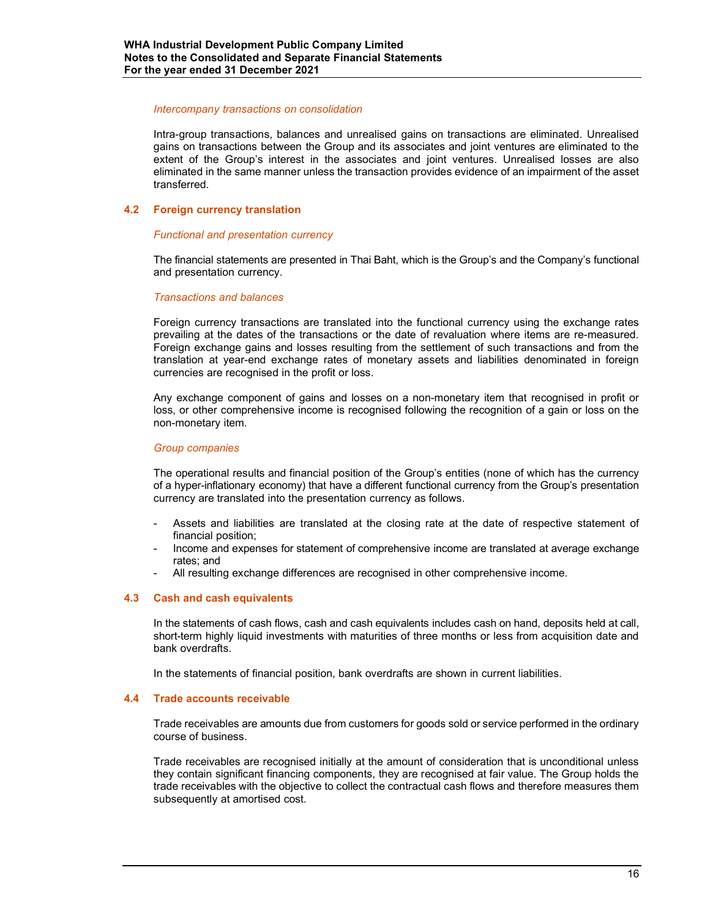#### Intercompany transactions on consolidation

Intra-group transactions, balances and unrealised gains on transactions are eliminated. Unrealised gains on transactions between the Group and its associates and joint ventures are eliminated to the extent of the Group's interest in the associates and joint ventures. Unrealised losses are also eliminated in the same manner unless the transaction provides evidence of an impairment of the asset transferred.

#### 4.2 Foreign currency translation

#### **Functional and presentation currency**

The financial statements are presented in Thai Baht, which is the Group's and the Company's functional and presentation currency.

#### **Transactions and balances**

Foreign currency transactions are translated into the functional currency using the exchange rates prevailing at the dates of the transactions or the date of revaluation where items are re-measured. Foreign exchange gains and losses resulting from the settlement of such transactions and from the translation at year-end exchange rates of monetary assets and liabilities denominated in foreign currencies are recognised in the profit or loss.

Any exchange component of gains and losses on a non-monetary item that recognised in profit or loss, or other comprehensive income is recognised following the recognition of a gain or loss on the non-monetary item.

#### Group companies

The operational results and financial position of the Group's entities (none of which has the currency of a hyper-inflationary economy) that have a different functional currency from the Group's presentation currency are translated into the presentation currency as follows.

- Assets and liabilities are translated at the closing rate at the date of respective statement of financial position;
- Income and expenses for statement of comprehensive income are translated at average exchange rates; and
- All resulting exchange differences are recognised in other comprehensive income.

#### 4.3 Cash and cash equivalents

In the statements of cash flows, cash and cash equivalents includes cash on hand, deposits held at call, short-term highly liquid investments with maturities of three months or less from acquisition date and bank overdrafts.

In the statements of financial position, bank overdrafts are shown in current liabilities.

#### 4.4 Trade accounts receivable

Trade receivables are amounts due from customers for goods sold or service performed in the ordinary course of business.

Trade receivables are recognised initially at the amount of consideration that is unconditional unless they contain significant financing components, they are recognised at fair value. The Group holds the trade receivables with the objective to collect the contractual cash flows and therefore measures them subsequently at amortised cost.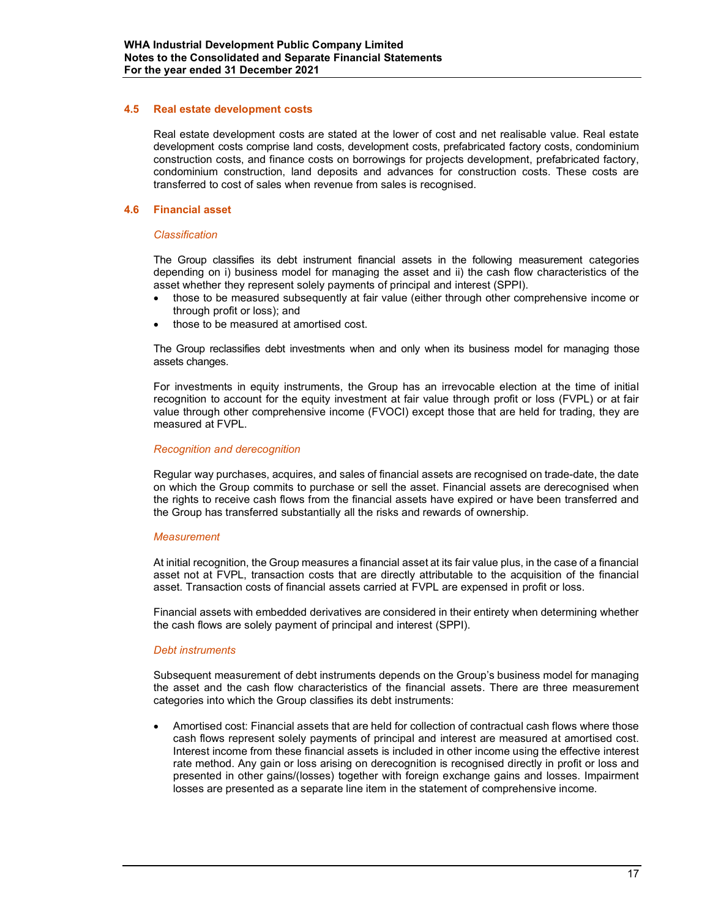## 4.5 Real estate development costs

Real estate development costs are stated at the lower of cost and net realisable value. Real estate development costs comprise land costs, development costs, prefabricated factory costs, condominium construction costs, and finance costs on borrowings for projects development, prefabricated factory, condominium construction, land deposits and advances for construction costs. These costs are transferred to cost of sales when revenue from sales is recognised.

#### 4.6 Financial asset

#### **Classification**

The Group classifies its debt instrument financial assets in the following measurement categories depending on i) business model for managing the asset and ii) the cash flow characteristics of the asset whether they represent solely payments of principal and interest (SPPI).

- those to be measured subsequently at fair value (either through other comprehensive income or through profit or loss); and
- those to be measured at amortised cost.

The Group reclassifies debt investments when and only when its business model for managing those assets changes.

For investments in equity instruments, the Group has an irrevocable election at the time of initial recognition to account for the equity investment at fair value through profit or loss (FVPL) or at fair value through other comprehensive income (FVOCI) except those that are held for trading, they are measured at FVPL.

#### Recognition and derecognition

Regular way purchases, acquires, and sales of financial assets are recognised on trade-date, the date on which the Group commits to purchase or sell the asset. Financial assets are derecognised when the rights to receive cash flows from the financial assets have expired or have been transferred and the Group has transferred substantially all the risks and rewards of ownership.

#### **Measurement**

At initial recognition, the Group measures a financial asset at its fair value plus, in the case of a financial asset not at FVPL, transaction costs that are directly attributable to the acquisition of the financial asset. Transaction costs of financial assets carried at FVPL are expensed in profit or loss.

Financial assets with embedded derivatives are considered in their entirety when determining whether the cash flows are solely payment of principal and interest (SPPI).

#### **Debt instruments**

Subsequent measurement of debt instruments depends on the Group's business model for managing the asset and the cash flow characteristics of the financial assets. There are three measurement categories into which the Group classifies its debt instruments:

• Amortised cost: Financial assets that are held for collection of contractual cash flows where those cash flows represent solely payments of principal and interest are measured at amortised cost. Interest income from these financial assets is included in other income using the effective interest rate method. Any gain or loss arising on derecognition is recognised directly in profit or loss and presented in other gains/(losses) together with foreign exchange gains and losses. Impairment losses are presented as a separate line item in the statement of comprehensive income.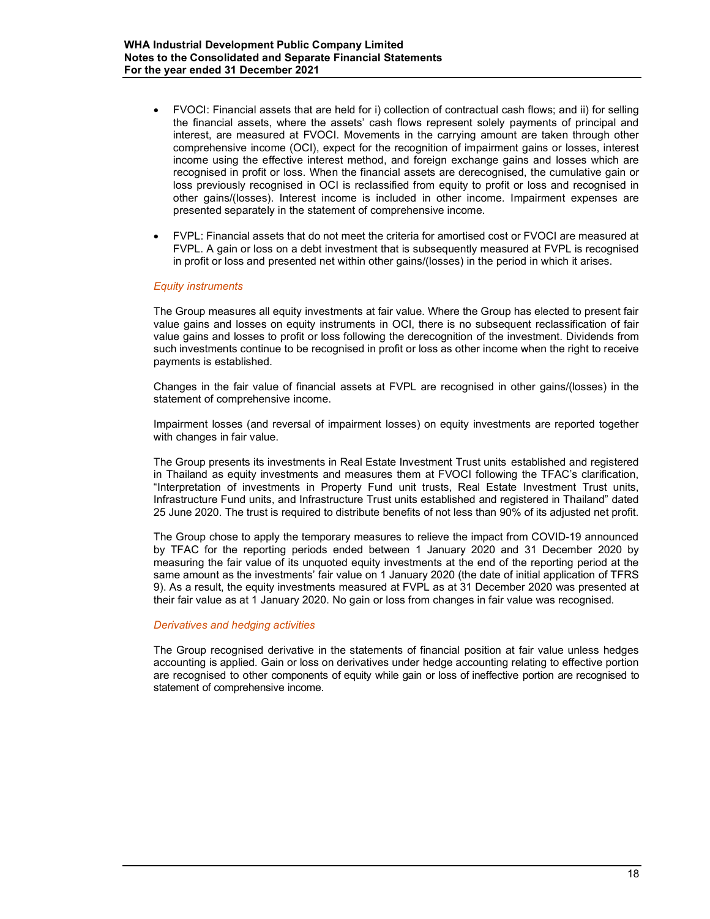- FVOCI: Financial assets that are held for i) collection of contractual cash flows; and ii) for selling  $\bullet$ the financial assets, where the assets' cash flows represent solely payments of principal and interest, are measured at FVOCI. Movements in the carrying amount are taken through other comprehensive income (OCI), expect for the recognition of impairment gains or losses, interest income using the effective interest method, and foreign exchange gains and losses which are recognised in profit or loss. When the financial assets are derecognised, the cumulative gain or loss previously recognised in OCI is reclassified from equity to profit or loss and recognised in other gains/(losses). Interest income is included in other income. Impairment expenses are presented separately in the statement of comprehensive income.
- FVPL: Financial assets that do not meet the criteria for amortised cost or FVOCI are measured at FVPL. A gain or loss on a debt investment that is subsequently measured at FVPL is recognised in profit or loss and presented net within other gains/(losses) in the period in which it arises.

### **Equity instruments**

The Group measures all equity investments at fair value. Where the Group has elected to present fair value gains and losses on equity instruments in OCI, there is no subsequent reclassification of fair value gains and losses to profit or loss following the derecognition of the investment. Dividends from such investments continue to be recognised in profit or loss as other income when the right to receive payments is established.

Changes in the fair value of financial assets at FVPL are recognised in other gains/(losses) in the statement of comprehensive income.

Impairment losses (and reversal of impairment losses) on equity investments are reported together with changes in fair value.

The Group presents its investments in Real Estate Investment Trust units established and registered in Thailand as equity investments and measures them at FVOCI following the TFAC's clarification, "Interpretation of investments in Property Fund unit trusts. Real Estate Investment Trust units, Infrastructure Fund units, and Infrastructure Trust units established and registered in Thailand" dated 25 June 2020. The trust is required to distribute benefits of not less than 90% of its adjusted net profit.

The Group chose to apply the temporary measures to relieve the impact from COVID-19 announced by TFAC for the reporting periods ended between 1 January 2020 and 31 December 2020 by measuring the fair value of its unquoted equity investments at the end of the reporting period at the same amount as the investments' fair value on 1 January 2020 (the date of initial application of TFRS 9). As a result, the equity investments measured at FVPL as at 31 December 2020 was presented at their fair value as at 1 January 2020. No gain or loss from changes in fair value was recognised.

### Derivatives and hedging activities

The Group recognised derivative in the statements of financial position at fair value unless hedges accounting is applied. Gain or loss on derivatives under hedge accounting relating to effective portion are recognised to other components of equity while gain or loss of ineffective portion are recognised to statement of comprehensive income.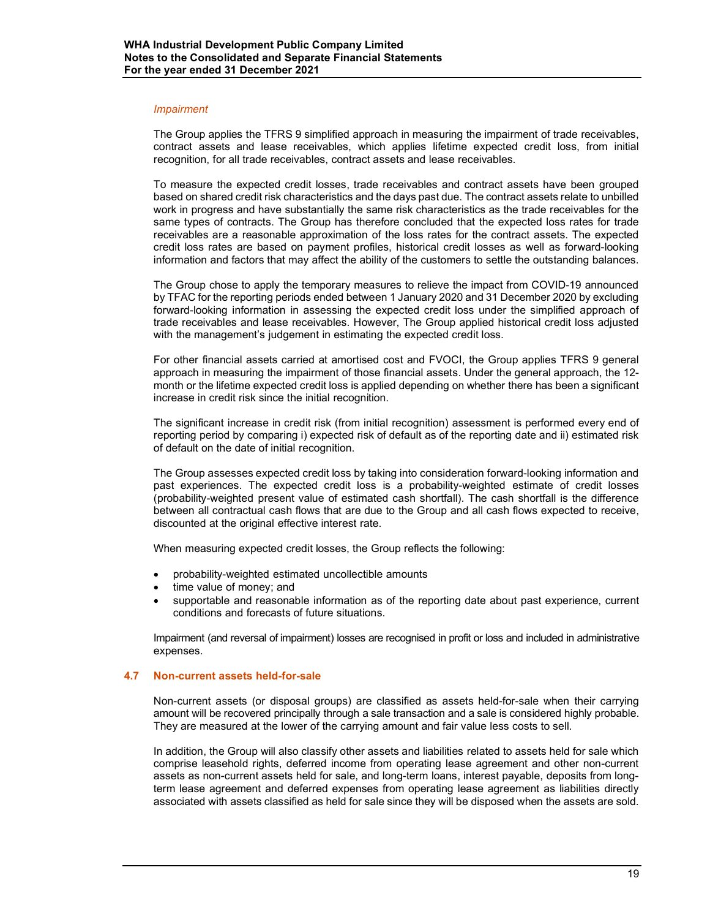#### **Impairment**

The Group applies the TFRS 9 simplified approach in measuring the impairment of trade receivables, contract assets and lease receivables, which applies lifetime expected credit loss, from initial recognition, for all trade receivables, contract assets and lease receivables.

To measure the expected credit losses, trade receivables and contract assets have been grouped based on shared credit risk characteristics and the days past due. The contract assets relate to unbilled work in progress and have substantially the same risk characteristics as the trade receivables for the same types of contracts. The Group has therefore concluded that the expected loss rates for trade receivables are a reasonable approximation of the loss rates for the contract assets. The expected credit loss rates are based on payment profiles, historical credit losses as well as forward-looking information and factors that may affect the ability of the customers to settle the outstanding balances.

The Group chose to apply the temporary measures to relieve the impact from COVID-19 announced by TFAC for the reporting periods ended between 1 January 2020 and 31 December 2020 by excluding forward-looking information in assessing the expected credit loss under the simplified approach of trade receivables and lease receivables. However, The Group applied historical credit loss adjusted with the management's judgement in estimating the expected credit loss.

For other financial assets carried at amortised cost and FVOCI, the Group applies TFRS 9 general approach in measuring the impairment of those financial assets. Under the general approach, the 12month or the lifetime expected credit loss is applied depending on whether there has been a significant increase in credit risk since the initial recognition.

The significant increase in credit risk (from initial recognition) assessment is performed every end of reporting period by comparing i) expected risk of default as of the reporting date and ii) estimated risk of default on the date of initial recognition.

The Group assesses expected credit loss by taking into consideration forward-looking information and past experiences. The expected credit loss is a probability-weighted estimate of credit losses (probability-weighted present value of estimated cash shortfall). The cash shortfall is the difference between all contractual cash flows that are due to the Group and all cash flows expected to receive, discounted at the original effective interest rate.

When measuring expected credit losses, the Group reflects the following:

- probability-weighted estimated uncollectible amounts
- time value of money; and
- supportable and reasonable information as of the reporting date about past experience, current conditions and forecasts of future situations.

Impairment (and reversal of impairment) losses are recognised in profit or loss and included in administrative expenses.

#### $4.7$ Non-current assets held-for-sale

Non-current assets (or disposal groups) are classified as assets held-for-sale when their carrying amount will be recovered principally through a sale transaction and a sale is considered highly probable. They are measured at the lower of the carrying amount and fair value less costs to sell.

In addition, the Group will also classify other assets and liabilities related to assets held for sale which comprise leasehold rights, deferred income from operating lease agreement and other non-current assets as non-current assets held for sale, and long-term loans, interest payable, deposits from longterm lease agreement and deferred expenses from operating lease agreement as liabilities directly associated with assets classified as held for sale since they will be disposed when the assets are sold.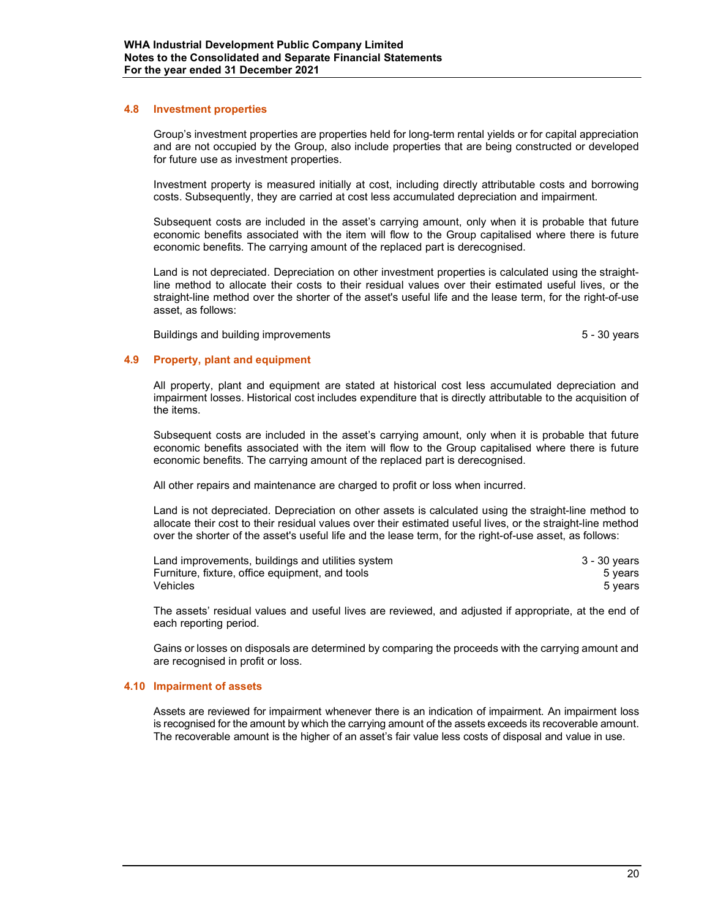#### 4.8 Investment properties

Group's investment properties are properties held for long-term rental yields or for capital appreciation and are not occupied by the Group, also include properties that are being constructed or developed for future use as investment properties.

Investment property is measured initially at cost, including directly attributable costs and borrowing costs. Subsequently, they are carried at cost less accumulated depreciation and impairment.

Subsequent costs are included in the asset's carrying amount, only when it is probable that future economic benefits associated with the item will flow to the Group capitalised where there is future economic benefits. The carrying amount of the replaced part is derecognised.

Land is not depreciated. Depreciation on other investment properties is calculated using the straightline method to allocate their costs to their residual values over their estimated useful lives, or the straight-line method over the shorter of the asset's useful life and the lease term, for the right-of-use asset, as follows:

Buildings and building improvements

 $5 - 30$  years

### 4.9 Property, plant and equipment

All property, plant and equipment are stated at historical cost less accumulated depreciation and impairment losses. Historical cost includes expenditure that is directly attributable to the acquisition of the items.

Subsequent costs are included in the asset's carrying amount, only when it is probable that future economic benefits associated with the item will flow to the Group capitalised where there is future economic benefits. The carrying amount of the replaced part is derecognised.

All other repairs and maintenance are charged to profit or loss when incurred.

Land is not depreciated. Depreciation on other assets is calculated using the straight-line method to allocate their cost to their residual values over their estimated useful lives, or the straight-line method over the shorter of the asset's useful life and the lease term, for the right-of-use asset, as follows:

| Land improvements, buildings and utilities system | 3 - 30 years |
|---------------------------------------------------|--------------|
| Furniture, fixture, office equipment, and tools   | 5 vears      |
| <b>Vehicles</b>                                   | 5 vears      |

The assets' residual values and useful lives are reviewed, and adjusted if appropriate, at the end of each reporting period.

Gains or losses on disposals are determined by comparing the proceeds with the carrying amount and are recognised in profit or loss.

#### 4.10 Impairment of assets

Assets are reviewed for impairment whenever there is an indication of impairment. An impairment loss is recognised for the amount by which the carrying amount of the assets exceeds its recoverable amount. The recoverable amount is the higher of an asset's fair value less costs of disposal and value in use.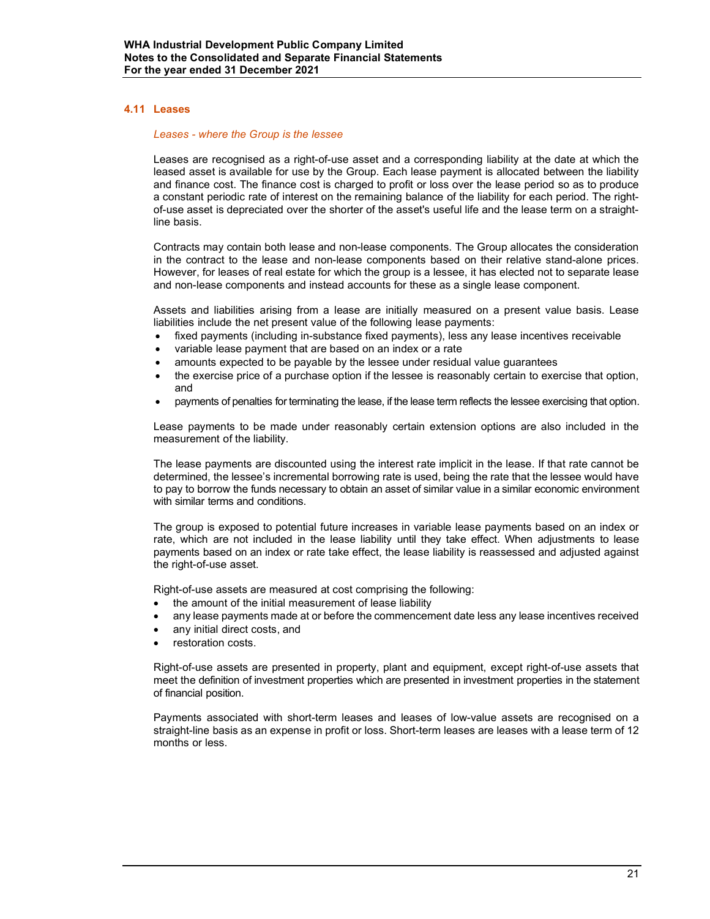#### 4.11 Leases

#### Leases - where the Group is the lessee

Leases are recognised as a right-of-use asset and a corresponding liability at the date at which the leased asset is available for use by the Group. Each lease payment is allocated between the liability and finance cost. The finance cost is charged to profit or loss over the lease period so as to produce a constant periodic rate of interest on the remaining balance of the liability for each period. The rightof-use asset is depreciated over the shorter of the asset's useful life and the lease term on a straightline basis.

Contracts may contain both lease and non-lease components. The Group allocates the consideration in the contract to the lease and non-lease components based on their relative stand-alone prices. However, for leases of real estate for which the group is a lessee, it has elected not to separate lease and non-lease components and instead accounts for these as a single lease component.

Assets and liabilities arising from a lease are initially measured on a present value basis. Lease liabilities include the net present value of the following lease payments:

- fixed payments (including in-substance fixed payments), less any lease incentives receivable
- variable lease payment that are based on an index or a rate
- amounts expected to be payable by the lessee under residual value guarantees
- the exercise price of a purchase option if the lessee is reasonably certain to exercise that option, and
- payments of penalties for terminating the lease, if the lease term reflects the lessee exercising that option.

Lease payments to be made under reasonably certain extension options are also included in the measurement of the liability.

The lease payments are discounted using the interest rate implicit in the lease. If that rate cannot be determined, the lessee's incremental borrowing rate is used, being the rate that the lessee would have to pay to borrow the funds necessary to obtain an asset of similar value in a similar economic environment with similar terms and conditions.

The group is exposed to potential future increases in variable lease payments based on an index or rate, which are not included in the lease liability until they take effect. When adjustments to lease payments based on an index or rate take effect, the lease liability is reassessed and adjusted against the right-of-use asset.

Right-of-use assets are measured at cost comprising the following:

- the amount of the initial measurement of lease liability
- any lease payments made at or before the commencement date less any lease incentives received
- any initial direct costs, and
- restoration costs.

Right-of-use assets are presented in property, plant and equipment, except right-of-use assets that meet the definition of investment properties which are presented in investment properties in the statement of financial position.

Payments associated with short-term leases and leases of low-value assets are recognised on a straight-line basis as an expense in profit or loss. Short-term leases are leases with a lease term of 12 months or less.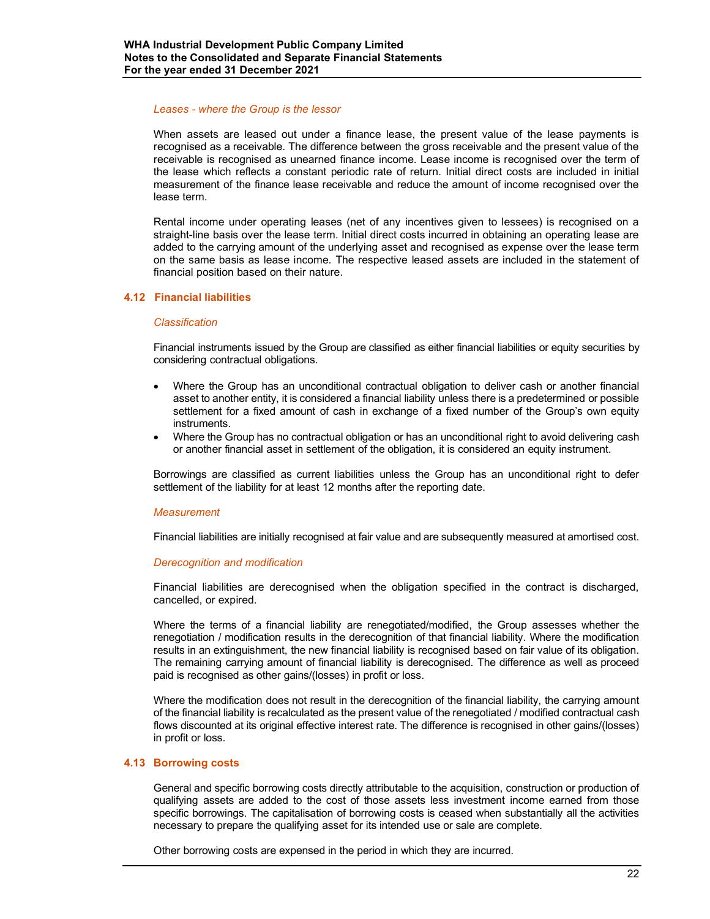#### Leases - where the Group is the lessor

When assets are leased out under a finance lease, the present value of the lease payments is recognised as a receivable. The difference between the gross receivable and the present value of the receivable is recognised as unearned finance income. Lease income is recognised over the term of the lease which reflects a constant periodic rate of return. Initial direct costs are included in initial measurement of the finance lease receivable and reduce the amount of income recognised over the lease term.

Rental income under operating leases (net of any incentives given to lessees) is recognised on a straight-line basis over the lease term. Initial direct costs incurred in obtaining an operating lease are added to the carrying amount of the underlying asset and recognised as expense over the lease term on the same basis as lease income. The respective leased assets are included in the statement of financial position based on their nature.

#### 4.12 Financial liabilities

#### Classification

Financial instruments issued by the Group are classified as either financial liabilities or equity securities by considering contractual obligations.

- Where the Group has an unconditional contractual obligation to deliver cash or another financial asset to another entity, it is considered a financial liability unless there is a predetermined or possible settlement for a fixed amount of cash in exchange of a fixed number of the Group's own equity instruments.
- Where the Group has no contractual obligation or has an unconditional right to avoid delivering cash or another financial asset in settlement of the obligation, it is considered an equity instrument.

Borrowings are classified as current liabilities unless the Group has an unconditional right to defer settlement of the liability for at least 12 months after the reporting date.

#### **Measurement**

Financial liabilities are initially recognised at fair value and are subsequently measured at amortised cost.

#### Derecognition and modification

Financial liabilities are derecognised when the obligation specified in the contract is discharged, cancelled, or expired.

Where the terms of a financial liability are renegotiated/modified, the Group assesses whether the renegotiation / modification results in the derecognition of that financial liability. Where the modification results in an extinguishment, the new financial liability is recognised based on fair value of its obligation. The remaining carrying amount of financial liability is derecognised. The difference as well as proceed paid is recognised as other gains/(losses) in profit or loss.

Where the modification does not result in the derecognition of the financial liability, the carrying amount of the financial liability is recalculated as the present value of the renegotiated / modified contractual cash flows discounted at its original effective interest rate. The difference is recognised in other gains/(losses) in profit or loss.

#### 4.13 Borrowing costs

General and specific borrowing costs directly attributable to the acquisition, construction or production of qualifying assets are added to the cost of those assets less investment income earned from those specific borrowings. The capitalisation of borrowing costs is ceased when substantially all the activities necessary to prepare the qualifying asset for its intended use or sale are complete.

Other borrowing costs are expensed in the period in which they are incurred.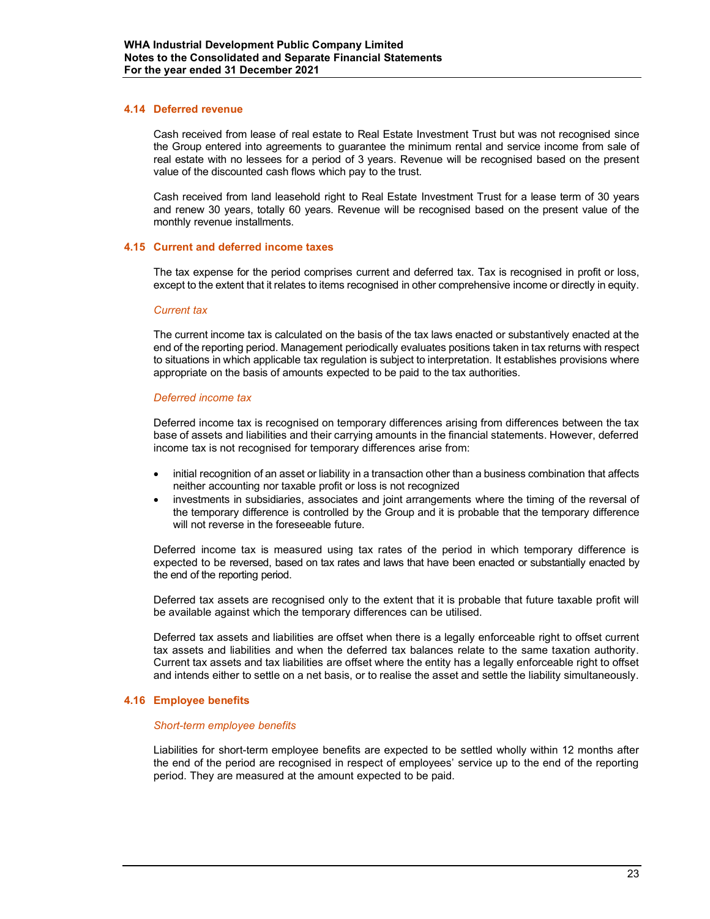#### 4.14 Deferred revenue

Cash received from lease of real estate to Real Estate Investment Trust but was not recognised since the Group entered into agreements to guarantee the minimum rental and service income from sale of real estate with no lessees for a period of 3 years. Revenue will be recognised based on the present value of the discounted cash flows which pay to the trust.

Cash received from land leasehold right to Real Estate Investment Trust for a lease term of 30 years and renew 30 years, totally 60 years. Revenue will be recognised based on the present value of the monthly revenue installments.

# 4.15 Current and deferred income taxes

The tax expense for the period comprises current and deferred tax. Tax is recognised in profit or loss, except to the extent that it relates to items recognised in other comprehensive income or directly in equity.

#### **Current tax**

The current income tax is calculated on the basis of the tax laws enacted or substantively enacted at the end of the reporting period. Management periodically evaluates positions taken in tax returns with respect to situations in which applicable tax regulation is subject to interpretation. It establishes provisions where appropriate on the basis of amounts expected to be paid to the tax authorities.

#### Deferred income tax

Deferred income tax is recognised on temporary differences arising from differences between the tax base of assets and liabilities and their carrying amounts in the financial statements. However, deferred income tax is not recognised for temporary differences arise from:

- initial recognition of an asset or liability in a transaction other than a business combination that affects neither accounting nor taxable profit or loss is not recognized
- investments in subsidiaries, associates and joint arrangements where the timing of the reversal of the temporary difference is controlled by the Group and it is probable that the temporary difference will not reverse in the foreseeable future.

Deferred income tax is measured using tax rates of the period in which temporary difference is expected to be reversed, based on tax rates and laws that have been enacted or substantially enacted by the end of the reporting period.

Deferred tax assets are recognised only to the extent that it is probable that future taxable profit will be available against which the temporary differences can be utilised.

Deferred tax assets and liabilities are offset when there is a legally enforceable right to offset current tax assets and liabilities and when the deferred tax balances relate to the same taxation authority. Current tax assets and tax liabilities are offset where the entity has a legally enforceable right to offset and intends either to settle on a net basis, or to realise the asset and settle the liability simultaneously.

#### 4.16 Employee benefits

#### Short-term employee benefits

Liabilities for short-term employee benefits are expected to be settled wholly within 12 months after the end of the period are recognised in respect of employees' service up to the end of the reporting period. They are measured at the amount expected to be paid.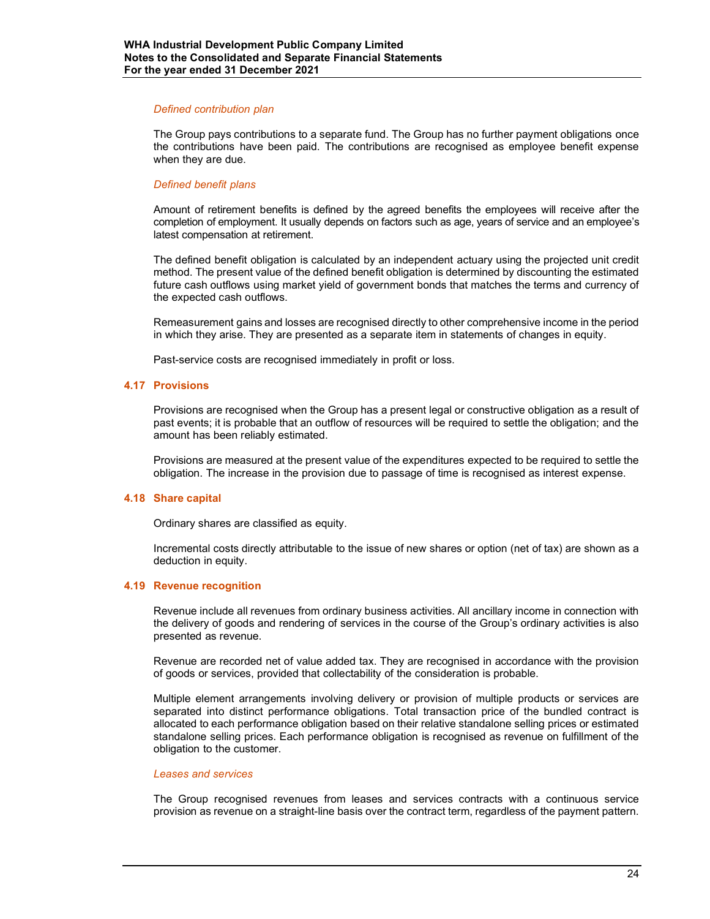#### Defined contribution plan

The Group pays contributions to a separate fund. The Group has no further payment obligations once the contributions have been paid. The contributions are recognised as employee benefit expense when they are due.

### Defined benefit plans

Amount of retirement benefits is defined by the agreed benefits the employees will receive after the completion of employment. It usually depends on factors such as age, years of service and an employee's latest compensation at retirement.

The defined benefit obligation is calculated by an independent actuary using the projected unit credit method. The present value of the defined benefit obligation is determined by discounting the estimated future cash outflows using market yield of government bonds that matches the terms and currency of the expected cash outflows.

Remeasurement gains and losses are recognised directly to other comprehensive income in the period in which they arise. They are presented as a separate item in statements of changes in equity.

Past-service costs are recognised immediately in profit or loss.

# **4.17 Provisions**

Provisions are recognised when the Group has a present legal or constructive obligation as a result of past events; it is probable that an outflow of resources will be required to settle the obligation; and the amount has been reliably estimated.

Provisions are measured at the present value of the expenditures expected to be required to settle the obligation. The increase in the provision due to passage of time is recognised as interest expense.

#### 4.18 Share capital

Ordinary shares are classified as equity.

Incremental costs directly attributable to the issue of new shares or option (net of tax) are shown as a deduction in equity.

#### 4.19 Revenue recognition

Revenue include all revenues from ordinary business activities. All ancillary income in connection with the delivery of goods and rendering of services in the course of the Group's ordinary activities is also presented as revenue.

Revenue are recorded net of value added tax. They are recognised in accordance with the provision of goods or services, provided that collectability of the consideration is probable.

Multiple element arrangements involving delivery or provision of multiple products or services are separated into distinct performance obligations. Total transaction price of the bundled contract is allocated to each performance obligation based on their relative standalone selling prices or estimated standalone selling prices. Each performance obligation is recognised as revenue on fulfillment of the obligation to the customer.

#### **Leases and services**

The Group recognised revenues from leases and services contracts with a continuous service provision as revenue on a straight-line basis over the contract term, regardless of the payment pattern.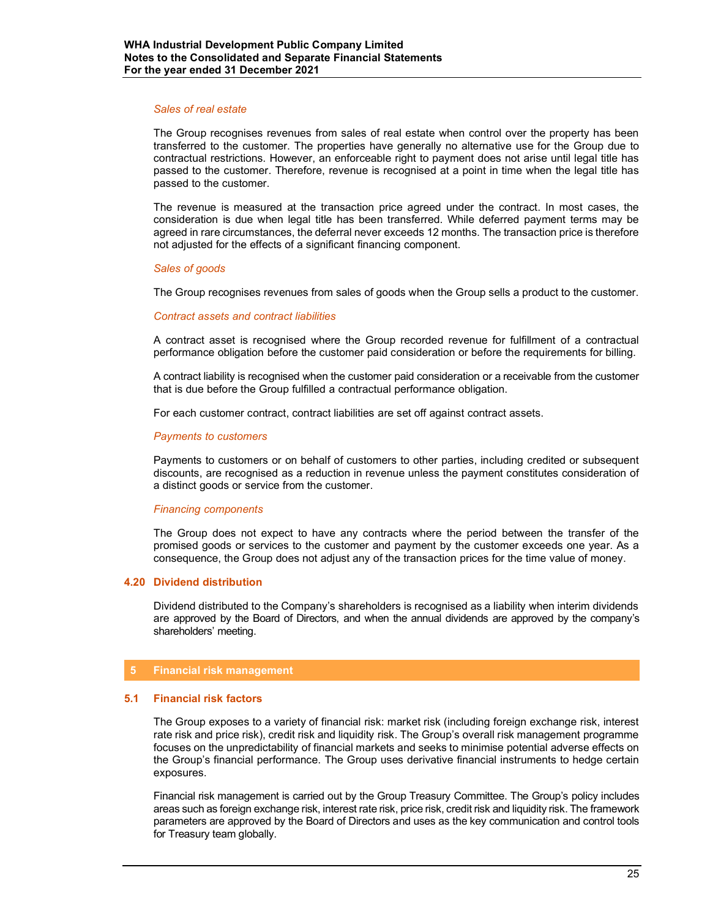#### Sales of real estate

The Group recognises revenues from sales of real estate when control over the property has been transferred to the customer. The properties have generally no alternative use for the Group due to contractual restrictions. However, an enforceable right to payment does not arise until legal title has passed to the customer. Therefore, revenue is recognised at a point in time when the legal title has passed to the customer.

The revenue is measured at the transaction price agreed under the contract. In most cases, the consideration is due when legal title has been transferred. While deferred payment terms may be agreed in rare circumstances, the deferral never exceeds 12 months. The transaction price is therefore not adjusted for the effects of a significant financing component.

#### Sales of goods

The Group recognises revenues from sales of goods when the Group sells a product to the customer.

#### **Contract assets and contract liabilities**

A contract asset is recognised where the Group recorded revenue for fulfillment of a contractual performance obligation before the customer paid consideration or before the requirements for billing.

A contract liability is recognised when the customer paid consideration or a receivable from the customer that is due before the Group fulfilled a contractual performance obligation.

For each customer contract, contract liabilities are set off against contract assets.

#### **Payments to customers**

Payments to customers or on behalf of customers to other parties, including credited or subsequent discounts, are recognised as a reduction in revenue unless the payment constitutes consideration of a distinct goods or service from the customer.

#### **Financing components**

The Group does not expect to have any contracts where the period between the transfer of the promised goods or services to the customer and payment by the customer exceeds one year. As a consequence, the Group does not adjust any of the transaction prices for the time value of money.

#### 4.20 Dividend distribution

Dividend distributed to the Company's shareholders is recognised as a liability when interim dividends are approved by the Board of Directors, and when the annual dividends are approved by the company's shareholders' meeting.

#### **Financial risk management**

#### $5.1$ **Financial risk factors**

The Group exposes to a variety of financial risk: market risk (including foreign exchange risk, interest rate risk and price risk), credit risk and liquidity risk. The Group's overall risk management programme focuses on the unpredictability of financial markets and seeks to minimise potential adverse effects on the Group's financial performance. The Group uses derivative financial instruments to hedge certain exposures.

Financial risk management is carried out by the Group Treasury Committee. The Group's policy includes areas such as foreign exchange risk, interest rate risk, price risk, credit risk and liguidity risk. The framework parameters are approved by the Board of Directors and uses as the key communication and control tools for Treasury team globally.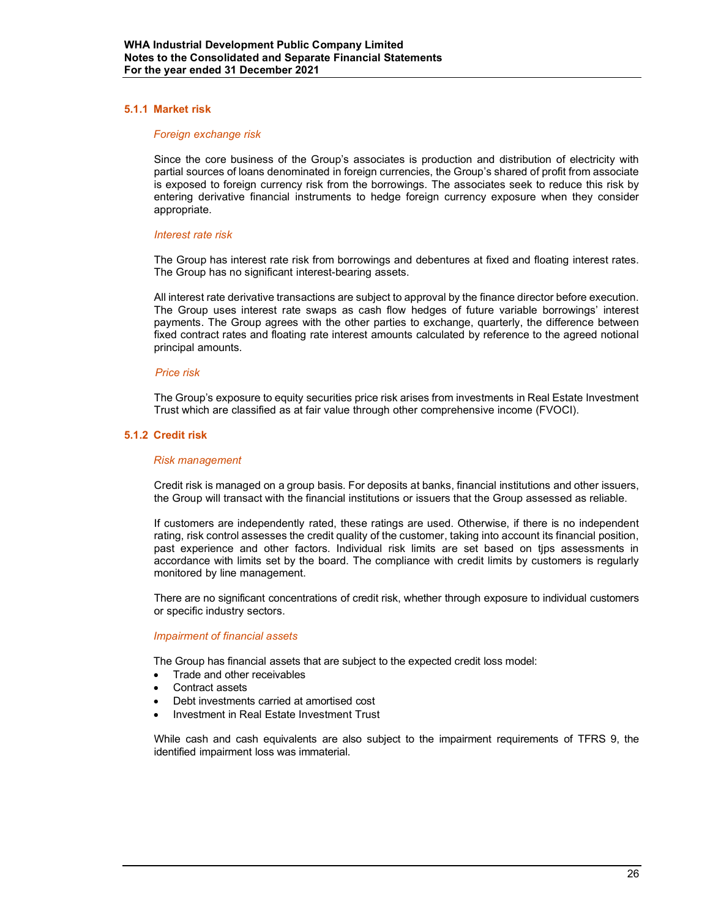## 5.1.1 Market risk

#### Foreign exchange risk

Since the core business of the Group's associates is production and distribution of electricity with partial sources of loans denominated in foreign currencies, the Group's shared of profit from associate is exposed to foreign currency risk from the borrowings. The associates seek to reduce this risk by entering derivative financial instruments to hedge foreign currency exposure when they consider appropriate.

#### Interest rate risk

The Group has interest rate risk from borrowings and debentures at fixed and floating interest rates. The Group has no significant interest-bearing assets.

All interest rate derivative transactions are subject to approval by the finance director before execution. The Group uses interest rate swaps as cash flow hedges of future variable borrowings' interest payments. The Group agrees with the other parties to exchange, quarterly, the difference between fixed contract rates and floating rate interest amounts calculated by reference to the agreed notional principal amounts.

#### Price risk

The Group's exposure to equity securities price risk arises from investments in Real Estate Investment Trust which are classified as at fair value through other comprehensive income (FVOCI).

#### 5.1.2 Credit risk

#### **Risk management**

Credit risk is managed on a group basis. For deposits at banks, financial institutions and other issuers, the Group will transact with the financial institutions or issuers that the Group assessed as reliable.

If customers are independently rated, these ratings are used. Otherwise, if there is no independent rating, risk control assesses the credit quality of the customer, taking into account its financial position, past experience and other factors. Individual risk limits are set based on tips assessments in accordance with limits set by the board. The compliance with credit limits by customers is regularly monitored by line management.

There are no significant concentrations of credit risk, whether through exposure to individual customers or specific industry sectors.

#### **Impairment of financial assets**

The Group has financial assets that are subject to the expected credit loss model:

- Trade and other receivables
- Contract assets
- Debt investments carried at amortised cost
- Investment in Real Estate Investment Trust

While cash and cash equivalents are also subject to the impairment requirements of TFRS 9, the identified impairment loss was immaterial.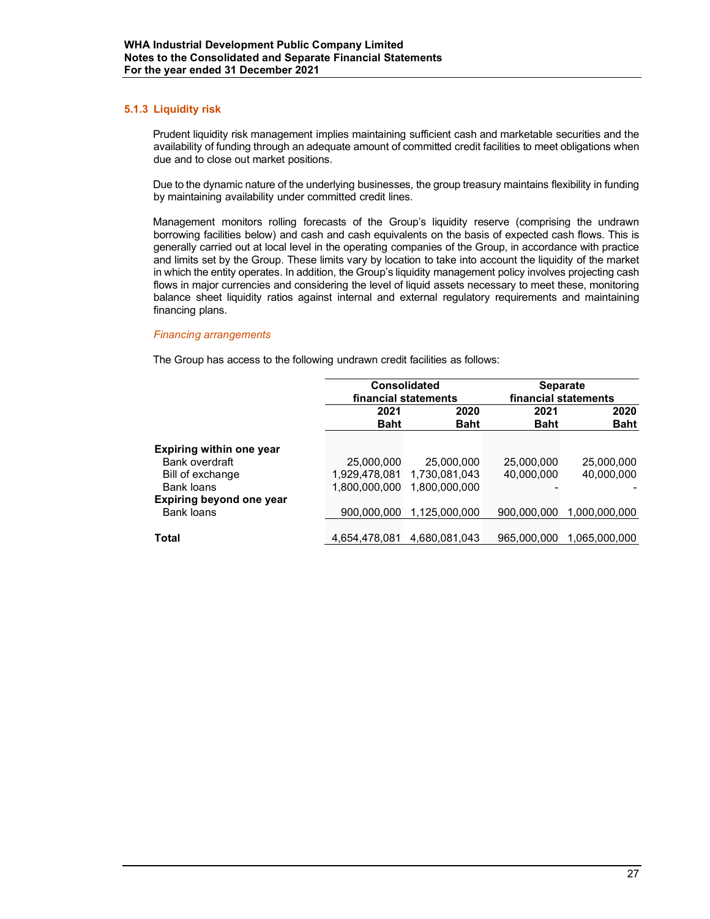# 5.1.3 Liquidity risk

Prudent liquidity risk management implies maintaining sufficient cash and marketable securities and the availability of funding through an adequate amount of committed credit facilities to meet obligations when due and to close out market positions.

Due to the dynamic nature of the underlying businesses, the group treasury maintains flexibility in funding by maintaining availability under committed credit lines.

Management monitors rolling forecasts of the Group's liquidity reserve (comprising the undrawn borrowing facilities below) and cash and cash equivalents on the basis of expected cash flows. This is generally carried out at local level in the operating companies of the Group, in accordance with practice and limits set by the Group. These limits vary by location to take into account the liquidity of the market in which the entity operates. In addition, the Group's liquidity management policy involves projecting cash flows in major currencies and considering the level of liquid assets necessary to meet these, monitoring balance sheet liquidity ratios against internal and external regulatory requirements and maintaining financing plans.

#### **Financing arrangements**

The Group has access to the following undrawn credit facilities as follows:

|                                 | <b>Consolidated</b><br>financial statements |               |                      | <b>Separate</b> |
|---------------------------------|---------------------------------------------|---------------|----------------------|-----------------|
|                                 |                                             |               | financial statements |                 |
|                                 | 2021                                        | 2020          | 2021                 | 2020            |
|                                 | <b>Baht</b>                                 | <b>Baht</b>   | <b>Baht</b>          | <b>Baht</b>     |
| <b>Expiring within one year</b> |                                             |               |                      |                 |
| Bank overdraft                  | 25,000,000                                  | 25,000,000    | 25,000,000           | 25,000,000      |
| Bill of exchange                | 1,929,478,081                               | 1,730,081,043 | 40.000.000           | 40,000,000      |
| Bank loans                      | 1.800.000.000                               | 1.800.000.000 |                      |                 |
| <b>Expiring beyond one year</b> |                                             |               |                      |                 |
| <b>Bank loans</b>               | 900.000.000                                 | 1,125,000,000 | 900.000.000          | 1.000.000.000   |
|                                 |                                             |               |                      |                 |
| Total                           | 4,654,478,081                               | 4.680.081.043 | 965.000.000          | 1.065.000.000   |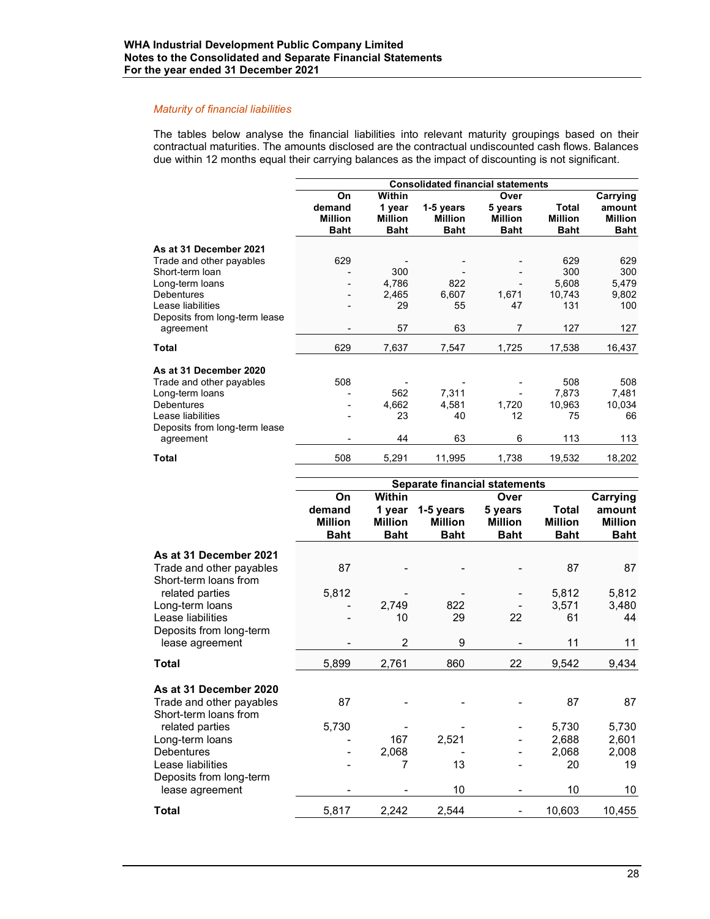# **Maturity of financial liabilities**

The tables below analyse the financial liabilities into relevant maturity groupings based on their contractual maturities. The amounts disclosed are the contractual undiscounted cash flows. Balances due within 12 months equal their carrying balances as the impact of discounting is not significant.

|                               |                          |                | <b>Consolidated financial statements</b> |                |                |                |
|-------------------------------|--------------------------|----------------|------------------------------------------|----------------|----------------|----------------|
|                               | On                       | Within         |                                          | Over           |                | Carrying       |
|                               | demand                   | 1 year         | 1-5 years                                | 5 years        | Total          | amount         |
|                               | <b>Million</b>           | <b>Million</b> | <b>Million</b>                           | <b>Million</b> | <b>Million</b> | <b>Million</b> |
|                               | <b>Baht</b>              | <b>Baht</b>    | <b>Baht</b>                              | <b>Baht</b>    | Baht           | Baht           |
| As at 31 December 2021        |                          |                |                                          |                |                |                |
| Trade and other payables      | 629                      |                |                                          |                | 629            | 629            |
| Short-term loan               |                          | 300            |                                          |                | 300            | 300            |
| Long-term loans               |                          | 4,786          | 822                                      |                | 5,608          | 5,479          |
| <b>Debentures</b>             |                          | 2,465          | 6,607                                    | 1,671          | 10,743         | 9,802          |
| Lease liabilities             |                          | 29             | 55                                       | 47             | 131            | 100            |
| Deposits from long-term lease |                          |                |                                          |                |                |                |
| agreement                     | $\overline{\phantom{a}}$ | 57             | 63                                       | 7              | 127            | 127            |
| Total                         | 629                      | 7,637          | 7,547                                    | 1,725          | 17,538         | 16,437         |
| As at 31 December 2020        |                          |                |                                          |                |                |                |
| Trade and other payables      | 508                      |                |                                          |                | 508            | 508            |
| Long-term loans               |                          | 562            | 7,311                                    |                | 7,873          | 7,481          |
| <b>Debentures</b>             |                          | 4,662          | 4,581                                    | 1,720          | 10,963         | 10,034         |
| Lease liabilities             |                          | 23             | 40                                       | 12             | 75             | 66             |
| Deposits from long-term lease |                          |                |                                          |                |                |                |
| agreement                     |                          | 44             | 63                                       | 6              | 113            | 113            |
| Total                         | 508                      | 5.291          | 11.995                                   | 1.738          | 19.532         | 18.202         |

|                          |                |                | <b>Separate financial statements</b> |                |                |                |
|--------------------------|----------------|----------------|--------------------------------------|----------------|----------------|----------------|
|                          | On             | Within         |                                      | Over           |                | Carrying       |
|                          | demand         | 1 year         | 1-5 years                            | 5 years        | Total          | amount         |
|                          | <b>Million</b> | <b>Million</b> | <b>Million</b>                       | <b>Million</b> | <b>Million</b> | <b>Million</b> |
|                          | <b>Baht</b>    | <b>Baht</b>    | <b>Baht</b>                          | <b>Baht</b>    | <b>Baht</b>    | <b>Baht</b>    |
| As at 31 December 2021   |                |                |                                      |                |                |                |
| Trade and other payables | 87             |                |                                      |                | 87             | 87             |
| Short-term loans from    |                |                |                                      |                |                |                |
| related parties          | 5,812          |                |                                      |                | 5,812          | 5,812          |
| Long-term loans          |                | 2,749          | 822                                  |                | 3,571          | 3,480          |
| Lease liabilities        |                | 10             | 29                                   | 22             | 61             | 44             |
| Deposits from long-term  |                |                |                                      |                |                |                |
| lease agreement          |                | $\overline{2}$ | 9                                    |                | 11             | 11             |
| Total                    | 5,899          | 2,761          | 860                                  | 22             | 9,542          | 9,434          |
| As at 31 December 2020   |                |                |                                      |                |                |                |
| Trade and other payables | 87             |                |                                      |                | 87             | 87             |
| Short-term loans from    |                |                |                                      |                |                |                |
| related parties          | 5,730          |                |                                      |                | 5,730          | 5,730          |
| Long-term loans          |                | 167            | 2,521                                |                | 2,688          | 2,601          |
| <b>Debentures</b>        |                | 2,068          |                                      |                | 2,068          | 2,008          |
| Lease liabilities        |                |                | 13                                   |                | 20             | 19             |
| Deposits from long-term  |                |                |                                      |                |                |                |
| lease agreement          |                |                | 10                                   |                | 10             | 10             |
| Total                    | 5,817          | 2,242          | 2,544                                |                | 10,603         | 10,455         |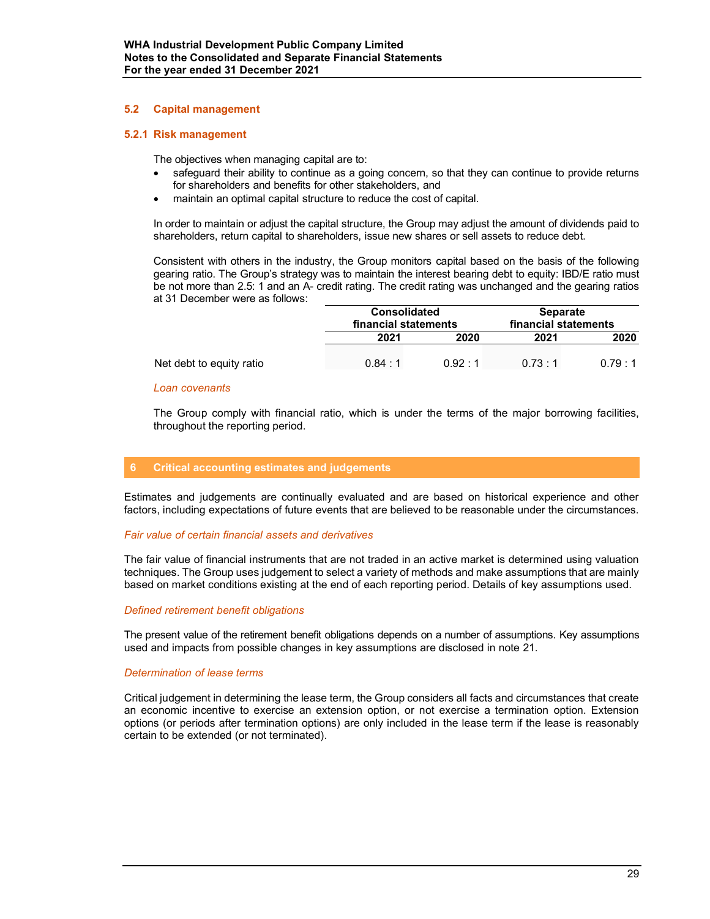#### $5.2$ **Capital management**

#### 5.2.1 Risk management

The objectives when managing capital are to:

- safeguard their ability to continue as a going concern, so that they can continue to provide returns for shareholders and benefits for other stakeholders, and
- maintain an optimal capital structure to reduce the cost of capital.

In order to maintain or adjust the capital structure, the Group may adjust the amount of dividends paid to shareholders, return capital to shareholders, issue new shares or sell assets to reduce debt.

Consistent with others in the industry, the Group monitors capital based on the basis of the following gearing ratio. The Group's strategy was to maintain the interest bearing debt to equity: IBD/E ratio must be not more than 2.5: 1 and an A- credit rating. The credit rating was unchanged and the gearing ratios at 31 December were as follows:

|                          | <b>Consolidated</b>  |          |                      | <b>Separate</b> |
|--------------------------|----------------------|----------|----------------------|-----------------|
|                          | financial statements |          | financial statements |                 |
|                          | 2021                 | 2020     | 2021                 | 2020            |
|                          |                      |          |                      |                 |
| Net debt to equity ratio | 0.84:1               | 0.92 : 1 | 0.73:1               | 0.79:1          |

#### Loan covenants

The Group comply with financial ratio, which is under the terms of the major borrowing facilities, throughout the reporting period.

#### $6\phantom{a}6$ **Critical accounting estimates and judgements**

Estimates and judgements are continually evaluated and are based on historical experience and other factors, including expectations of future events that are believed to be reasonable under the circumstances.

#### Fair value of certain financial assets and derivatives

The fair value of financial instruments that are not traded in an active market is determined using valuation techniques. The Group uses judgement to select a variety of methods and make assumptions that are mainly based on market conditions existing at the end of each reporting period. Details of key assumptions used.

#### Defined retirement benefit obligations

The present value of the retirement benefit obligations depends on a number of assumptions. Key assumptions used and impacts from possible changes in key assumptions are disclosed in note 21.

#### Determination of lease terms

Critical judgement in determining the lease term, the Group considers all facts and circumstances that create an economic incentive to exercise an extension option, or not exercise a termination option. Extension options (or periods after termination options) are only included in the lease term if the lease is reasonably certain to be extended (or not terminated).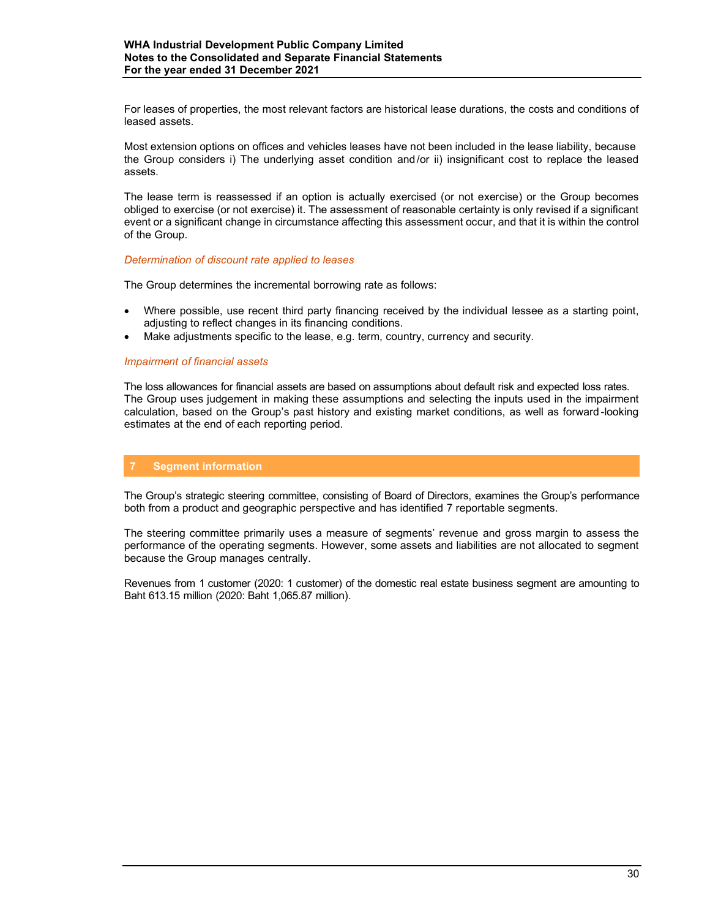For leases of properties, the most relevant factors are historical lease durations, the costs and conditions of leased assets.

Most extension options on offices and vehicles leases have not been included in the lease liability, because the Group considers i) The underlying asset condition and/or ii) insignificant cost to replace the leased assets.

The lease term is reassessed if an option is actually exercised (or not exercise) or the Group becomes obliged to exercise (or not exercise) it. The assessment of reasonable certainty is only revised if a significant event or a significant change in circumstance affecting this assessment occur, and that it is within the control of the Group.

#### Determination of discount rate applied to leases

The Group determines the incremental borrowing rate as follows:

- Where possible, use recent third party financing received by the individual lessee as a starting point, adjusting to reflect changes in its financing conditions.
- Make adjustments specific to the lease, e.g. term, country, currency and security.

#### Impairment of financial assets

The loss allowances for financial assets are based on assumptions about default risk and expected loss rates. The Group uses judgement in making these assumptions and selecting the inputs used in the impairment calculation, based on the Group's past history and existing market conditions, as well as forward-looking estimates at the end of each reporting period.

### **Segment information**

The Group's strategic steering committee, consisting of Board of Directors, examines the Group's performance both from a product and geographic perspective and has identified 7 reportable segments.

The steering committee primarily uses a measure of segments' revenue and gross margin to assess the performance of the operating segments. However, some assets and liabilities are not allocated to segment because the Group manages centrally.

Revenues from 1 customer (2020: 1 customer) of the domestic real estate business segment are amounting to Baht 613.15 million (2020: Baht 1,065.87 million).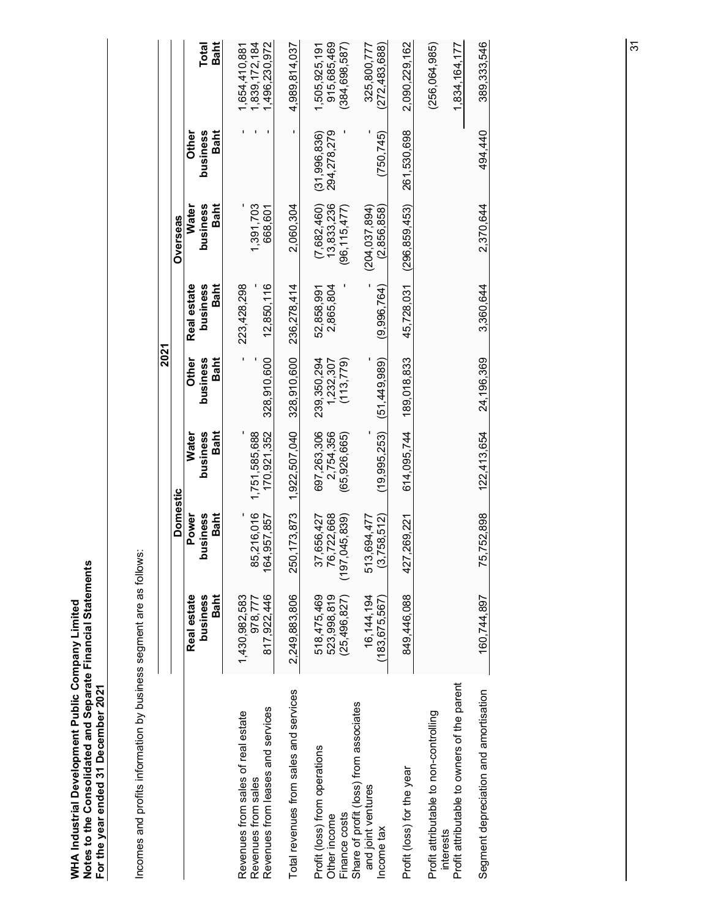Incomes and profits information by business segment are as follows:

|                                                                                                    |                                              |                                               |                                          | 2021                                  |                           |                                             |                             |                                                 |
|----------------------------------------------------------------------------------------------------|----------------------------------------------|-----------------------------------------------|------------------------------------------|---------------------------------------|---------------------------|---------------------------------------------|-----------------------------|-------------------------------------------------|
|                                                                                                    |                                              | <b>Domestic</b>                               |                                          |                                       |                           | <b>Overseas</b>                             |                             |                                                 |
|                                                                                                    | Real estate                                  | Power                                         | Water                                    | Other                                 | Real estate               | Water                                       | Other                       |                                                 |
|                                                                                                    | Baht<br>business                             | <b>business</b><br>Baht                       | Baht<br>business                         | Baht<br>business                      | business<br>Baht          | Baht<br>business                            | Baht<br>business            | Baht<br>Total                                   |
| Revenues from leases and services<br>Revenues from sales of real estate<br>Revenues from sales     | 1,430,982,583<br>817, 922, 446<br>978,777    | 85,216,016<br>164,957,857                     | 170,921,352<br>1,751,585,688             | 328,910,600                           | 223,428,298<br>12,850,116 | 1,391,703<br>668,601                        |                             | ,496,230,972<br>,839,172,184<br>654,410,881     |
| Total revenues from sales and services                                                             | 2,249,883,806                                | 250, 173, 873                                 | 1.922.507.040                            | 328,910,600                           | 236.278.414               | 2,060,304                                   |                             | 4,989,814,037                                   |
| Profit (loss) from operations<br>Finance costs<br>Other income                                     | 518,475,469<br>523,998,819<br>(25, 496, 827) | 37,656,427<br>76,722,668<br>045,839)<br>(197, | 697,263,306<br>2,754,356<br>(65,926,665) | 239,350,294<br>1,232,307<br>(113,779) | 2,865,804<br>52,858,991   | 13,833,236<br>(7,682,460)<br>(96, 115, 477) | 294,278,279<br>(31,996,836) | 915,685,469<br>1,505,925,191<br>(384, 698, 587) |
| Share of profit (loss) from associates<br>and joint ventures<br>Income tax                         | 16, 144, 194<br>183,675,567                  | 758,512)<br>513,694,477<br>ಲ                  | (19.995.253)                             | (51, 449, 989)                        | (9,996,764)               | (204, 037, 894)<br>(2,856,858)              | 750,745)                    | 325.800.777<br>(272, 483, 688)                  |
| Profit (loss) for the year                                                                         | 849,446,088                                  | 7,269,221<br>427                              | 614.095.744                              | 189.018.833                           | 45,728,031                | (296.859.453)                               | 261.530.698                 | 2,090,229,162                                   |
| Profit attributable to owners of the parent<br>Profit attributable to non-controlling<br>interests |                                              |                                               |                                          |                                       |                           |                                             |                             | 1,834,164,177<br>(256,064,985)                  |
| Segment depreciation and amortisation                                                              | 160,744,897                                  | 75,752,898                                    | 122,413,654                              | 24.196.369                            | 3.360.644                 | 2.370.644                                   | 494.440                     | 389.333.546                                     |
|                                                                                                    |                                              |                                               |                                          |                                       |                           |                                             |                             |                                                 |

 $\overline{5}$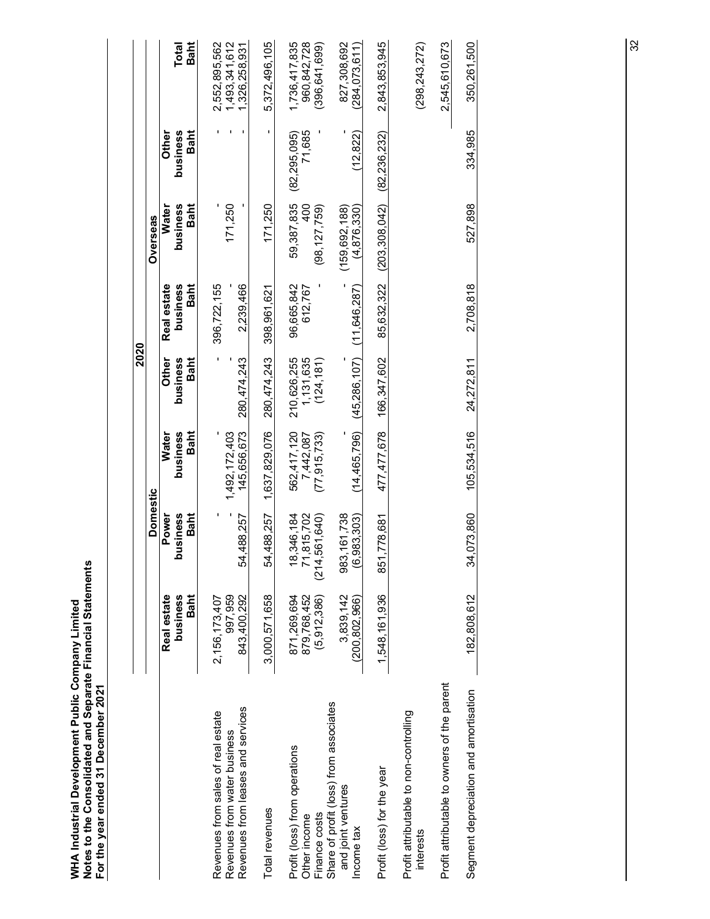|                                                                                                         |                                           |                                                                 |                                            | 2020                                   |                                 |                                               |                                  |                                                 |
|---------------------------------------------------------------------------------------------------------|-------------------------------------------|-----------------------------------------------------------------|--------------------------------------------|----------------------------------------|---------------------------------|-----------------------------------------------|----------------------------------|-------------------------------------------------|
|                                                                                                         |                                           | <b>Domestic</b>                                                 |                                            |                                        |                                 | <b>Overseas</b>                               |                                  |                                                 |
|                                                                                                         | Real estate<br>business<br>Baht           | seausnuc<br>Baht<br>Power                                       | Baht<br>business<br>Water                  | <b>Other</b><br>business<br>Baht       | Real estate<br>business<br>Baht | Baht<br>business<br>Water                     | <b>Other</b><br>business<br>Baht | Baht<br>Total                                   |
| Revenues from leases and services<br>Revenues from sales of real estate<br>Revenues from water business | 997,959<br>843,400,292<br>2,156,173,407   | ,488,257<br>R                                                   | 145,656,673<br>1,492,172,403               | 280,474,243                            | 396,722,155<br>2,239,466        | 171,250                                       |                                  | 2,552,895,562<br>1,493,341,612<br>1,326,258,931 |
| Total revenues                                                                                          | 3,000,571,658                             | 488,257<br>Ŗ                                                    | 1,637,829,076                              | 280,474,243                            | 398,961,621                     | 171,250                                       |                                  | 5,372,496,105                                   |
| Profit (loss) from operations<br>Finance costs<br>Other income                                          | 879,768,452<br>(5,912,386)<br>871,269,694 | ,346,184<br>815,702<br>561,640)<br>₽<br>$\overline{z}$<br>(214, | 562,417,120<br>(77, 915, 733)<br>7,442,087 | 210,626,255<br>1,131,635<br>(124, 181) | 96,665,842<br>612,767           | 59,387,835<br>$\frac{1}{2}$<br>(98, 127, 759) | /1,685<br>(82, 295, 095)         | 1,736,417,835<br>960,842,728<br>(396, 641, 699) |
| Share of profit (loss) from associates<br>and joint ventures<br>Income tax                              | 3,839,142<br>(200, 802, 966)              | 983, 161, 738<br>(6,983,303)                                    | (14, 465, 796)                             | (45, 286, 107)                         | (11, 646, 287)                  | (4, 876, 330)<br>(159, 692, 188)              | (12, 822)                        | 827,308,692<br>(284, 073, 611)                  |
| Profit (loss) for the year                                                                              | 1,548,161,936                             | ,778,681<br>851                                                 | 477, 477, 678                              | 166,347,602                            |                                 | 85,632,322 (203,308,042)                      | (82, 236, 232)                   | 2,843,853,945                                   |
| Profit attributable to non-controlling<br>interests                                                     |                                           |                                                                 |                                            |                                        |                                 |                                               |                                  | (298, 243, 272)                                 |
| Profit attributable to owners of the parent                                                             |                                           |                                                                 |                                            |                                        |                                 |                                               |                                  | 2,545,610,673                                   |
| Segment depreciation and amortisation                                                                   | 182,808,612                               | 34,073,860                                                      | 105,534,516                                | 24.272.811                             | 2,708,818                       | 527.898                                       | 334.985                          | 350,261,500                                     |
|                                                                                                         |                                           |                                                                 |                                            |                                        |                                 |                                               |                                  |                                                 |

 $\sqrt{3}$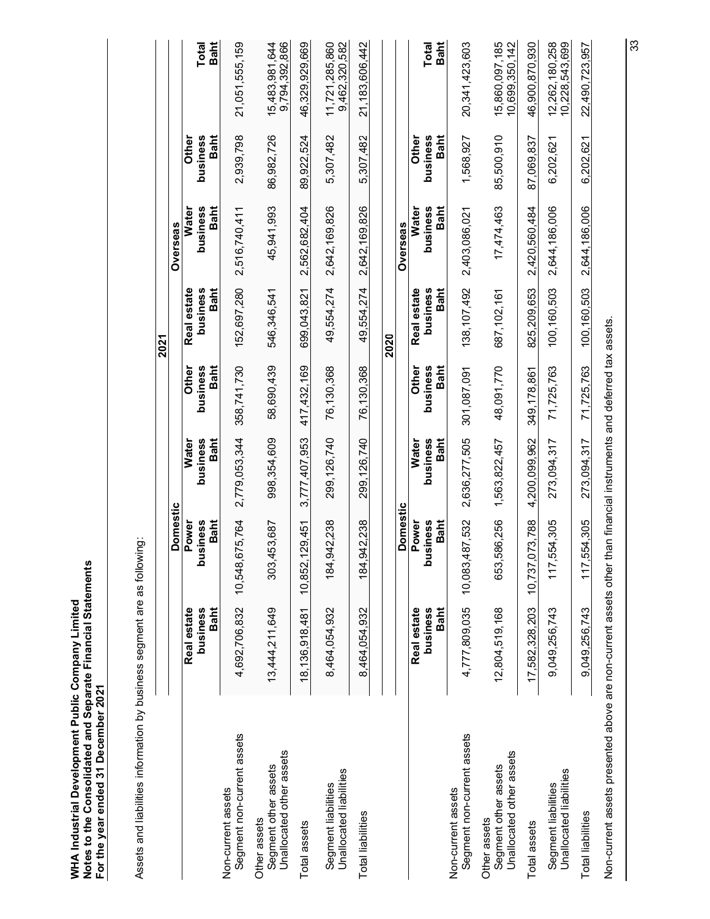Assets and liabilities information by business segment are as following:

|                                                                   |                                        |                                     |                                                     |                           | 2021                            |                           |                           |                                  |
|-------------------------------------------------------------------|----------------------------------------|-------------------------------------|-----------------------------------------------------|---------------------------|---------------------------------|---------------------------|---------------------------|----------------------------------|
|                                                                   |                                        | Domestic                            |                                                     |                           |                                 | <b>Overseas</b>           |                           |                                  |
|                                                                   | <b>Baht</b><br>Real estate<br>business | Baht<br>Power<br>siness<br><u>ದ</u> | Baht<br>Water<br>business                           | Other<br>Baht<br>business | Baht<br>business<br>Real estate | Baht<br>business<br>Water | Baht<br>Other<br>business | Baht<br>Total                    |
| Segment non-current assets<br>Non-current assets                  |                                        | 4,692,706,832 10,548,675,764        | 2,779,053,344                                       | 358,741,730               | 152,697,280                     | 2,516,740,411             | 2,939,798                 | 21,051,555,159                   |
| Unallocated other assets<br>Segment other assets<br>Other assets  | 13,444,211,649                         | 303,453,687                         | 998,354,609                                         | 58,690,439                | 546,346,541                     | 45,941,993                | 86,982,726                | 9,794,392,866<br>15,483,981,644  |
| Total assets                                                      | 18,136,918,481                         | 129,451<br>10,852,                  | 3,777,407,953                                       | 417, 432, 169             | 699,043,821                     | 2,562,682,404             | 89,922,524                | 46,329,929,669                   |
| Unallocated liabilities<br>Segment liabilities                    | 8,464,054,932                          | 184,942,238                         | 299, 126, 740                                       | 76,130,368                | 49,554,274                      | 2,642,169,826             | 5,307,482                 | 9,462,320,582<br>11,721,285,860  |
| <b>Total liabilities</b>                                          | 8,464,054,932                          | 184,942,238                         | 299,126,740                                         | 76,130,368                | 49,554,274                      | 2,642,169,826             | 5,307,482                 | 21,183,606,442                   |
|                                                                   |                                        |                                     |                                                     |                           | 2020                            |                           |                           |                                  |
|                                                                   |                                        | <b>Domestic</b>                     |                                                     |                           |                                 | <b>Overseas</b>           |                           |                                  |
|                                                                   | Baht<br>business<br>Real estate        | Power<br>Baht<br>siness<br><u>ದ</u> | Baht<br>business<br>Water                           | Baht<br>Other<br>business | Baht<br>business<br>Real estate | Baht<br>Water<br>business | Baht<br>business<br>Other | Baht<br>Total                    |
| Segment non-current assets<br>Non-current assets                  | 4,777,809,035                          | 10,083,487,532                      | 2,636,277,505                                       | 301,087,091               | 138, 107, 492                   | 2,403,086,021             | 1,568,927                 | 20,341,423,603                   |
| Unallocated other assets<br>Segment other assets<br>Other assets  | 12,804,519,168                         | 653,586,256                         | 1,563,822,457                                       | 48,091,770                | 687, 102, 161                   | 17,474,463                | 85,500,910                | 15,860,097,185<br>10,699,350,142 |
| Total assets                                                      | 17,582,328,203                         | 10,737,073,788                      | 4,200,099,962                                       | 349,178,861               | 825,209,653                     | 2,420,560,484             | 87.069.837                | 46,900,870,930                   |
| Unallocated liabilities<br>Segment liabilities                    | 9,049,256,743                          | 117,554,305                         | 273,094,317                                         | 71,725,763                | 100, 160, 503                   | 2,644,186,006             | 6,202,621                 | 12,262,180,258<br>10,228,543,699 |
| <b>Total liabilities</b>                                          | 9,049,256,743                          | 117,554,305                         | 273,094,317                                         | 71,725,763                | 100, 160, 503                   | 2,644,186,006             | 6,202,621                 | 22,490,723,957                   |
| Non-current assets presented above are non-current assets other t |                                        |                                     | than financial instruments and deferred tax assets. |                           |                                 |                           |                           |                                  |

 $33$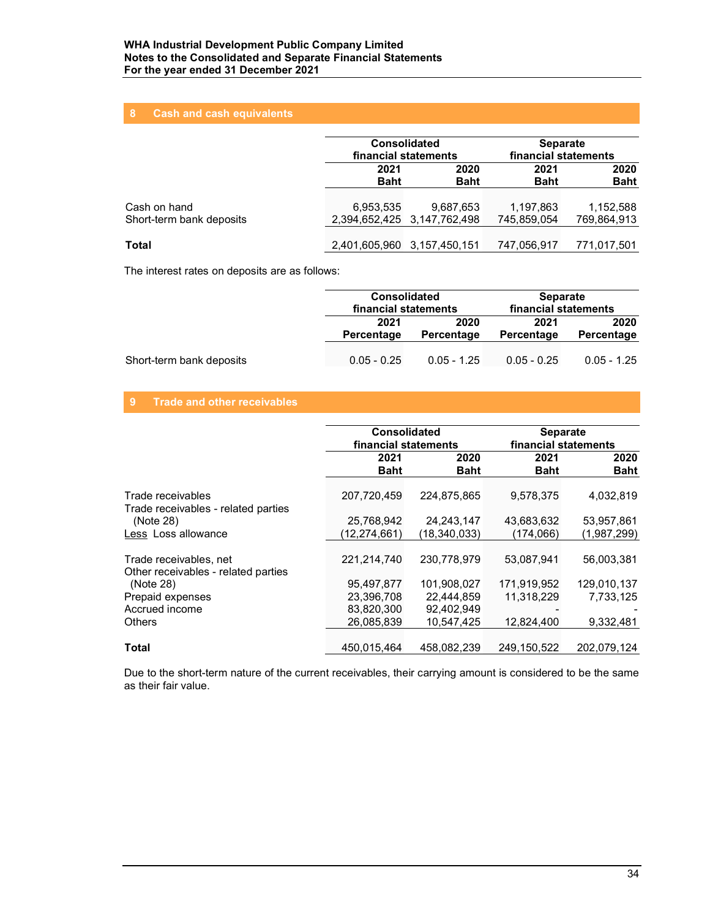### **Cash and cash equivalents**

|                          |                      | <b>Consolidated</b>         | <b>Separate</b>      |             |
|--------------------------|----------------------|-----------------------------|----------------------|-------------|
|                          | financial statements |                             | financial statements |             |
|                          | 2021                 | 2020                        | 2021                 | 2020        |
|                          | <b>Baht</b>          | <b>Baht</b>                 | <b>Baht</b>          | <b>Baht</b> |
| Cash on hand             | 6.953.535            | 9.687.653                   | 1,197,863            | 1.152.588   |
| Short-term bank deposits |                      | 2,394,652,425 3,147,762,498 | 745,859,054          | 769,864,913 |
|                          |                      |                             |                      |             |
| Total                    |                      | 2,401,605,960 3,157,450,151 | 747,056,917          | 771,017,501 |

The interest rates on deposits are as follows:

|                          | <b>Consolidated</b><br>financial statements |                    | <b>Separate</b><br>financial statements |                    |
|--------------------------|---------------------------------------------|--------------------|-----------------------------------------|--------------------|
|                          | 2021<br>Percentage                          | 2020<br>Percentage | 2021<br>Percentage                      | 2020<br>Percentage |
| Short-term bank deposits | $0.05 - 0.25$                               | $0.05 - 1.25$      | $0.05 - 0.25$                           | $0.05 - 1.25$      |

# **Trade and other receivables**

|                                                               | <b>Consolidated</b><br>financial statements |                              | <b>Separate</b><br>financial statements |                           |
|---------------------------------------------------------------|---------------------------------------------|------------------------------|-----------------------------------------|---------------------------|
|                                                               | 2021<br><b>Baht</b>                         | 2020<br>Baht                 | 2021<br><b>Baht</b>                     | 2020<br><b>Baht</b>       |
| Trade receivables<br>Trade receivables - related parties      | 207,720,459                                 | 224,875,865                  | 9,578,375                               | 4,032,819                 |
| (Note 28)<br>Less Loss allowance                              | 25,768,942<br>(12,274,661)                  | 24, 243, 147<br>(18,340,033) | 43,683,632<br>(174,066)                 | 53.957.861<br>(1,987,299) |
| Trade receivables, net<br>Other receivables - related parties | 221,214,740                                 | 230.778.979                  | 53,087,941                              | 56.003.381                |
| (Note 28)<br>Prepaid expenses                                 | 95,497,877<br>23,396,708                    | 101,908,027<br>22.444.859    | 171,919,952<br>11.318.229               | 129,010,137<br>7,733,125  |
| Accrued income<br><b>Others</b>                               | 83,820,300<br>26.085.839                    | 92,402,949<br>10.547.425     | 12.824.400                              | 9,332,481                 |
| Total                                                         | 450,015,464                                 | 458,082,239                  | 249.150.522                             | 202,079,124               |

Due to the short-term nature of the current receivables, their carrying amount is considered to be the same as their fair value.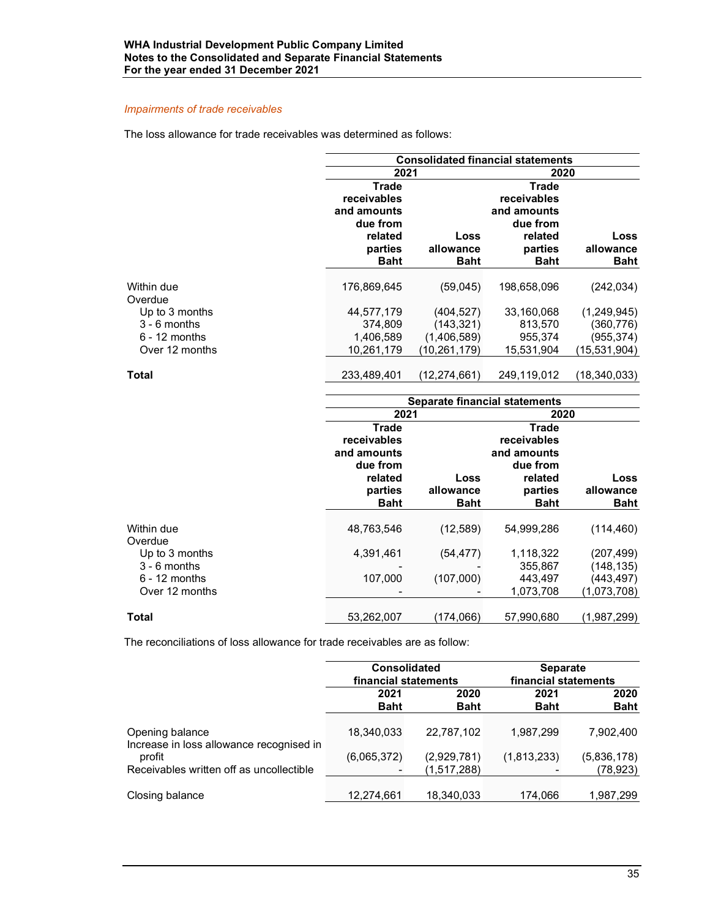# Impairments of trade receivables

The loss allowance for trade receivables was determined as follows:

|                 |             |                | <b>Consolidated financial statements</b> |              |
|-----------------|-------------|----------------|------------------------------------------|--------------|
|                 | 2021        |                | 2020                                     |              |
|                 | Trade       |                | Trade                                    |              |
|                 | receivables |                | receivables                              |              |
|                 | and amounts |                | and amounts                              |              |
|                 | due from    |                | due from                                 |              |
|                 | related     | Loss           | related                                  | Loss         |
|                 | parties     | allowance      | parties                                  | allowance    |
|                 | <b>Baht</b> | <b>Baht</b>    | <b>Baht</b>                              | <b>Baht</b>  |
|                 |             |                |                                          |              |
| Within due      | 176,869,645 | (59,045)       | 198,658,096                              | (242, 034)   |
| Overdue         |             |                |                                          |              |
| Up to 3 months  | 44,577,179  | (404, 527)     | 33,160,068                               | (1,249,945)  |
| $3 - 6$ months  | 374.809     | (143, 321)     | 813,570                                  | (360,776)    |
| $6 - 12$ months | 1,406,589   | (1,406,589)    | 955,374                                  | (955, 374)   |
| Over 12 months  | 10,261,179  | (10,261,179)   | 15,531,904                               | (15,531,904) |
|                 |             |                |                                          |              |
| Total           | 233.489.401 | (12, 274, 661) | 249.119.012                              | (18,340,033) |

|                       |                                                 |             | <b>Separate financial statements</b>            |             |
|-----------------------|-------------------------------------------------|-------------|-------------------------------------------------|-------------|
|                       | 2021                                            |             | 2020                                            |             |
|                       | Trade<br>receivables<br>and amounts<br>due from |             | Trade<br>receivables<br>and amounts<br>due from |             |
|                       | related                                         | Loss        | related                                         | Loss        |
|                       | parties                                         | allowance   | parties                                         | allowance   |
|                       | Baht                                            | <b>Baht</b> | <b>Baht</b>                                     | <b>Baht</b> |
| Within due<br>Overdue | 48,763,546                                      | (12, 589)   | 54,999,286                                      | (114, 460)  |
| Up to 3 months        | 4,391,461                                       | (54, 477)   | 1,118,322                                       | (207, 499)  |
| $3 - 6$ months        |                                                 |             | 355,867                                         | (148, 135)  |
| $6 - 12$ months       | 107,000                                         | (107,000)   | 443,497                                         | (443, 497)  |
| Over 12 months        |                                                 |             | 1,073,708                                       | (1,073,708) |
| <b>Total</b>          | 53,262,007                                      | (174, 066)  | 57,990,680                                      | (1,987,299) |

The reconciliations of loss allowance for trade receivables are as follow:

|                                                             | <b>Consolidated</b><br>financial statements |                            | <b>Separate</b><br>financial statements |                         |  |
|-------------------------------------------------------------|---------------------------------------------|----------------------------|-----------------------------------------|-------------------------|--|
|                                                             | 2021<br><b>Baht</b>                         | 2020<br><b>Baht</b>        | 2021<br><b>Baht</b>                     | 2020<br><b>Baht</b>     |  |
| Opening balance<br>Increase in loss allowance recognised in | 18,340,033                                  | 22.787.102                 | 1.987.299                               | 7,902,400               |  |
| profit<br>Receivables written off as uncollectible          | (6,065,372)                                 | (2,929,781)<br>(1,517,288) | (1,813,233)                             | (5,836,178)<br>(78,923) |  |
| Closing balance                                             | 12,274,661                                  | 18,340,033                 | 174,066                                 | 1,987,299               |  |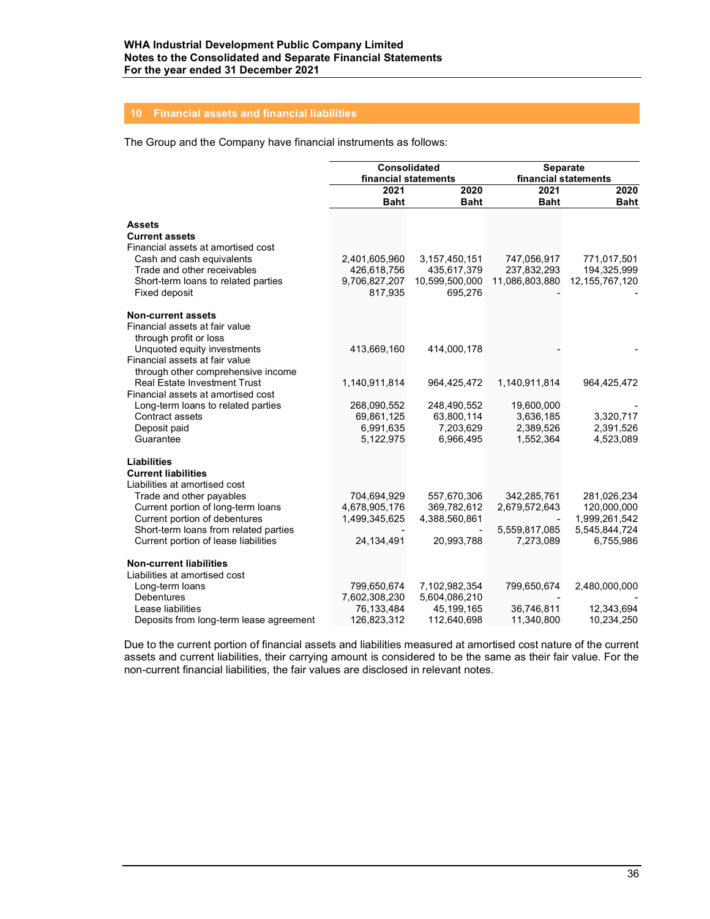## 10 Financial assets and financial liabilities

The Group and the Company have financial instruments as follows:

|                                                                                                                                          |                                                     | <b>Consolidated</b>                                 | <b>Separate</b><br>financial statements           |                                                              |  |
|------------------------------------------------------------------------------------------------------------------------------------------|-----------------------------------------------------|-----------------------------------------------------|---------------------------------------------------|--------------------------------------------------------------|--|
|                                                                                                                                          |                                                     | financial statements                                |                                                   |                                                              |  |
|                                                                                                                                          | 2021<br><b>Baht</b>                                 | 2020<br><b>Baht</b>                                 | 2021<br><b>Baht</b>                               | 2020<br><b>Baht</b>                                          |  |
| <b>Assets</b><br><b>Current assets</b><br>Financial assets at amortised cost<br>Cash and cash equivalents                                | 2,401,605,960                                       | 3,157,450,151                                       | 747,056,917                                       | 771,017,501                                                  |  |
| Trade and other receivables<br>Short-term loans to related parties<br>Fixed deposit                                                      | 426,618,756<br>9,706,827,207<br>817,935             | 435,617,379<br>10,599,500,000<br>695,276            | 237,832,293<br>11,086,803,880                     | 194,325,999<br>12, 155, 767, 120                             |  |
| <b>Non-current assets</b><br>Financial assets at fair value<br>through profit or loss<br>Unquoted equity investments                     | 413,669,160                                         | 414,000,178                                         |                                                   |                                                              |  |
| Financial assets at fair value<br>through other comprehensive income<br><b>Real Estate Investment Trust</b>                              | 1,140,911,814                                       | 964,425,472                                         | 1,140,911,814                                     | 964,425,472                                                  |  |
| Financial assets at amortised cost<br>Long-term loans to related parties<br>Contract assets<br>Deposit paid<br>Guarantee                 | 268,090,552<br>69,861,125<br>6,991,635<br>5,122,975 | 248,490,552<br>63,800,114<br>7,203,629<br>6,966,495 | 19,600,000<br>3,636,185<br>2,389,526<br>1,552,364 | 3,320,717<br>2,391,526<br>4,523,089                          |  |
| <b>Liabilities</b><br><b>Current liabilities</b><br>Liabilities at amortised cost                                                        |                                                     |                                                     |                                                   |                                                              |  |
| Trade and other payables<br>Current portion of long-term loans<br>Current portion of debentures<br>Short-term loans from related parties | 704,694,929<br>4,678,905,176<br>1,499,345,625       | 557,670,306<br>369,782,612<br>4,388,560,861         | 342,285,761<br>2,679,572,643<br>5,559,817,085     | 281,026,234<br>120,000,000<br>1,999,261,542<br>5,545,844,724 |  |
| Current portion of lease liabilities<br><b>Non-current liabilities</b><br>Liabilities at amortised cost                                  | 24, 134, 491                                        | 20,993,788                                          | 7,273,089                                         | 6,755,986                                                    |  |
| Long-term loans<br><b>Debentures</b>                                                                                                     | 799,650,674<br>7,602,308,230                        | 7,102,982,354<br>5,604,086,210                      | 799,650,674                                       | 2,480,000,000                                                |  |
| Lease liabilities<br>Deposits from long-term lease agreement                                                                             | 76,133,484<br>126,823,312                           | 45, 199, 165<br>112,640,698                         | 36,746,811<br>11,340,800                          | 12,343,694<br>10,234,250                                     |  |

Due to the current portion of financial assets and liabilities measured at amortised cost nature of the current assets and current liabilities, their carrying amount is considered to be the same as their fair value. For the non-current financial liabilities, the fair values are disclosed in relevant notes.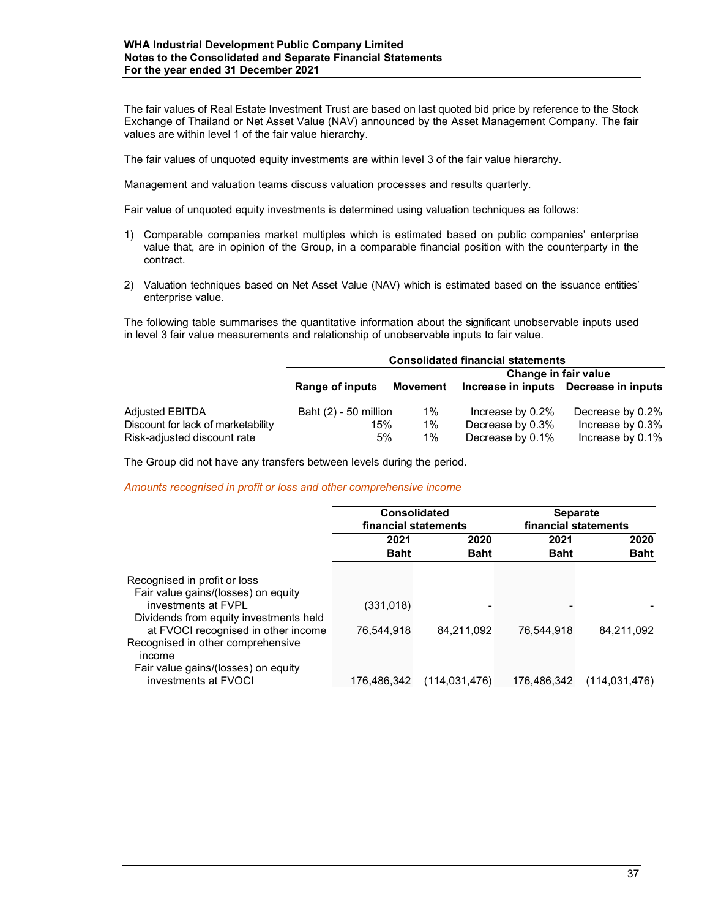The fair values of Real Estate Investment Trust are based on last quoted bid price by reference to the Stock Exchange of Thailand or Net Asset Value (NAV) announced by the Asset Management Company. The fair values are within level 1 of the fair value hierarchy.

The fair values of unquoted equity investments are within level 3 of the fair value hierarchy.

Management and valuation teams discuss valuation processes and results quarterly.

Fair value of unquoted equity investments is determined using valuation techniques as follows:

- 1) Comparable companies market multiples which is estimated based on public companies' enterprise value that, are in opinion of the Group, in a comparable financial position with the counterparty in the contract.
- 2) Valuation techniques based on Net Asset Value (NAV) which is estimated based on the issuance entities' enterprise value.

The following table summarises the quantitative information about the significant unobservable inputs used in level 3 fair value measurements and relationship of unobservable inputs to fair value.

|                                    | <b>Consolidated financial statements</b> |          |                  |                                       |  |  |  |
|------------------------------------|------------------------------------------|----------|------------------|---------------------------------------|--|--|--|
|                                    | Change in fair value                     |          |                  |                                       |  |  |  |
|                                    | Range of inputs                          | Movement |                  | Increase in inputs Decrease in inputs |  |  |  |
| Adjusted EBITDA                    | Baht $(2)$ - 50 million                  | $1\%$    | Increase by 0.2% | Decrease by 0.2%                      |  |  |  |
| Discount for lack of marketability | 15%                                      | $1\%$    | Decrease by 0.3% | Increase by 0.3%                      |  |  |  |
| Risk-adjusted discount rate        | 5%                                       | $1\%$    | Decrease by 0.1% | Increase by 0.1%                      |  |  |  |

The Group did not have any transfers between levels during the period.

Amounts recognised in profit or loss and other comprehensive income

|                                                                                    | <b>Consolidated</b><br>financial statements |                     | <b>Separate</b><br>financial statements |                     |  |
|------------------------------------------------------------------------------------|---------------------------------------------|---------------------|-----------------------------------------|---------------------|--|
|                                                                                    | 2021<br><b>Baht</b>                         | 2020<br><b>Baht</b> | 2021<br><b>Baht</b>                     | 2020<br><b>Baht</b> |  |
| Recognised in profit or loss<br>Fair value gains/(losses) on equity                |                                             |                     |                                         |                     |  |
| investments at FVPL<br>Dividends from equity investments held                      | (331, 018)                                  |                     |                                         |                     |  |
| at FVOCI recognised in other income<br>Recognised in other comprehensive<br>income | 76,544,918                                  | 84.211.092          | 76.544.918                              | 84,211,092          |  |
| Fair value gains/(losses) on equity<br>investments at FVOCI                        | 176,486,342                                 | (114, 031, 476)     | 176.486.342                             | (114, 031, 476)     |  |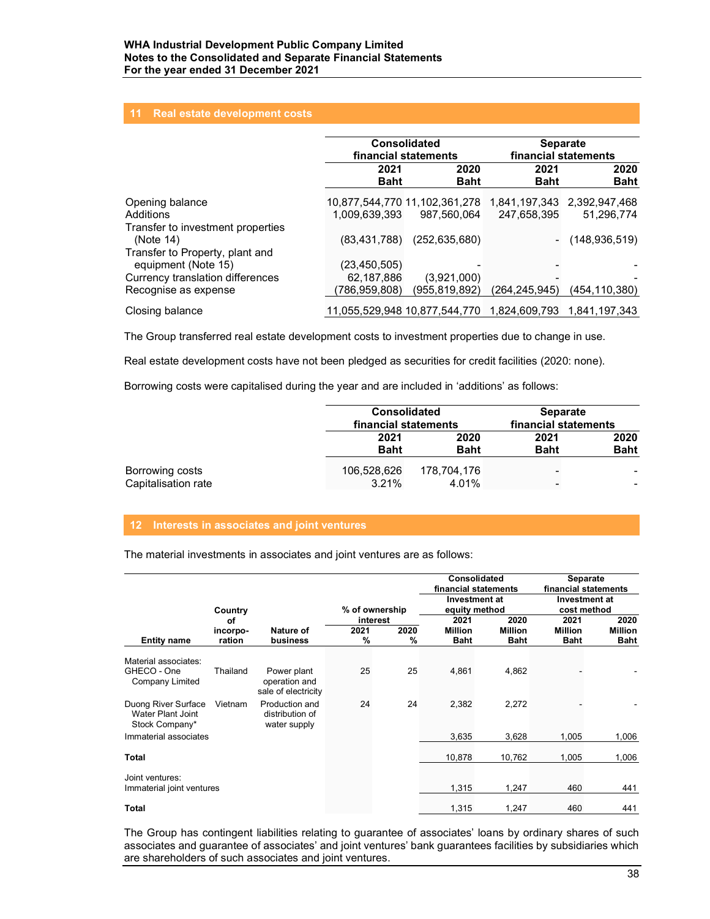# 11 Real estate development costs

|                                                          |                            | <b>Consolidated</b><br>financial statements | <b>Separate</b><br>financial statements |                     |  |
|----------------------------------------------------------|----------------------------|---------------------------------------------|-----------------------------------------|---------------------|--|
|                                                          | 2021<br><b>Baht</b>        | 2020<br><b>Baht</b>                         | 2021<br><b>Baht</b>                     | 2020<br><b>Baht</b> |  |
| Opening balance<br>Additions                             | 1.009.639.393              | 987.560.064                                 | 247.658.395                             | 51.296.774          |  |
| Transfer to investment properties<br>(Note 14)           | (83, 431, 788)             | (252, 635, 680)                             | $\overline{\phantom{a}}$                | (148, 936, 519)     |  |
| Transfer to Property, plant and<br>equipment (Note 15)   | (23, 450, 505)             |                                             |                                         |                     |  |
| Currency translation differences<br>Recognise as expense | 62,187,886<br>786.959.808) | (3,921,000)<br>(955,819,892)                | (264.245.945)                           | (454,110,380)       |  |
| Closing balance                                          |                            | 11.055.529.948 10.877.544.770 1.824.609.793 |                                         | 1.841.197.343       |  |

The Group transferred real estate development costs to investment properties due to change in use.

Real estate development costs have not been pledged as securities for credit facilities (2020: none).

Borrowing costs were capitalised during the year and are included in 'additions' as follows:

|                     | <b>Consolidated</b><br>financial statements |             | <b>Separate</b><br>financial statements |             |  |
|---------------------|---------------------------------------------|-------------|-----------------------------------------|-------------|--|
|                     | 2021                                        | 2020        | 2021                                    | 2020        |  |
|                     | <b>Baht</b>                                 | <b>Baht</b> | <b>Baht</b>                             | <b>Baht</b> |  |
| Borrowing costs     | 106,528,626                                 | 178,704,176 | $\overline{\phantom{0}}$                |             |  |
| Capitalisation rate | 3.21%                                       | 4.01%       | -                                       |             |  |

#### $12<sup>°</sup>$ Interests in associates and joint ventures

The material investments in associates and joint ventures are as follows:

|                                                                   | Country            |                                                     | % of ownership |           | financial statements<br>Investment at<br>equity method | <b>Consolidated</b>           |                               | Separate<br>financial statements<br>Investment at<br>cost method |
|-------------------------------------------------------------------|--------------------|-----------------------------------------------------|----------------|-----------|--------------------------------------------------------|-------------------------------|-------------------------------|------------------------------------------------------------------|
|                                                                   | оf                 |                                                     |                | interest  | 2021                                                   | 2020                          | 2021                          | 2020                                                             |
| <b>Entity name</b>                                                | incorpo-<br>ration | Nature of<br>business                               | 2021<br>%      | 2020<br>% | <b>Million</b><br><b>Baht</b>                          | <b>Million</b><br><b>Baht</b> | <b>Million</b><br><b>Baht</b> | <b>Million</b><br><b>Baht</b>                                    |
| Material associates:                                              |                    |                                                     |                |           |                                                        |                               |                               |                                                                  |
| GHECO - One<br>Company Limited                                    | Thailand           | Power plant<br>operation and<br>sale of electricity | 25             | 25        | 4,861                                                  | 4,862                         |                               |                                                                  |
| Duong River Surface<br><b>Water Plant Joint</b><br>Stock Company* | Vietnam            | Production and<br>distribution of<br>water supply   | 24             | 24        | 2,382                                                  | 2,272                         |                               |                                                                  |
| Immaterial associates                                             |                    |                                                     |                |           | 3,635                                                  | 3,628                         | 1,005                         | 1,006                                                            |
| <b>Total</b>                                                      |                    |                                                     |                |           | 10,878                                                 | 10,762                        | 1,005                         | 1,006                                                            |
| Joint ventures:<br>Immaterial joint ventures                      |                    |                                                     |                |           | 1,315                                                  | 1,247                         | 460                           | 441                                                              |
| <b>Total</b>                                                      |                    |                                                     |                |           | 1,315                                                  | 1,247                         | 460                           | 441                                                              |

The Group has contingent liabilities relating to quarantee of associates' loans by ordinary shares of such associates and guarantee of associates' and joint ventures' bank guarantees facilities by subsidiaries which are shareholders of such associates and joint ventures.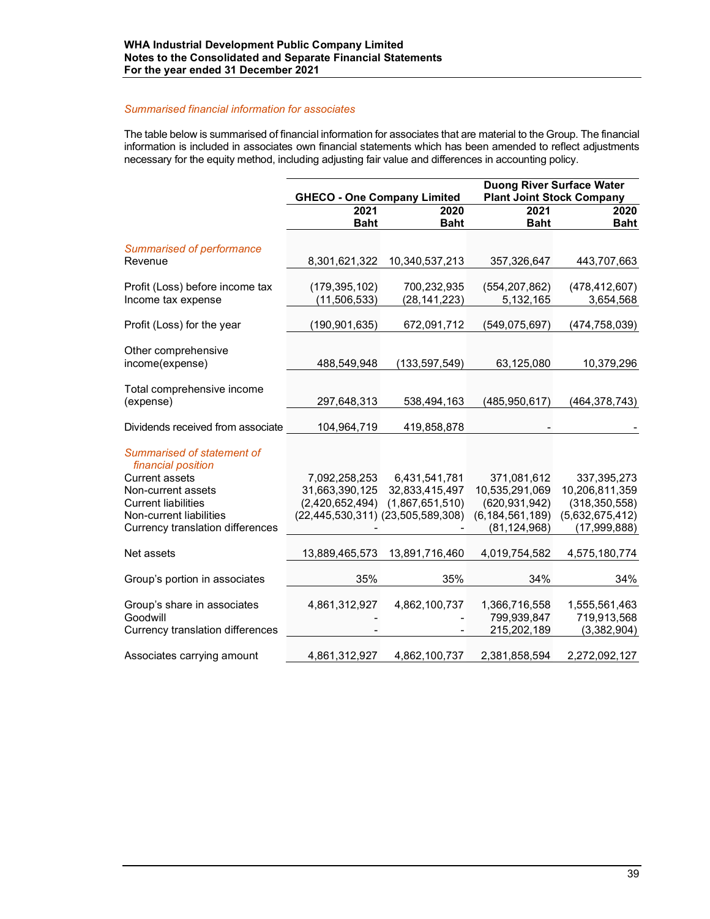# Summarised financial information for associates

The table below is summarised of financial information for associates that are material to the Group. The financial information is included in associates own financial statements which has been amended to reflect adjustments necessary for the equity method, including adjusting fair value and differences in accounting policy.

|                                                                             | <b>GHECO - One Company Limited</b> |                               | <b>Duong River Surface Water</b><br><b>Plant Joint Stock Company</b> |                                             |  |  |
|-----------------------------------------------------------------------------|------------------------------------|-------------------------------|----------------------------------------------------------------------|---------------------------------------------|--|--|
|                                                                             | 2021                               | 2020                          | 2021                                                                 | 2020                                        |  |  |
|                                                                             | <b>Baht</b>                        | <b>Baht</b>                   | <b>Baht</b>                                                          | <b>Baht</b>                                 |  |  |
|                                                                             |                                    |                               |                                                                      |                                             |  |  |
| Summarised of performance<br>Revenue                                        | 8,301,621,322                      | 10,340,537,213                | 357,326,647                                                          | 443,707,663                                 |  |  |
| Profit (Loss) before income tax<br>Income tax expense                       | (179, 395, 102)<br>(11, 506, 533)  | 700,232,935<br>(28, 141, 223) | (554, 207, 862)<br>5,132,165                                         | (478, 412, 607)<br>3,654,568                |  |  |
| Profit (Loss) for the year                                                  | (190, 901, 635)                    | 672,091,712                   | (549, 075, 697)                                                      | (474, 758, 039)                             |  |  |
| Other comprehensive<br>income(expense)                                      | 488,549,948                        | (133, 597, 549)               | 63,125,080                                                           | 10,379,296                                  |  |  |
| Total comprehensive income<br>(expense)                                     | 297,648,313                        | 538,494,163                   | (485, 950, 617)                                                      | (464, 378, 743)                             |  |  |
| Dividends received from associate                                           | 104,964,719                        | 419,858,878                   |                                                                      |                                             |  |  |
| Summarised of statement of<br>financial position                            |                                    |                               |                                                                      |                                             |  |  |
| <b>Current assets</b>                                                       | 7,092,258,253                      | 6,431,541,781                 | 371,081,612                                                          | 337,395,273                                 |  |  |
| Non-current assets                                                          | 31,663,390,125                     | 32,833,415,497                | 10,535,291,069                                                       | 10,206,811,359                              |  |  |
| <b>Current liabilities</b>                                                  | (2,420,652,494)                    | (1,867,651,510)               | (620, 931, 942)                                                      | (318, 350, 558)                             |  |  |
| Non-current liabilities<br>Currency translation differences                 | (22,445,530,311) (23,505,589,308)  |                               | (6, 184, 561, 189)<br>(81, 124, 968)                                 | (5,632,675,412)<br>(17,999,888)             |  |  |
|                                                                             |                                    |                               |                                                                      |                                             |  |  |
| Net assets                                                                  | 13,889,465,573                     | 13,891,716,460                | 4,019,754,582                                                        | 4,575,180,774                               |  |  |
| Group's portion in associates                                               | 35%                                | 35%                           | 34%                                                                  | 34%                                         |  |  |
| Group's share in associates<br>Goodwill<br>Currency translation differences | 4,861,312,927                      | 4,862,100,737                 | 1,366,716,558<br>799,939,847<br>215,202,189                          | 1,555,561,463<br>719,913,568<br>(3,382,904) |  |  |
| Associates carrying amount                                                  | 4,861,312,927                      | 4,862,100,737                 | 2,381,858,594                                                        | 2,272,092,127                               |  |  |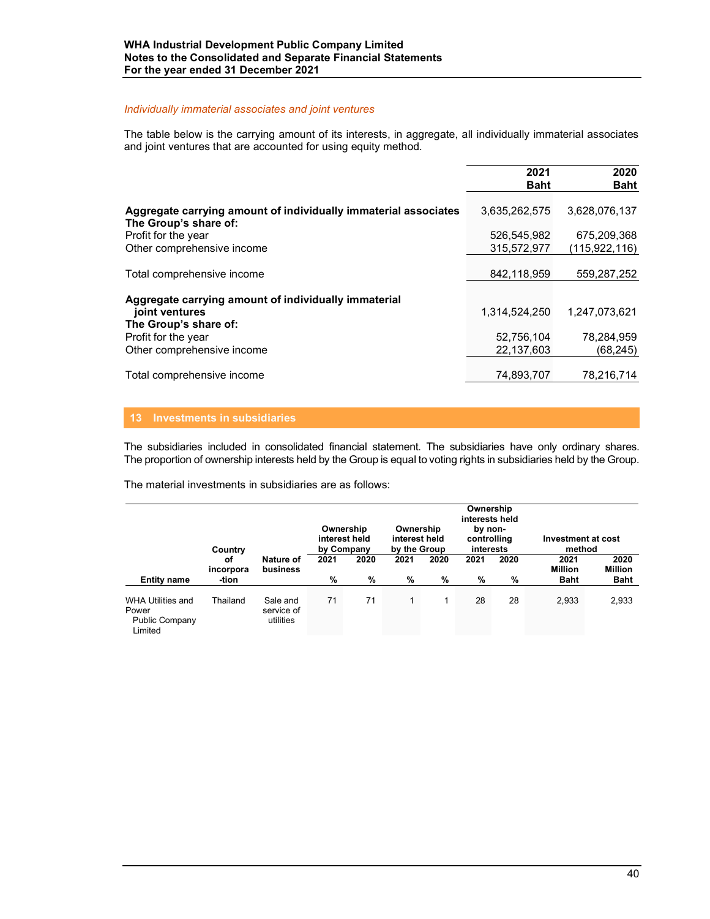#### Individually immaterial associates and joint ventures

The table below is the carrying amount of its interests, in aggregate, all individually immaterial associates and joint ventures that are accounted for using equity method.

|                                                                                                 | 2021<br><b>Baht</b> | 2020<br><b>Baht</b> |
|-------------------------------------------------------------------------------------------------|---------------------|---------------------|
| Aggregate carrying amount of individually immaterial associates<br>The Group's share of:        | 3,635,262,575       | 3,628,076,137       |
| Profit for the year                                                                             | 526,545,982         | 675,209,368         |
| Other comprehensive income                                                                      | 315,572,977         | (115, 922, 116)     |
| Total comprehensive income                                                                      | 842,118,959         | 559.287.252         |
| Aggregate carrying amount of individually immaterial<br>joint ventures<br>The Group's share of: | 1,314,524,250       | 1,247,073,621       |
| Profit for the year                                                                             | 52,756,104          | 78,284,959          |
| Other comprehensive income                                                                      | 22,137,603          | (68, 245)           |
| Total comprehensive income                                                                      | 74.893.707          | 78.216.714          |

#### $13<sup>°</sup>$ **Investments in subsidiaries**

The subsidiaries included in consolidated financial statement. The subsidiaries have only ordinary shares. The proportion of ownership interests held by the Group is equal to voting rights in subsidiaries held by the Group.

The material investments in subsidiaries are as follows:

|                                                               | Country                  |                                     |           | Ownership<br>Ownership<br>interest held<br>interest held<br>by the Group<br>by Company |           | Ownership<br>interests held<br>by non-<br>controlling<br>interests |           |           | Investment at cost<br>method   |                                       |
|---------------------------------------------------------------|--------------------------|-------------------------------------|-----------|----------------------------------------------------------------------------------------|-----------|--------------------------------------------------------------------|-----------|-----------|--------------------------------|---------------------------------------|
| <b>Entity name</b>                                            | οf<br>incorpora<br>-tion | Nature of<br>business               | 2021<br>% | 2020<br>%                                                                              | 2021<br>% | 2020<br>%                                                          | 2021<br>% | 2020<br>% | 2021<br>Million<br><b>Baht</b> | 2020<br><b>Million</b><br><b>Baht</b> |
| <b>WHA Utilities and</b><br>Power<br>Public Company<br>imited | Thailand                 | Sale and<br>service of<br>utilities | 71        | 71                                                                                     |           |                                                                    | 28        | 28        | 2,933                          | 2,933                                 |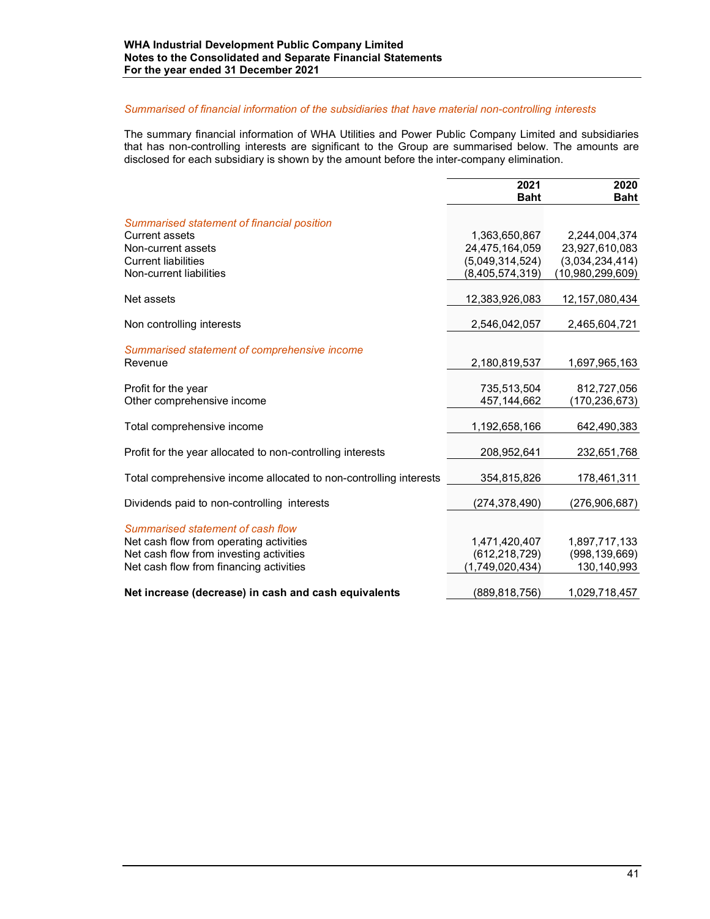# Summarised of financial information of the subsidiaries that have material non-controlling interests

The summary financial information of WHA Utilities and Power Public Company Limited and subsidiaries that has non-controlling interests are significant to the Group are summarised below. The amounts are disclosed for each subsidiary is shown by the amount before the inter-company elimination.

|                                                                   | 2021<br><b>Baht</b> | 2020<br><b>Baht</b> |
|-------------------------------------------------------------------|---------------------|---------------------|
| Summarised statement of financial position                        |                     |                     |
| <b>Current assets</b>                                             | 1,363,650,867       | 2,244,004,374       |
| Non-current assets                                                | 24,475,164,059      | 23,927,610,083      |
| <b>Current liabilities</b>                                        | (5,049,314,524)     | (3,034,234,414)     |
| Non-current liabilities                                           | (8,405,574,319)     | (10,980,299,609)    |
| Net assets                                                        | 12,383,926,083      | 12, 157, 080, 434   |
| Non controlling interests                                         | 2,546,042,057       | 2,465,604,721       |
| Summarised statement of comprehensive income                      |                     |                     |
| Revenue                                                           | 2,180,819,537       | 1,697,965,163       |
| Profit for the year                                               | 735,513,504         | 812,727,056         |
| Other comprehensive income                                        | 457, 144, 662       | (170,236,673)       |
| Total comprehensive income                                        | 1,192,658,166       | 642,490,383         |
| Profit for the year allocated to non-controlling interests        | 208,952,641         | 232,651,768         |
| Total comprehensive income allocated to non-controlling interests | 354,815,826         | 178,461,311         |
| Dividends paid to non-controlling interests                       | (274,378,490)       | (276,906,687)       |
| Summarised statement of cash flow                                 |                     |                     |
| Net cash flow from operating activities                           | 1,471,420,407       | 1,897,717,133       |
| Net cash flow from investing activities                           | (612, 218, 729)     | (998, 139, 669)     |
| Net cash flow from financing activities                           | (1,749,020,434)     | 130,140,993         |
| Net increase (decrease) in cash and cash equivalents              | (889, 818, 756)     | 1,029,718,457       |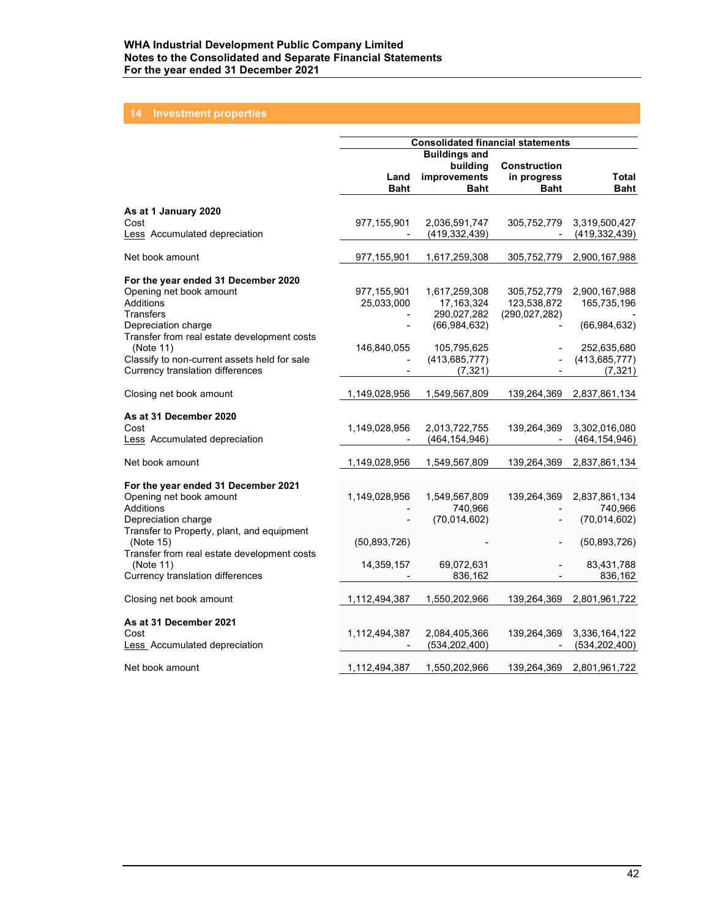# 14 Investment properties

|                                                           | <b>Consolidated financial statements</b> |                                                  |                             |                                |  |  |
|-----------------------------------------------------------|------------------------------------------|--------------------------------------------------|-----------------------------|--------------------------------|--|--|
|                                                           | Land                                     | <b>Buildings and</b><br>building<br>improvements | Construction<br>in progress | Total                          |  |  |
|                                                           | <b>Baht</b>                              | Baht                                             | <b>Baht</b>                 | Baht                           |  |  |
| As at 1 January 2020                                      |                                          |                                                  |                             |                                |  |  |
| Cost                                                      | 977,155,901                              | 2,036,591,747                                    | 305,752,779                 | 3,319,500,427                  |  |  |
| Less Accumulated depreciation                             |                                          | (419, 332, 439)                                  |                             | (419, 332, 439)                |  |  |
| Net book amount                                           | 977,155,901                              | 1,617,259,308                                    | 305,752,779                 | 2,900,167,988                  |  |  |
| For the year ended 31 December 2020                       |                                          |                                                  |                             |                                |  |  |
| Opening net book amount                                   | 977,155,901                              | 1,617,259,308                                    | 305,752,779                 | 2,900,167,988                  |  |  |
| <b>Additions</b>                                          | 25,033,000                               | 17, 163, 324                                     | 123,538,872                 | 165,735,196                    |  |  |
| <b>Transfers</b>                                          |                                          | 290,027,282                                      | (290, 027, 282)             |                                |  |  |
| Depreciation charge                                       |                                          | (66,984,632)                                     |                             | (66,984,632)                   |  |  |
| Transfer from real estate development costs               |                                          |                                                  |                             |                                |  |  |
| (Note 11)<br>Classify to non-current assets held for sale | 146,840,055                              | 105,795,625<br>(413, 685, 777)                   |                             | 252,635,680<br>(413, 685, 777) |  |  |
| Currency translation differences                          |                                          | (7, 321)                                         |                             | (7, 321)                       |  |  |
| Closing net book amount                                   | 1,149,028,956                            | 1,549,567,809                                    | 139,264,369                 | 2,837,861,134                  |  |  |
|                                                           |                                          |                                                  |                             |                                |  |  |
| As at 31 December 2020                                    |                                          |                                                  |                             |                                |  |  |
| Cost                                                      | 1,149,028,956                            | 2,013,722,755                                    | 139,264,369                 | 3,302,016,080                  |  |  |
| Less Accumulated depreciation                             | $\overline{\phantom{a}}$                 | (464, 154, 946)                                  | $\overline{\phantom{a}}$    | (464, 154, 946)                |  |  |
| Net book amount                                           | 1,149,028,956                            | 1,549,567,809                                    | 139,264,369                 | 2,837,861,134                  |  |  |
| For the year ended 31 December 2021                       |                                          |                                                  |                             |                                |  |  |
| Opening net book amount                                   | 1,149,028,956                            | 1,549,567,809                                    |                             | 139,264,369 2,837,861,134      |  |  |
| Additions                                                 |                                          | 740,966                                          |                             | 740,966                        |  |  |
| Depreciation charge                                       |                                          | (70,014,602)                                     |                             | (70,014,602)                   |  |  |
| Transfer to Property, plant, and equipment                |                                          |                                                  |                             |                                |  |  |
| (Note 15)<br>Transfer from real estate development costs  | (50, 893, 726)                           |                                                  |                             | (50, 893, 726)                 |  |  |
| (Note 11)                                                 | 14,359,157                               | 69,072,631                                       |                             | 83,431,788                     |  |  |
| Currency translation differences                          |                                          | 836,162                                          |                             | 836,162                        |  |  |
|                                                           |                                          |                                                  |                             |                                |  |  |
| Closing net book amount                                   | 1,112,494,387                            | 1,550,202,966                                    | 139,264,369                 | 2,801,961,722                  |  |  |
| As at 31 December 2021                                    |                                          |                                                  |                             |                                |  |  |
| Cost                                                      | 1,112,494,387                            | 2,084,405,366                                    | 139,264,369                 | 3,336,164,122                  |  |  |
| Less Accumulated depreciation                             |                                          | (534, 202, 400)                                  |                             | (534, 202, 400)                |  |  |
|                                                           |                                          |                                                  |                             |                                |  |  |
| Net book amount                                           | 1,112,494,387                            | 1,550,202,966                                    | 139,264,369                 | 2,801,961,722                  |  |  |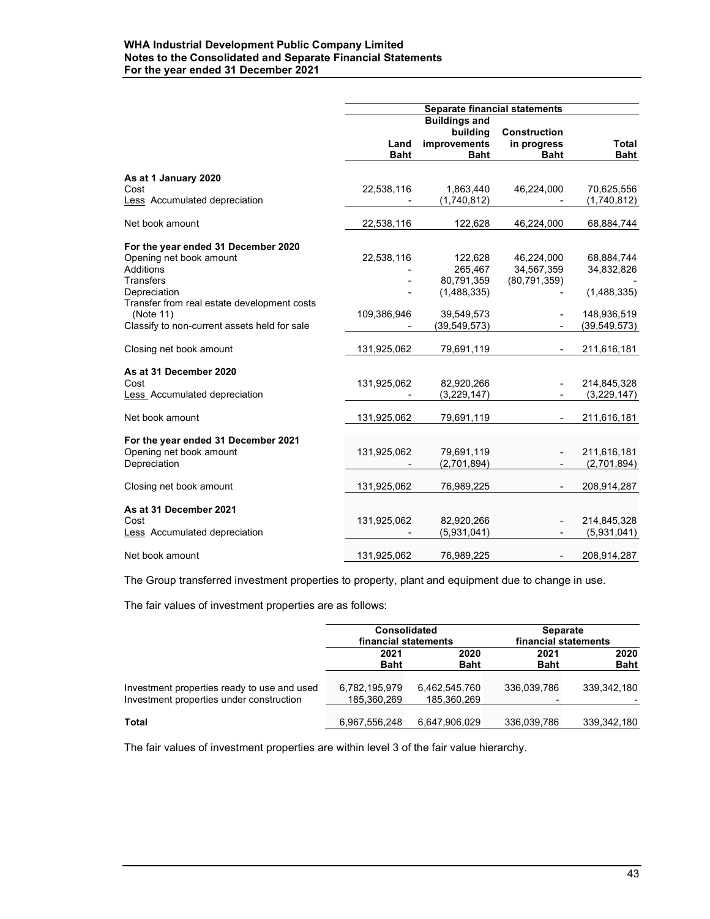|                                                                                                        |                     | <b>Separate financial statements</b>                            |                                                   |                               |
|--------------------------------------------------------------------------------------------------------|---------------------|-----------------------------------------------------------------|---------------------------------------------------|-------------------------------|
|                                                                                                        | Land<br><b>Baht</b> | <b>Buildings and</b><br>building<br>improvements<br><b>Baht</b> | <b>Construction</b><br>in progress<br><b>Baht</b> | Total<br><b>Baht</b>          |
| As at 1 January 2020<br>Cost                                                                           | 22,538,116          | 1,863,440                                                       | 46,224,000                                        | 70,625,556                    |
| <b>Less</b> Accumulated depreciation                                                                   |                     | (1,740,812)                                                     |                                                   | (1,740,812)                   |
| Net book amount                                                                                        | 22,538,116          | 122,628                                                         | 46,224,000                                        | 68,884,744                    |
| For the year ended 31 December 2020<br>Opening net book amount<br><b>Additions</b><br><b>Transfers</b> | 22,538,116          | 122,628<br>265,467<br>80,791,359                                | 46,224,000<br>34,567,359<br>(80, 791, 359)        | 68,884,744<br>34,832,826      |
| Depreciation<br>Transfer from real estate development costs                                            |                     | (1,488,335)                                                     |                                                   | (1,488,335)                   |
| (Note 11)<br>Classify to non-current assets held for sale                                              | 109,386,946         | 39,549,573<br>(39, 549, 573)                                    | $\blacksquare$<br>$\blacksquare$                  | 148,936,519<br>(39, 549, 573) |
| Closing net book amount                                                                                | 131,925,062         | 79,691,119                                                      |                                                   | 211,616,181                   |
| As at 31 December 2020<br>Cost<br>Less Accumulated depreciation                                        | 131,925,062         | 82,920,266<br>(3,229,147)                                       |                                                   | 214,845,328<br>(3,229,147)    |
| Net book amount                                                                                        | 131,925,062         | 79,691,119                                                      |                                                   | 211,616,181                   |
| For the year ended 31 December 2021<br>Opening net book amount<br>Depreciation                         | 131,925,062         | 79,691,119<br>(2,701,894)                                       |                                                   | 211,616,181<br>(2,701,894)    |
| Closing net book amount                                                                                | 131,925,062         | 76,989,225                                                      |                                                   | 208,914,287                   |
| As at 31 December 2021<br>Cost<br>Less Accumulated depreciation                                        | 131,925,062         | 82,920,266<br>(5,931,041)                                       | $\overline{\phantom{a}}$                          | 214,845,328<br>(5,931,041)    |
| Net book amount                                                                                        | 131,925,062         | 76,989,225                                                      |                                                   | 208,914,287                   |

The Group transferred investment properties to property, plant and equipment due to change in use.

The fair values of investment properties are as follows:

|                                                                                         | <b>Consolidated</b><br>financial statements |                              | <b>Separate</b><br>financial statements |             |
|-----------------------------------------------------------------------------------------|---------------------------------------------|------------------------------|-----------------------------------------|-------------|
|                                                                                         | 2021                                        | 2020                         | 2021                                    | 2020        |
|                                                                                         | <b>Baht</b>                                 | <b>Baht</b>                  | <b>Baht</b>                             | <b>Baht</b> |
| Investment properties ready to use and used<br>Investment properties under construction | 6.782.195.979<br>185,360,269                | 6.462.545.760<br>185,360,269 | 336.039.786                             | 339.342.180 |
| Total                                                                                   | 6,967,556,248                               | 6,647,906,029                | 336,039,786                             | 339,342,180 |

The fair values of investment properties are within level 3 of the fair value hierarchy.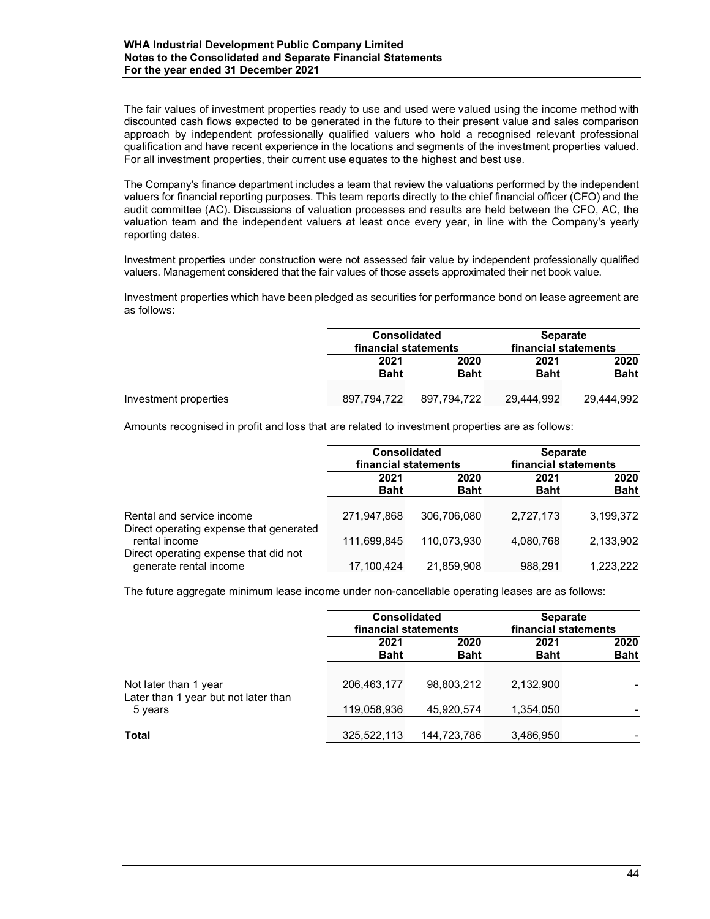The fair values of investment properties ready to use and used were valued using the income method with discounted cash flows expected to be generated in the future to their present value and sales comparison approach by independent professionally qualified valuers who hold a recognised relevant professional qualification and have recent experience in the locations and segments of the investment properties valued. For all investment properties, their current use equates to the highest and best use.

The Company's finance department includes a team that review the valuations performed by the independent valuers for financial reporting purposes. This team reports directly to the chief financial officer (CFO) and the audit committee (AC). Discussions of valuation processes and results are held between the CFO, AC, the valuation team and the independent valuers at least once every year, in line with the Company's yearly reporting dates.

Investment properties under construction were not assessed fair value by independent professionally qualified valuers. Management considered that the fair values of those assets approximated their net book value.

Investment properties which have been pledged as securities for performance bond on lease agreement are as follows:

|                       | <b>Consolidated</b>  |             | <b>Separate</b>      |             |
|-----------------------|----------------------|-------------|----------------------|-------------|
|                       | financial statements |             | financial statements |             |
|                       | 2021                 | 2020        | 2020<br>2021         |             |
|                       | <b>Baht</b>          | <b>Baht</b> | <b>Baht</b>          | <b>Baht</b> |
| Investment properties | 897.794.722          | 897.794.722 | 29.444.992           | 29.444.992  |

Amounts recognised in profit and loss that are related to investment properties are as follows:

|                                                                      | <b>Consolidated</b><br>financial statements |                     | <b>Separate</b><br>financial statements |                     |
|----------------------------------------------------------------------|---------------------------------------------|---------------------|-----------------------------------------|---------------------|
|                                                                      | 2021<br><b>Baht</b>                         | 2020<br><b>Baht</b> | 2021<br><b>Baht</b>                     | 2020<br><b>Baht</b> |
| Rental and service income<br>Direct operating expense that generated | 271,947,868                                 | 306.706.080         | 2.727.173                               | 3,199,372           |
| rental income                                                        | 111.699.845                                 | 110.073.930         | 4.080.768                               | 2,133,902           |
| Direct operating expense that did not<br>generate rental income      | 17,100,424                                  | 21,859,908          | 988.291                                 | 1.223.222           |

The future aggregate minimum lease income under non-cancellable operating leases are as follows:

|                                                               | <b>Consolidated</b><br>financial statements |                     | <b>Separate</b><br>financial statements |                     |
|---------------------------------------------------------------|---------------------------------------------|---------------------|-----------------------------------------|---------------------|
|                                                               | 2021<br><b>Baht</b>                         | 2020<br><b>Baht</b> | 2021<br><b>Baht</b>                     | 2020<br><b>Baht</b> |
| Not later than 1 year<br>Later than 1 year but not later than | 206,463,177                                 | 98,803,212          | 2,132,900                               |                     |
| 5 years                                                       | 119,058,936                                 | 45.920.574          | 1.354.050                               |                     |
| <b>Total</b>                                                  | 325,522,113                                 | 144,723,786         | 3,486,950                               |                     |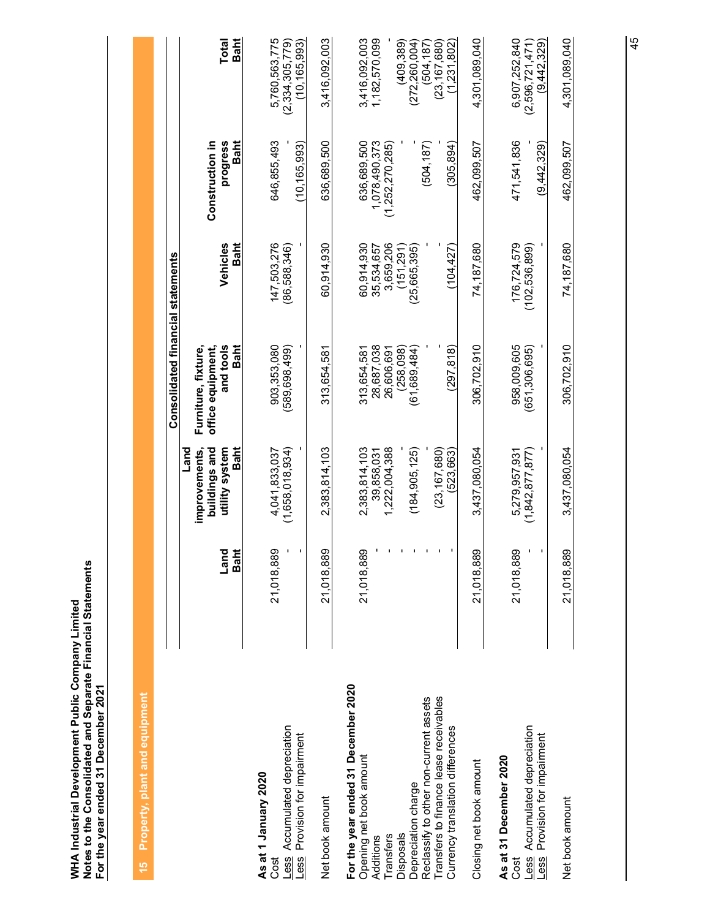| <b>WHA Industrial Development Public Company Limited</b> | Notes to the Consolidated and Separate Financial Statements | For the year ended 31 December 2021 |
|----------------------------------------------------------|-------------------------------------------------------------|-------------------------------------|
|                                                          |                                                             |                                     |

| <b>Service Service</b><br>ׇ֚֡֡                                                                                        |
|-----------------------------------------------------------------------------------------------------------------------|
| ı                                                                                                                     |
| ֺ֝֬                                                                                                                   |
| I                                                                                                                     |
| I                                                                                                                     |
|                                                                                                                       |
| l                                                                                                                     |
| i                                                                                                                     |
| ֖֖֖֖֖ׅ֚֚֚֚֚֚֚֚֚֚֚֚֚֚֬֡֡֡֡֬֝֬֝֬֝֓֡֬֝֬֝֓֬֝֓֬֝֓֬֓֡֬֓֬<br>I<br>ı                                                          |
| í                                                                                                                     |
| i                                                                                                                     |
| j<br>I                                                                                                                |
| ı                                                                                                                     |
| ֡֡֡֡֡֡<br>I                                                                                                           |
|                                                                                                                       |
|                                                                                                                       |
| ׇ֦֚֘֝֬<br>I                                                                                                           |
| ۱                                                                                                                     |
| i<br>l                                                                                                                |
| l<br>ׇ֘֒                                                                                                              |
| Ì                                                                                                                     |
| I                                                                                                                     |
|                                                                                                                       |
| ׇ֚֚֬֕<br>I                                                                                                            |
| ׇ֚֡֡<br>ׇ֘֒                                                                                                           |
| ׇ֚֡֡<br>J                                                                                                             |
| ۱                                                                                                                     |
|                                                                                                                       |
|                                                                                                                       |
| l<br><b>Service Service</b>                                                                                           |
|                                                                                                                       |
|                                                                                                                       |
|                                                                                                                       |
|                                                                                                                       |
| I                                                                                                                     |
| I<br>ׇ֚֡֡                                                                                                             |
| ı                                                                                                                     |
| ֚֚֬                                                                                                                   |
| ׇ֚֬                                                                                                                   |
| I<br>í                                                                                                                |
| ׇ֘֒<br>I                                                                                                              |
| <b>Contract Contract Contract Contract Contract Contract Contract Contract Contract Contract Contract Contract Co</b> |
| E                                                                                                                     |
| l                                                                                                                     |
| I                                                                                                                     |
|                                                                                                                       |
|                                                                                                                       |
|                                                                                                                       |
| I<br>l<br>í                                                                                                           |
| ֘֒<br>j<br>l                                                                                                          |
|                                                                                                                       |

|                                                                                                                                                                                                                                                                    |              |                                                                                                | Consolidated financial statements                                                        |                                                                                  |                                                                            |                                                                                                                |
|--------------------------------------------------------------------------------------------------------------------------------------------------------------------------------------------------------------------------------------------------------------------|--------------|------------------------------------------------------------------------------------------------|------------------------------------------------------------------------------------------|----------------------------------------------------------------------------------|----------------------------------------------------------------------------|----------------------------------------------------------------------------------------------------------------|
|                                                                                                                                                                                                                                                                    | Land<br>Bahi | <b>Baht</b><br>buildings and<br>utility system<br>Land<br>improvements,                        | and tools<br><b>Baht</b><br>Furniture, fixture,<br>office equipment,                     | Vehicles<br>Baht                                                                 | <b>Construction in</b><br>progress<br>Baht                                 | <b>Baht</b><br>Total                                                                                           |
| Less Accumulated depreciation<br>Provision for impairment<br>As at 1 January 2020<br><u>Less</u><br>Cost                                                                                                                                                           | 21,018,889   | (1,658,018,934)<br>4,041,833,037                                                               | 903,353,080<br>(589,698,499)                                                             | 147,503,276<br>(86,588,346)                                                      | 646,855,493<br>(10.165.993)                                                | 5,760,563,775<br>(10.165.993)<br>(2,334,305,779)                                                               |
| Net book amount                                                                                                                                                                                                                                                    | 21,018,889   | 2,383,814,103                                                                                  | 313,654,581                                                                              | 60.914.930                                                                       | 636.689.500                                                                | 3.416.092.003                                                                                                  |
| For the year ended 31 December 2020<br>Transfers to finance lease receivables<br>Reclassify to other non-current assets<br>Currency translation differences<br>Opening net book amount<br>Depreciation charge<br><b>Disposals</b><br><b>Transfers</b><br>Additions | 21,018,889   | 2,383,814,103<br>1,222,004,388<br>(184, 905, 125)<br>(23, 167, 680)<br>39,858,031<br>(523,663) | 28,687,038<br>313,654,581<br>(818, 297, 8)<br>26,606,691<br>(258, 098)<br>(61, 689, 484) | 60,914,930<br>3,659,206<br>35,534,657<br>(104.427)<br>(25,665,395)<br>(151, 291) | 636,689,500<br>1,078,490,373<br>(1,252,270,285)<br>(504, 187)<br>(305.894) | 3,416,092,003<br>1,182,570,099<br>(1,231,802)<br>(409, 389)<br>(23, 167, 680)<br>(272, 260, 004)<br>(504, 187) |
| Closing net book amount                                                                                                                                                                                                                                            | 21,018,889   | 3.437.080.054                                                                                  | 306.702.910                                                                              | 74.187.680                                                                       | 462.099.507                                                                | 4,301,089,040                                                                                                  |
| Less Accumulated depreciation<br>Provision for impairment<br>As at 31 December 2020<br>Less<br>Cost                                                                                                                                                                | 21,018,889   | 5,279,957,931<br>(1, 842, 877, 877)                                                            | 958,009,605<br>(651, 306, 695)                                                           | 176,724,579<br>(102, 536, 899)                                                   | 471,541,836<br>(9,442,329)                                                 | 6,907,252,840<br>(9,442,329)<br>(2,596,721,471)                                                                |
| Net book amount                                                                                                                                                                                                                                                    | 21,018,889   | 3.437.080.054                                                                                  | 306,702,910                                                                              | 74.187.680                                                                       | 462.099.507                                                                | 4,301,089,040                                                                                                  |
|                                                                                                                                                                                                                                                                    |              |                                                                                                |                                                                                          |                                                                                  |                                                                            |                                                                                                                |

 $\frac{1}{45}$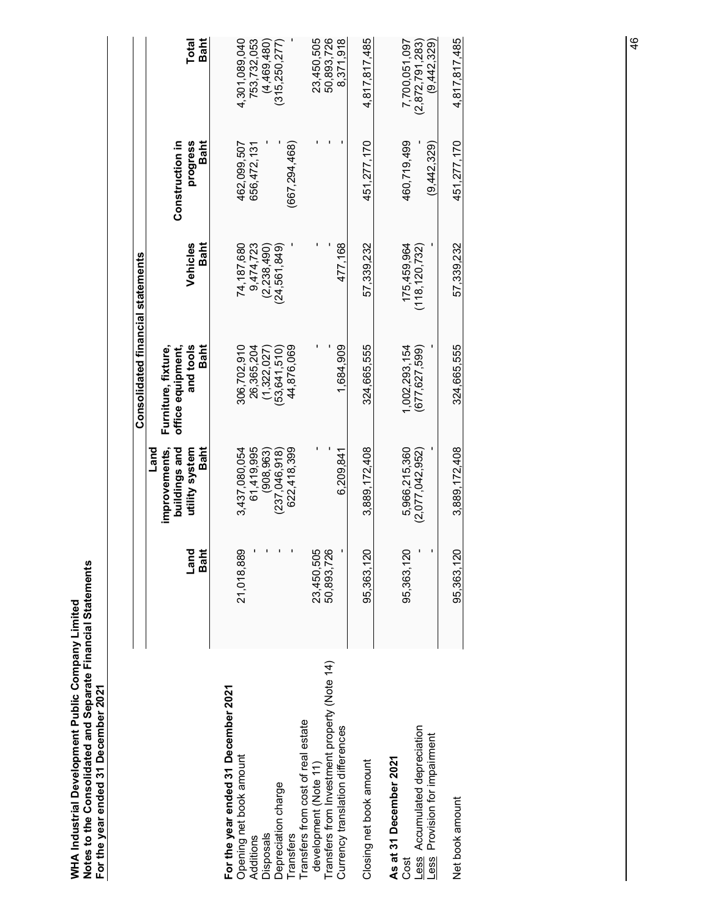|                                                                                                                                                |                          |                                                                  | Consolidated financial statements                             |                                          |                                            |                                                 |
|------------------------------------------------------------------------------------------------------------------------------------------------|--------------------------|------------------------------------------------------------------|---------------------------------------------------------------|------------------------------------------|--------------------------------------------|-------------------------------------------------|
|                                                                                                                                                | Land<br>Baht             | Baht<br>buildings and<br>utility system<br>Land<br>improvements. | and tools<br>office equipment,<br>Baht<br>Furniture, fixture, | Baht<br>Vehicles                         | <b>Construction in</b><br>progress<br>Baht | Baht<br><b>Total</b>                            |
| For the year ended 31 December 2021<br>Opening net book amount                                                                                 | 21,018,889               | 3,437,080,054                                                    | 306,702,910                                                   | 74,187,680                               | 462,099,507                                | 4,301,089,040                                   |
| Depreciation charge<br><b>Disposals</b><br><b>Transfers</b><br>Additions                                                                       |                          | 61.419.995<br>622.418.399<br>(908.963)<br>(237,046,918)          | 26,365,204<br>44,876,069<br>(53, 641, 510)<br>(1,322,027)     | 9,474,723<br>(2,238,490)<br>(24,561,849) | (667, 294, 468)<br>656,472,131             | 753,732,053<br>(4.469.480)<br>(315, 250, 277)   |
| Transfers from Investment property (Note 14)<br>ransfers from cost of real estate<br>Currency translation differences<br>development (Note 11) | 23,450,505<br>50,893,726 | 6,209,841                                                        | 1,684,909                                                     | 477.168                                  |                                            | 23,450,505<br>50,893,726<br>8,371,918           |
| Closing net book amount                                                                                                                        | 95,363,120               | 3,889,172,408                                                    | 324.665.555                                                   | 57.339.232                               | 451.277.170                                | 4.817.817.485                                   |
| <b>Less</b> Accumulated depreciation<br>Provision for impairment<br>As at 31 December 2021<br>Less<br>Cost                                     | 95,363,120               | 5,966,215,360<br>(2,077,042,952)                                 | 1,002,293,154<br>(677, 627, 599)                              | 175.459.964<br>(118, 120, 732)           | 460,719,499<br>(9,442,329)                 | 7,700,051,097<br>(2,872,791,283)<br>(9,442,329) |
| Net book amount                                                                                                                                | 95,363,120               | 3,889,172,408                                                    | 324,665,555                                                   | 57.339.232                               | 451.277.170                                | 4,817,817,485                                   |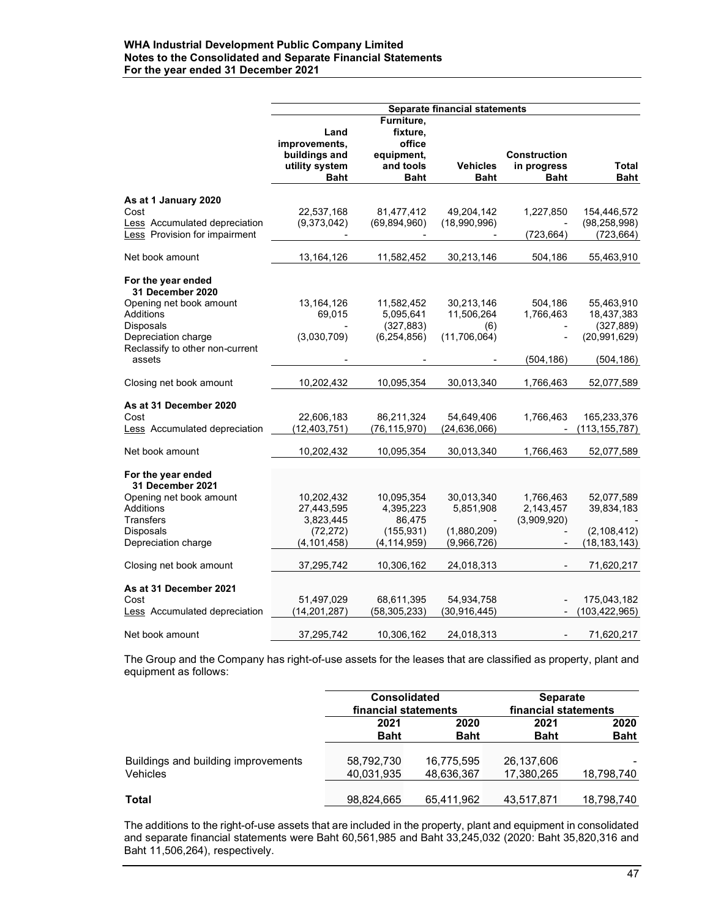|                                        |                |                | <b>Separate financial statements</b> |                     |                 |
|----------------------------------------|----------------|----------------|--------------------------------------|---------------------|-----------------|
|                                        |                | Furniture,     |                                      |                     |                 |
|                                        | Land           | fixture,       |                                      |                     |                 |
|                                        | improvements,  | office         |                                      |                     |                 |
|                                        | buildings and  | equipment,     |                                      | <b>Construction</b> |                 |
|                                        | utility system | and tools      | <b>Vehicles</b>                      | in progress         | Total           |
|                                        | Baht           | <b>Baht</b>    | <b>Baht</b>                          | <b>Baht</b>         | Baht            |
| As at 1 January 2020                   |                |                |                                      |                     |                 |
| Cost                                   | 22,537,168     | 81,477,412     | 49,204,142                           | 1,227,850           | 154,446,572     |
| Less Accumulated depreciation          | (9,373,042)    | (69, 894, 960) | (18,990,996)                         |                     | (98, 258, 998)  |
| Less Provision for impairment          |                |                |                                      | (723, 664)          | (723, 664)      |
|                                        |                |                |                                      |                     |                 |
| Net book amount                        | 13,164,126     | 11,582,452     | 30,213,146                           | 504,186             | 55,463,910      |
| For the year ended<br>31 December 2020 |                |                |                                      |                     |                 |
| Opening net book amount                | 13,164,126     | 11,582,452     | 30,213,146                           | 504,186             | 55,463,910      |
| Additions                              | 69,015         | 5,095,641      | 11,506,264                           | 1,766,463           | 18,437,383      |
| <b>Disposals</b>                       |                | (327, 883)     | (6)                                  |                     | (327, 889)      |
| Depreciation charge                    | (3,030,709)    | (6, 254, 856)  | (11,706,064)                         |                     | (20, 991, 629)  |
| Reclassify to other non-current        |                |                |                                      |                     |                 |
| assets                                 |                |                |                                      | (504, 186)          | (504, 186)      |
| Closing net book amount                | 10,202,432     | 10,095,354     | 30,013,340                           | 1,766,463           | 52,077,589      |
| As at 31 December 2020                 |                |                |                                      |                     |                 |
| Cost                                   | 22,606,183     | 86,211,324     | 54,649,406                           | 1,766,463           | 165,233,376     |
| Less Accumulated depreciation          | (12, 403, 751) | (76, 115, 970) | (24, 636, 066)                       |                     | (113, 155, 787) |
|                                        |                |                |                                      |                     |                 |
| Net book amount                        | 10,202,432     | 10,095,354     | 30,013,340                           | 1,766,463           | 52,077,589      |
| For the year ended<br>31 December 2021 |                |                |                                      |                     |                 |
| Opening net book amount                | 10,202,432     | 10,095,354     | 30,013,340                           | 1,766,463           | 52,077,589      |
| Additions                              | 27,443,595     | 4,395,223      | 5,851,908                            | 2,143,457           | 39,834,183      |
| <b>Transfers</b>                       | 3,823,445      | 86,475         |                                      | (3,909,920)         |                 |
| <b>Disposals</b>                       | (72, 272)      | (155, 931)     | (1,880,209)                          |                     | (2, 108, 412)   |
| Depreciation charge                    | (4, 101, 458)  | (4, 114, 959)  | (9,966,726)                          |                     | (18, 183, 143)  |
| Closing net book amount                | 37,295,742     | 10,306,162     | 24,018,313                           |                     | 71,620,217      |
| As at 31 December 2021                 |                |                |                                      |                     |                 |
| Cost                                   | 51,497,029     | 68,611,395     | 54,934,758                           |                     | 175,043,182     |
| Less Accumulated depreciation          | (14, 201, 287) | (58, 305, 233) | (30, 916, 445)                       |                     | (103, 422, 965) |
| Net book amount                        | 37,295,742     | 10,306,162     | 24,018,313                           |                     | 71,620,217      |

The Group and the Company has right-of-use assets for the leases that are classified as property, plant and equipment as follows:

|                                     | <b>Consolidated</b><br>financial statements |             | <b>Separate</b><br>financial statements |             |
|-------------------------------------|---------------------------------------------|-------------|-----------------------------------------|-------------|
|                                     | 2021                                        | 2020        | 2021                                    | 2020        |
|                                     | <b>Baht</b>                                 | <b>Baht</b> | <b>Baht</b>                             | <b>Baht</b> |
| Buildings and building improvements | 58,792,730                                  | 16,775,595  | 26,137,606                              | 18,798,740  |
| Vehicles                            | 40,031,935                                  | 48,636,367  | 17,380,265                              |             |
| Total                               | 98,824,665                                  | 65,411,962  | 43,517,871                              | 18,798,740  |

The additions to the right-of-use assets that are included in the property, plant and equipment in consolidated and separate financial statements were Baht 60,561,985 and Baht 33,245,032 (2020: Baht 35,820,316 and Baht 11,506,264), respectively.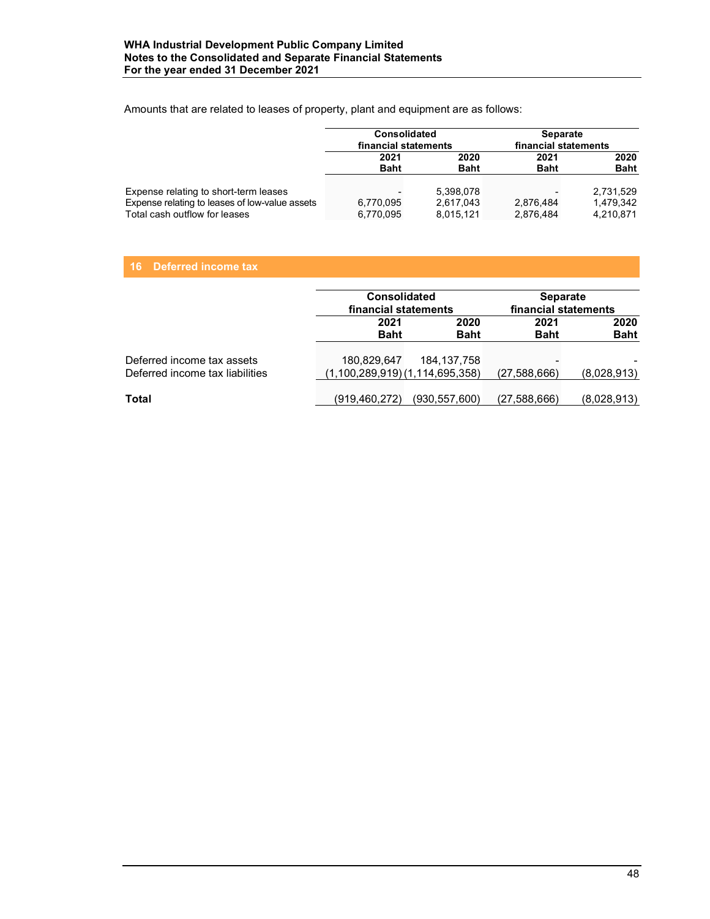Amounts that are related to leases of property, plant and equipment are as follows:

|                                                                                                                          | <b>Consolidated</b><br>financial statements |                                     | <b>Separate</b><br>financial statements            |                                     |
|--------------------------------------------------------------------------------------------------------------------------|---------------------------------------------|-------------------------------------|----------------------------------------------------|-------------------------------------|
|                                                                                                                          | 2021                                        | 2020                                | 2021                                               | 2020                                |
|                                                                                                                          | <b>Baht</b>                                 | <b>Baht</b>                         | <b>Baht</b>                                        | <b>Baht</b>                         |
| Expense relating to short-term leases<br>Expense relating to leases of low-value assets<br>Total cash outflow for leases | 6.770.095<br>6,770,095                      | 5,398,078<br>2.617.043<br>8,015,121 | $\overline{\phantom{a}}$<br>2,876,484<br>2,876,484 | 2,731,529<br>1.479.342<br>4,210,871 |

# 16 Deferred income tax

|                                 | <b>Consolidated</b><br>financial statements |                 | <b>Separate</b><br>financial statements |             |
|---------------------------------|---------------------------------------------|-----------------|-----------------------------------------|-------------|
|                                 | 2021                                        | 2020            | 2021                                    | 2020        |
|                                 | <b>Baht</b>                                 | <b>Baht</b>     | <b>Baht</b>                             | <b>Baht</b> |
| Deferred income tax assets      | 180.829.647                                 | 184.137.758     | ٠                                       |             |
| Deferred income tax liabilities | (1,100,289,919)(1,114,695,358)              |                 | (27,588,666)                            | (8,028,913) |
| Total                           | (919, 460, 272)                             | (930, 557, 600) | (27,588,666)                            | (8,028,913) |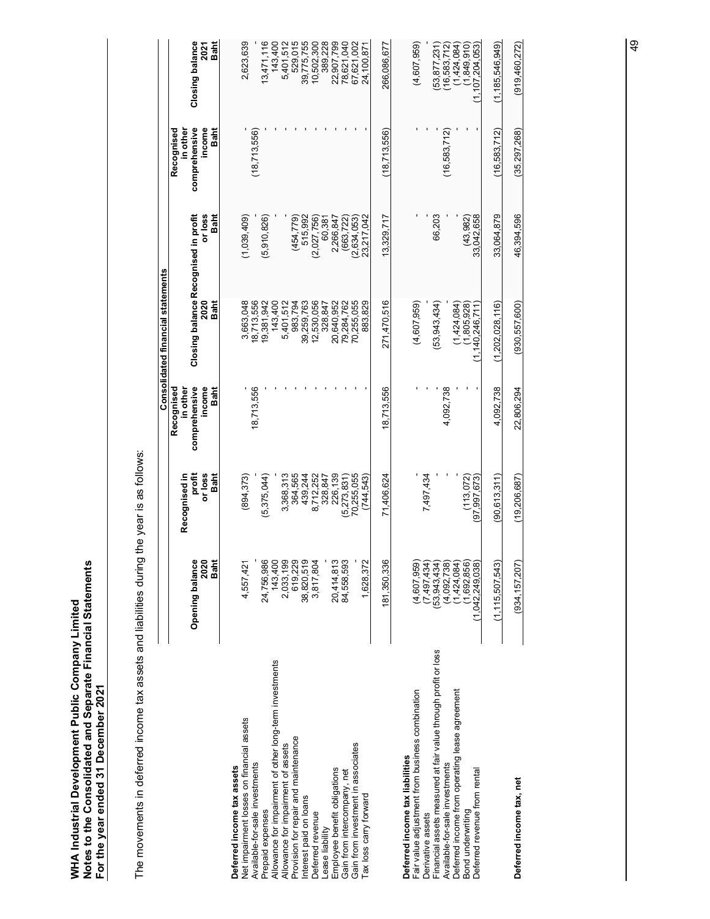The movements in deferred income tax assets and liabilities during the year is as follows:

|                                                                                     |                                |                           |                                         | Consolidated financial statements    |                          |                                         |                                   |
|-------------------------------------------------------------------------------------|--------------------------------|---------------------------|-----------------------------------------|--------------------------------------|--------------------------|-----------------------------------------|-----------------------------------|
|                                                                                     | Opening balance                | profit<br>Recognised in   | comprehensive<br>Recognised<br>in other | Closing balance Recognised in profit |                          | comprehensive<br>Recognised<br>in other | Closing balance                   |
|                                                                                     | 2020<br>Baht                   | or loss<br>Baht           | income<br>Baht                          | Baht<br>2020                         | or loss<br>Baht          | Baht<br>income                          | Baht<br>2021                      |
| Net impairment losses on financial assets<br>Deferred income tax assets             | 4,557,421                      | (894, 373)                |                                         | 3,663,048                            | (1,039,409)              |                                         | 2,623,639                         |
| Available-for-sale investments                                                      |                                |                           | 18.713.556                              | 18,713,556                           |                          | (18, 713, 556)                          |                                   |
| Allowance for impairment of other long-term investments<br>Prepaid expenses         | 24,756,986<br>143,400          | (5,375,044)               |                                         | 19,381,942<br>143,400                | (5,910,826)              |                                         | 3,471,116<br>143,400              |
| Allowance for impairment of assets                                                  | 2,033,199                      | 3,368,313                 |                                         | 5,401,512                            |                          |                                         | 5,401,512                         |
| Provision for repair and maintenance                                                | 619,229                        | 364,565                   |                                         | 983,794                              | (454, 779)               |                                         | 529,015                           |
| Interest paid on loans                                                              | 38,820,519                     | 439,244                   |                                         | 39,259,763                           | 515,992                  |                                         | 39,775,755                        |
| Deferred revenue                                                                    | 3,817,804                      | 8,712,252<br>328,847      |                                         | 12,530,056                           | (2,027,756)              |                                         | 10,502,300                        |
| -ease liability                                                                     |                                |                           |                                         | 328,847                              | 60,38                    |                                         | 389,228                           |
| Employee benefit obligations                                                        | 20,414,813                     | 226,139                   |                                         | 20,640,952                           | 2,266,847                |                                         | 22,907,799                        |
| Gain from investment in associates<br>Gain from intercompany, net                   | 84,558,593                     | (5,273,831)<br>70.255.055 |                                         | 70,255,055<br>79,284,762             | (2,634,053)<br>(663,722) |                                         | 78,621,040<br>67,621,002          |
| Tax loss carry forward                                                              | 1,628,372                      | (744,543)                 |                                         | 883,829                              | 23.217.042               |                                         | 24,100,871                        |
|                                                                                     | 181,350,336                    | 71,406,624                | 8.713.556                               | 271.470.516                          | 13.329.717               | (18.713.556)                            | 266,086,677                       |
| Fair value adjustment from business combination<br>Deferred income tax liabilities  | (4,607,959)                    |                           |                                         | (4,607,959)                          |                          |                                         | (4,607,959)                       |
| Financial assets measured at fair value through profit or loss<br>Derivative assets | (7,497,434)<br>(53, 943, 434)  | 7,497,434                 |                                         | (53, 943, 434)                       | 66,203                   |                                         | (53, 877, 231)                    |
| Deferred income from operating lease agreement<br>Available-for-sale investments    | (4,092,738)<br>(1,424,084)     |                           | 4,092,738                               | (1,424,084)                          |                          | (16, 583, 712)                          | (16, 583, 712)<br>(1,424,084)     |
| Deferred revenue from rental<br>Bond underwriting                                   | (1,692,856)<br>(1,042,249,038) | (113, 072)<br>97,997,673  |                                         | (1,805,928)<br>,140,246,711          | 33,042,658<br>(43, 982)  |                                         | (1, 107, 204, 053)<br>(1,849,910) |
|                                                                                     | (1, 115, 507, 543)             | (90, 613, 311)            | 4,092,738                               | (1,202,028,116)                      | 33,064,879               | (16, 583, 712)                          | (1, 185, 546, 949)                |
| Deferred income tax, net                                                            | (934, 157, 207)                | (19.206.687)              | 22,806,294                              | (930, 557, 600)                      | 46,394,596               | (35, 297, 268)                          | (919, 460, 272)                   |

49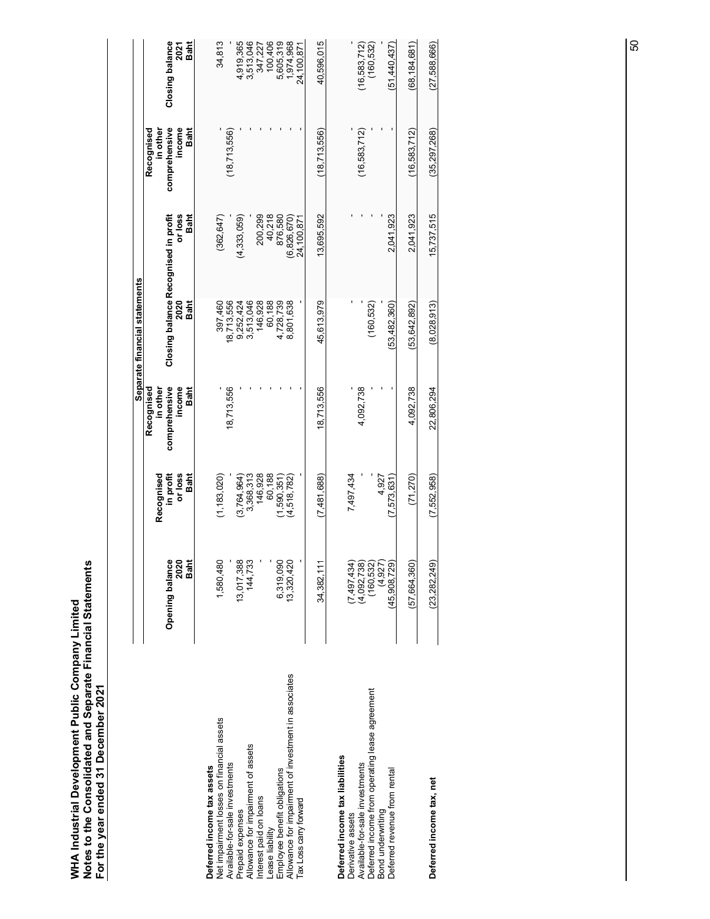|                                                                                  |                                           |                              |                                 | Separate financial statements                        |                 |                                 |                                        |
|----------------------------------------------------------------------------------|-------------------------------------------|------------------------------|---------------------------------|------------------------------------------------------|-----------------|---------------------------------|----------------------------------------|
|                                                                                  |                                           | Recognised                   | Recognised<br>in other          |                                                      |                 | in other<br>Recognised          |                                        |
|                                                                                  | 2020<br>Opening balance<br>Baht           | in profit<br>or loss<br>Baht | comprehensive<br>income<br>Baht | Closing balance Recognised in profit<br>2020<br>Baht | or loss<br>Baht | comprehensive<br>income<br>Baht | <b>Closing balance</b><br>Baht<br>2021 |
| Deferred income tax assets                                                       |                                           |                              |                                 |                                                      |                 |                                 |                                        |
| Net impairment losses on financial assets<br>Available-for-sale investments      | 1,580,480                                 | (1, 183, 020)                | 18,713,556                      | 18,713,556<br>397,460                                | (362, 647)      | (18, 713, 556)                  | 34,813                                 |
| Prepaid expenses                                                                 | 13,017,388                                | (3,764,964)                  |                                 | 9,252,424                                            | (4,333,059)     |                                 | 4,919,365                              |
| Allowance for impairment of assets                                               | 144,733                                   | 3,368,313                    |                                 | 3,513,046                                            |                 |                                 | 3,513,046                              |
| nterest paid on loans                                                            |                                           | 146,928                      |                                 | 146,928                                              | 200,299         |                                 | 347,227                                |
| Lease liability                                                                  |                                           | 60,188                       |                                 | 60,188                                               | 40,218          |                                 | 100,406                                |
| Employee benefit obligations                                                     | 6,319,090                                 | (1,590,351)                  |                                 | 4,728,739                                            | 876,580         |                                 | 5,605,319                              |
| Allowance for impairment of investment in associates                             | 13,320,420                                | (4,518,782)                  |                                 | 8,801,638                                            | (6, 826, 670)   |                                 | 1,974,968                              |
| Tax Loss carry forward                                                           |                                           |                              |                                 |                                                      | 24,100.87       |                                 | 24.100.871                             |
|                                                                                  | 34,382,111                                | (7,481,688)                  | 18.713.556                      | 45, 613, 979                                         | 13,695,592      | (18.713.556)                    | 40.596.015                             |
| Deferred income tax liabilities                                                  |                                           |                              |                                 |                                                      |                 |                                 |                                        |
| Derivative assets                                                                | (7,497,434)                               | 7,497,434                    | 4,092,738                       |                                                      |                 |                                 | (16, 583, 712)                         |
| Deferred income from operating lease agreement<br>Available-for-sale investments | $(4,092,738)$<br>$(160,532)$<br>$(4,927)$ |                              |                                 | (160, 532)                                           |                 | (16, 583, 712)                  | (160, 532)                             |
| Bond underwriting                                                                |                                           | 4.927                        |                                 |                                                      |                 |                                 |                                        |
| Deferred revenue from rental                                                     | (45,908,729)                              | 7,573,631                    |                                 | [53,482,360]                                         | 2,041,923       |                                 | (51,440,437)                           |
|                                                                                  | (57, 664, 360)                            | (71, 270)                    | 4,092,738                       | (53, 642, 892)                                       | 2,041,923       | (16,583,712)                    | (68, 184, 681)                         |
| Deferred income tax, net                                                         | (23, 282, 249)                            | (7,552,958)                  | 22,806,294                      | (8,028,913)                                          | 15,737,515      | (35, 297, 268)                  | (27,588,666)                           |

tax, net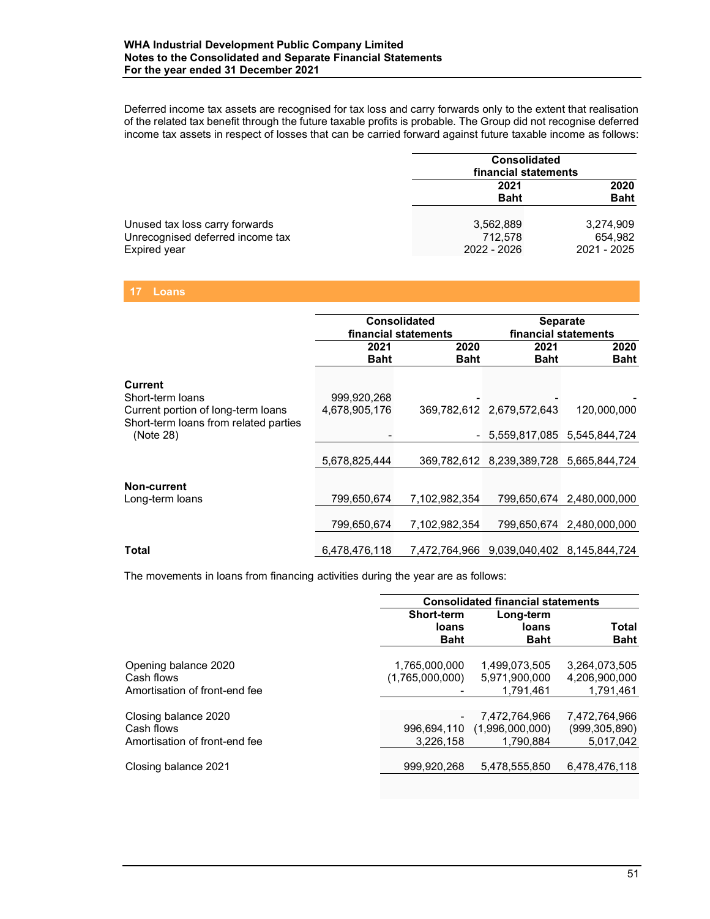Deferred income tax assets are recognised for tax loss and carry forwards only to the extent that realisation of the related tax benefit through the future taxable profits is probable. The Group did not recognise deferred income tax assets in respect of losses that can be carried forward against future taxable income as follows:

|                                                  |                        | <b>Consolidated</b><br>financial statements |
|--------------------------------------------------|------------------------|---------------------------------------------|
|                                                  | 2021<br><b>Baht</b>    | 2020<br><b>Baht</b>                         |
| Unused tax loss carry forwards                   | 3,562,889              | 3,274,909                                   |
| Unrecognised deferred income tax<br>Expired year | 712.578<br>2022 - 2026 | 654.982<br>2021 - 2025                      |

|                                                                                                 |                              | <b>Consolidated</b><br>financial statements |                                           | <b>Separate</b><br>financial statements |
|-------------------------------------------------------------------------------------------------|------------------------------|---------------------------------------------|-------------------------------------------|-----------------------------------------|
|                                                                                                 | 2021<br><b>Baht</b>          | 2020<br><b>Baht</b>                         | 2021<br><b>Baht</b>                       | 2020<br><b>Baht</b>                     |
| Current                                                                                         |                              |                                             |                                           |                                         |
| Short-term loans<br>Current portion of long-term loans<br>Short-term loans from related parties | 999,920,268<br>4,678,905,176 |                                             | 369,782,612 2,679,572,643                 | 120,000,000                             |
| (Note 28)                                                                                       |                              |                                             | - 5,559,817,085 5,545,844,724             |                                         |
|                                                                                                 | 5,678,825,444                |                                             | 369,782,612 8,239,389,728 5,665,844,724   |                                         |
| Non-current                                                                                     |                              |                                             |                                           |                                         |
| Long-term loans                                                                                 | 799,650,674                  | 7,102,982,354                               |                                           | 799,650,674 2,480,000,000               |
|                                                                                                 | 799,650,674                  | 7,102,982,354                               |                                           | 799,650,674 2,480,000,000               |
| Total                                                                                           | 6,478,476,118                |                                             | 7,472,764,966 9,039,040,402 8,145,844,724 |                                         |

The movements in loans from financing activities during the year are as follows:

|                                                                     |                                           | <b>Consolidated financial statements</b>                  |                                               |
|---------------------------------------------------------------------|-------------------------------------------|-----------------------------------------------------------|-----------------------------------------------|
|                                                                     | <b>Short-term</b><br>loans<br><b>Baht</b> | Long-term<br><b>loans</b><br><b>Baht</b>                  | Total<br><b>Baht</b>                          |
| Opening balance 2020<br>Cash flows<br>Amortisation of front-end fee | 1,765,000,000<br>(1,765,000,000)          | 1,499,073,505<br>5.971.900.000<br>1.791.461               | 3,264,073,505<br>4.206.900.000<br>1,791,461   |
| Closing balance 2020<br>Cash flows<br>Amortisation of front-end fee | 3.226.158                                 | 7.472.764.966<br>996,694,110 (1,996,000,000)<br>1.790.884 | 7,472,764,966<br>(999, 305, 890)<br>5.017.042 |
| Closing balance 2021                                                | 999.920.268                               | 5.478.555.850                                             | 6.478.476.118                                 |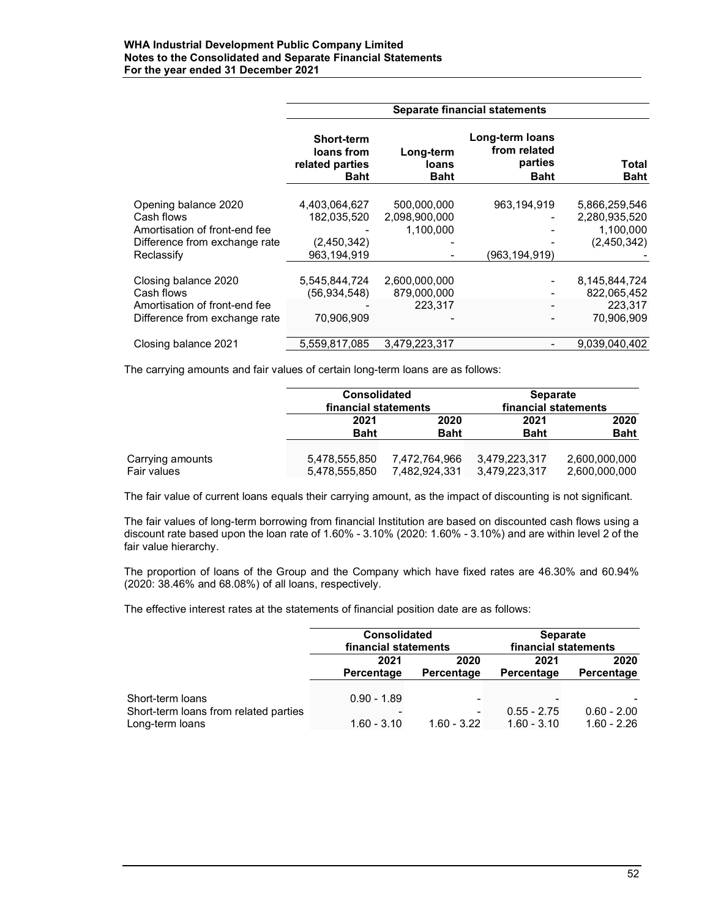|                                                                                                                    |                                                                   |                                           | <b>Separate financial statements</b>               |                                                            |
|--------------------------------------------------------------------------------------------------------------------|-------------------------------------------------------------------|-------------------------------------------|----------------------------------------------------|------------------------------------------------------------|
|                                                                                                                    | <b>Short-term</b><br>loans from<br>related parties<br><b>Baht</b> | Long-term<br>loans<br><b>Baht</b>         | Long-term loans<br>from related<br>parties<br>Baht | Total<br><b>Baht</b>                                       |
| Opening balance 2020<br>Cash flows<br>Amortisation of front-end fee<br>Difference from exchange rate<br>Reclassify | 4,403,064,627<br>182,035,520<br>(2,450,342)<br>963,194,919        | 500,000,000<br>2,098,900,000<br>1,100,000 | 963.194.919<br>(963,194,919)                       | 5,866,259,546<br>2,280,935,520<br>1,100,000<br>(2,450,342) |
| Closing balance 2020<br>Cash flows<br>Amortisation of front-end fee<br>Difference from exchange rate               | 5,545,844,724<br>(56,934,548)<br>70,906,909                       | 2,600,000,000<br>879,000,000<br>223.317   |                                                    | 8,145,844,724<br>822,065,452<br>223,317<br>70,906,909      |
| Closing balance 2021                                                                                               | 5,559,817,085                                                     | 3,479,223,317                             |                                                    | 9.039.040.402                                              |

The carrying amounts and fair values of certain long-term loans are as follows:

|                  | <b>Consolidated</b><br>financial statements |               |               | <b>Separate</b><br>financial statements |
|------------------|---------------------------------------------|---------------|---------------|-----------------------------------------|
|                  | 2021                                        | 2020          | 2021          | 2020                                    |
|                  | <b>Baht</b>                                 | <b>Baht</b>   | <b>Baht</b>   | <b>Baht</b>                             |
| Carrying amounts | 5,478,555,850                               | 7,472,764,966 | 3,479,223,317 | 2,600,000,000                           |
| Fair values      | 5,478,555,850                               | 7,482,924,331 | 3,479,223,317 | 2,600,000,000                           |

The fair value of current loans equals their carrying amount, as the impact of discounting is not significant.

The fair values of long-term borrowing from financial Institution are based on discounted cash flows using a discount rate based upon the loan rate of 1.60% - 3.10% (2020: 1.60% - 3.10%) and are within level 2 of the fair value hierarchy.

The proportion of loans of the Group and the Company which have fixed rates are 46.30% and 60.94% (2020: 38.46% and 68.08%) of all loans, respectively.

The effective interest rates at the statements of financial position date are as follows:

|                                                                              | <b>Consolidated</b><br>financial statements |                    | <b>Separate</b><br>financial statements                    |                                |
|------------------------------------------------------------------------------|---------------------------------------------|--------------------|------------------------------------------------------------|--------------------------------|
|                                                                              | 2021<br>Percentage                          | 2020<br>Percentage | 2021<br>Percentage                                         | 2020<br>Percentage             |
| Short-term loans<br>Short-term loans from related parties<br>Long-term loans | $0.90 - 1.89$<br>$1.60 - 3.10$              | $1.60 - 3.22$      | $\overline{\phantom{0}}$<br>$0.55 - 2.75$<br>$1.60 - 3.10$ | $0.60 - 2.00$<br>$1.60 - 2.26$ |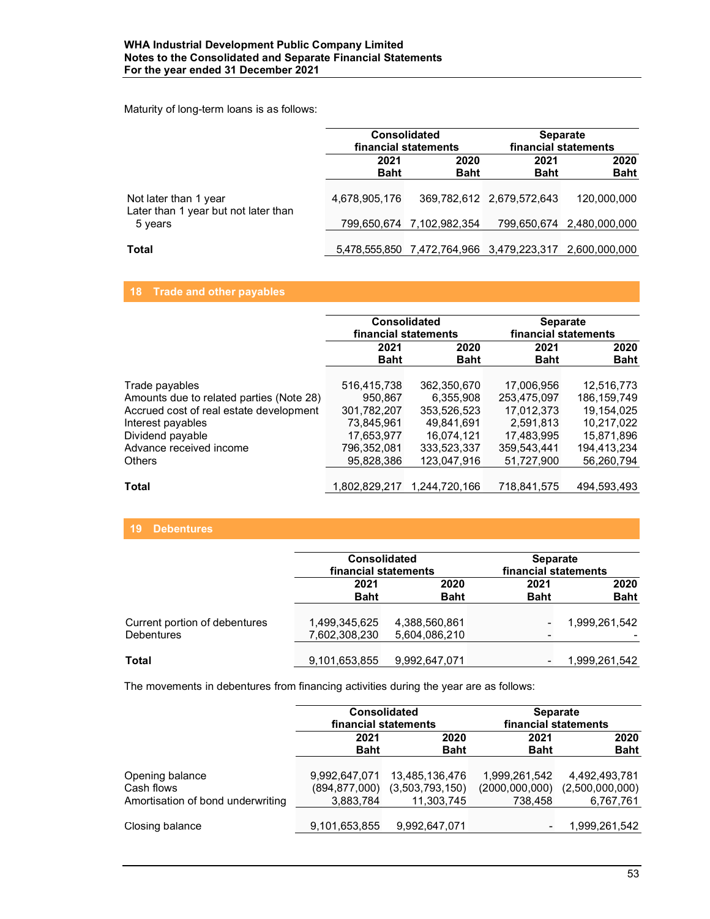Maturity of long-term loans is as follows:

|                                                               | <b>Consolidated</b> | financial statements      | financial statements                                    | <b>Separate</b>           |
|---------------------------------------------------------------|---------------------|---------------------------|---------------------------------------------------------|---------------------------|
|                                                               | 2021<br><b>Baht</b> | 2020<br><b>Baht</b>       | 2021<br><b>Baht</b>                                     | 2020<br><b>Baht</b>       |
| Not later than 1 year<br>Later than 1 year but not later than | 4,678,905,176       |                           | 369,782,612 2,679,572,643                               | 120,000,000               |
| 5 years                                                       |                     | 799,650,674 7,102,982,354 |                                                         | 799,650,674 2,480,000,000 |
| Total                                                         |                     |                           | 5,478,555,850 7,472,764,966 3,479,223,317 2,600,000,000 |                           |

# 18 Trade and other payables

|                                          |               | <b>Consolidated</b><br>financial statements |             | <b>Separate</b><br>financial statements |  |  |
|------------------------------------------|---------------|---------------------------------------------|-------------|-----------------------------------------|--|--|
|                                          | 2021          | 2020                                        | 2021        | 2020                                    |  |  |
|                                          | <b>Baht</b>   | <b>Baht</b>                                 | <b>Baht</b> | <b>Baht</b>                             |  |  |
| Trade payables                           | 516,415,738   | 362,350,670                                 | 17,006,956  | 12,516,773                              |  |  |
| Amounts due to related parties (Note 28) | 950.867       | 6.355.908                                   | 253.475.097 | 186.159.749                             |  |  |
| Accrued cost of real estate development  | 301,782,207   | 353.526.523                                 | 17,012,373  | 19,154,025                              |  |  |
| Interest payables                        | 73.845.961    | 49.841.691                                  | 2.591.813   | 10.217.022                              |  |  |
| Dividend payable                         | 17.653.977    | 16.074.121                                  | 17.483.995  | 15,871,896                              |  |  |
| Advance received income                  | 796.352.081   | 333.523.337                                 | 359.543.441 | 194.413.234                             |  |  |
| <b>Others</b>                            | 95,828,386    | 123.047.916                                 | 51,727,900  | 56,260,794                              |  |  |
| <b>Total</b>                             | 1.802.829.217 | 1,244,720,166                               | 718.841.575 | 494.593.493                             |  |  |

# 19 Debentures

|                               | <b>Consolidated</b><br>financial statements |               | <b>Separate</b><br>financial statements |               |
|-------------------------------|---------------------------------------------|---------------|-----------------------------------------|---------------|
|                               | 2021                                        | 2020          | 2021                                    | 2020          |
|                               | <b>Baht</b>                                 | <b>Baht</b>   | <b>Baht</b>                             | <b>Baht</b>   |
| Current portion of debentures | 1,499,345,625                               | 4,388,560,861 | ٠                                       | 1.999.261.542 |
| <b>Debentures</b>             | 7,602,308,230                               | 5,604,086,210 | $\overline{\phantom{0}}$                |               |
| Total                         | 9,101,653,855                               | 9,992,647,071 |                                         | 1,999,261,542 |

The movements in debentures from financing activities during the year are as follows:

|                                   | financial statements | <b>Consolidated</b> | <b>Separate</b><br>financial statements |                 |  |
|-----------------------------------|----------------------|---------------------|-----------------------------------------|-----------------|--|
|                                   | 2021                 | 2020                | 2021                                    | 2020            |  |
|                                   | <b>Baht</b>          | <b>Baht</b>         | <b>Baht</b>                             | <b>Baht</b>     |  |
| Opening balance                   | 9,992,647,071        | 13,485,136,476      | 1,999,261,542                           | 4,492,493,781   |  |
| Cash flows                        | (894,877,000)        | (3,503,793,150)     | (2000,000,000)                          | (2,500,000,000) |  |
| Amortisation of bond underwriting | 3,883,784            | 11,303,745          | 738.458                                 | 6,767,761       |  |
| Closing balance                   | 9,101,653,855        | 9,992,647,071       |                                         | 1,999,261,542   |  |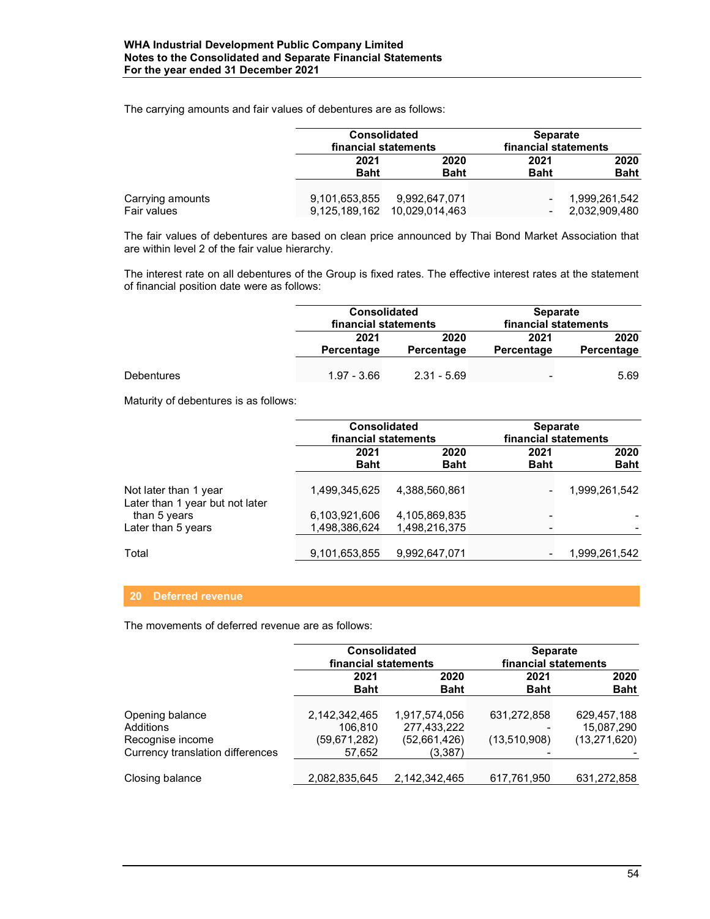The carrying amounts and fair values of debentures are as follows:

|                  | <b>Consolidated</b> |                      |                          | <b>Separate</b>      |  |
|------------------|---------------------|----------------------|--------------------------|----------------------|--|
|                  |                     | financial statements |                          | financial statements |  |
|                  | 2021                | 2020                 | 2021                     | 2020                 |  |
|                  | <b>Baht</b>         | <b>Baht</b>          | <b>Baht</b>              | <b>Baht</b>          |  |
| Carrying amounts | 9,101,653,855       | 9,992,647,071        | $\overline{\phantom{a}}$ | 1,999,261,542        |  |
| Fair values      | 9.125.189.162       | 10,029,014,463       | $\overline{\phantom{0}}$ | 2.032.909.480        |  |

The fair values of debentures are based on clean price announced by Thai Bond Market Association that are within level 2 of the fair value hierarchy.

The interest rate on all debentures of the Group is fixed rates. The effective interest rates at the statement of financial position date were as follows:

|             | <b>Consolidated</b><br>financial statements |            | <b>Separate</b><br>financial statements |  |
|-------------|---------------------------------------------|------------|-----------------------------------------|--|
|             |                                             |            |                                         |  |
| 2021        | 2020                                        | 2021       | 2020                                    |  |
| Percentage  | Percentage                                  | Percentage | Percentage                              |  |
|             |                                             |            |                                         |  |
| 1.97 - 3.66 | $2.31 - 5.69$                               | ۰          | 5.69                                    |  |
|             |                                             |            |                                         |  |

Maturity of debentures is as follows:

|                                                          | <b>Consolidated</b><br>financial statements |                                |                     | <b>Separate</b><br>financial statements |  |
|----------------------------------------------------------|---------------------------------------------|--------------------------------|---------------------|-----------------------------------------|--|
|                                                          | 2021<br><b>Baht</b>                         | 2020<br><b>Baht</b>            | 2021<br><b>Baht</b> | 2020<br><b>Baht</b>                     |  |
| Not later than 1 year<br>Later than 1 year but not later | 1.499.345.625                               | 4.388.560.861                  | -                   | 1,999,261,542                           |  |
| than 5 years<br>Later than 5 years                       | 6,103,921,606<br>1,498,386,624              | 4,105,869,835<br>1,498,216,375 |                     |                                         |  |
| Total                                                    | 9,101,653,855                               | 9,992,647,071                  | ٠                   | 1,999,261,542                           |  |

#### **Deferred revenue**  $20<sup>°</sup>$

The movements of deferred revenue are as follows:

|                                                                                      | <b>Consolidated</b><br>financial statements        |                                                         | <b>Separate</b><br>financial statements |                                             |  |
|--------------------------------------------------------------------------------------|----------------------------------------------------|---------------------------------------------------------|-----------------------------------------|---------------------------------------------|--|
|                                                                                      | 2021<br><b>Baht</b>                                | 2020<br><b>Baht</b>                                     | 2021<br><b>Baht</b>                     | 2020<br><b>Baht</b>                         |  |
| Opening balance<br>Additions<br>Recognise income<br>Currency translation differences | 2,142,342,465<br>106.810<br>(59,671,282)<br>57,652 | 1,917,574,056<br>277,433,222<br>(52,661,426)<br>(3,387) | 631,272,858<br>(13,510,908)             | 629,457,188<br>15,087,290<br>(13, 271, 620) |  |
| Closing balance                                                                      | 2,082,835,645                                      | 2,142,342,465                                           | 617,761,950                             | 631,272,858                                 |  |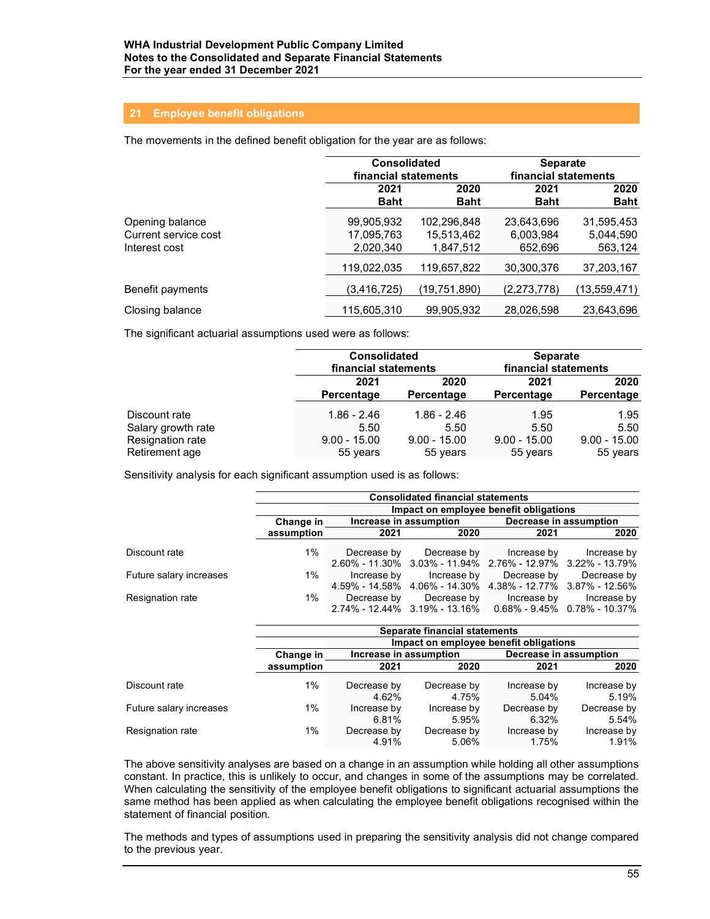## 21 Employee benefit obligations

The movements in the defined benefit obligation for the year are as follows:

|                                                          | <b>Consolidated</b><br>financial statements |                                        | <b>Separate</b><br>financial statements |                                    |  |
|----------------------------------------------------------|---------------------------------------------|----------------------------------------|-----------------------------------------|------------------------------------|--|
|                                                          | 2021<br><b>Baht</b>                         | 2020<br><b>Baht</b>                    | 2021<br>Baht                            | 2020<br><b>Baht</b>                |  |
| Opening balance<br>Current service cost<br>Interest cost | 99,905,932<br>17,095,763<br>2,020,340       | 102.296.848<br>15,513,462<br>1,847,512 | 23,643,696<br>6,003,984<br>652,696      | 31,595,453<br>5,044,590<br>563,124 |  |
|                                                          | 119,022,035                                 | 119,657,822                            | 30,300,376                              | 37,203,167                         |  |
| Benefit payments                                         | (3,416,725)                                 | (19, 751, 890)                         | (2,273,778)                             | (13,559,471)                       |  |
| Closing balance                                          | 115,605,310                                 | 99.905.932                             | 28.026.598                              | 23,643,696                         |  |

The significant actuarial assumptions used were as follows:

|                    |                | <b>Consolidated</b><br>financial statements |                | <b>Separate</b><br>financial statements |  |
|--------------------|----------------|---------------------------------------------|----------------|-----------------------------------------|--|
|                    | 2021           | 2020                                        | 2021           | 2020                                    |  |
|                    | Percentage     | Percentage                                  | Percentage     | Percentage                              |  |
| Discount rate      | $1.86 - 2.46$  | $1.86 - 2.46$                               | 1.95           | 1.95                                    |  |
| Salary growth rate | 5.50           | 5.50                                        | 5.50           | 5.50                                    |  |
| Resignation rate   | $9.00 - 15.00$ | $9.00 - 15.00$                              | $9.00 - 15.00$ | $9.00 - 15.00$                          |  |
| Retirement age     | 55 years       | 55 years                                    | 55 years       | 55 years                                |  |

Sensitivity analysis for each significant assumption used is as follows:

|                         |            | <b>Consolidated financial statements</b> |                        |                                                                               |                        |  |  |
|-------------------------|------------|------------------------------------------|------------------------|-------------------------------------------------------------------------------|------------------------|--|--|
|                         |            | Impact on employee benefit obligations   |                        |                                                                               |                        |  |  |
|                         | Change in  |                                          | Increase in assumption |                                                                               | Decrease in assumption |  |  |
|                         | assumption | 2021                                     | 2020                   | 2021                                                                          | 2020                   |  |  |
| Discount rate           | $1\%$      | Decrease by                              | Decrease by            | Increase by                                                                   | Increase by            |  |  |
| Future salary increases | 1%         | Increase by                              | Increase by            | $2.60\%$ - 11.30% 3.03% - 11.94% 2.76% - 12.97% 3.22% - 13.79%<br>Decrease by | Decrease by            |  |  |
| Resignation rate        | 1%         | Decrease by                              | Decrease by            | 4.59% - 14.58% 4.06% - 14.30% 4.38% - 12.77% 3.87% - 12.56%<br>Increase by    | Increase by            |  |  |
|                         |            |                                          |                        | $2.74\%$ - 12.44% 3.19% - 13.16% 0.68% - 9.45% 0.78% - 10.37%                 |                        |  |  |

|                         |            | <b>Separate financial statements</b> |                                        |                        |                         |  |  |  |
|-------------------------|------------|--------------------------------------|----------------------------------------|------------------------|-------------------------|--|--|--|
|                         |            |                                      | Impact on employee benefit obligations |                        |                         |  |  |  |
|                         | Change in  | Increase in assumption               |                                        | Decrease in assumption |                         |  |  |  |
|                         | assumption | 2021                                 | 2020                                   | 2021                   | 2020                    |  |  |  |
| Discount rate           | $1\%$      | Decrease by<br>4.62%                 | Decrease by<br>4.75%                   | Increase by<br>5.04%   | Increase by<br>5.19%    |  |  |  |
| Future salary increases | $1\%$      | Increase by<br>6.81%                 | Increase by<br>5.95%                   | Decrease by<br>6.32%   | Decrease by<br>5.54%    |  |  |  |
| Resignation rate        | $1\%$      | Decrease by<br>4.91%                 | Decrease by<br>5.06%                   | Increase by<br>1.75%   | Increase by<br>$1.91\%$ |  |  |  |

The above sensitivity analyses are based on a change in an assumption while holding all other assumptions constant. In practice, this is unlikely to occur, and changes in some of the assumptions may be correlated. When calculating the sensitivity of the employee benefit obligations to significant actuarial assumptions the same method has been applied as when calculating the employee benefit obligations recognised within the statement of financial position.

The methods and types of assumptions used in preparing the sensitivity analysis did not change compared to the previous year.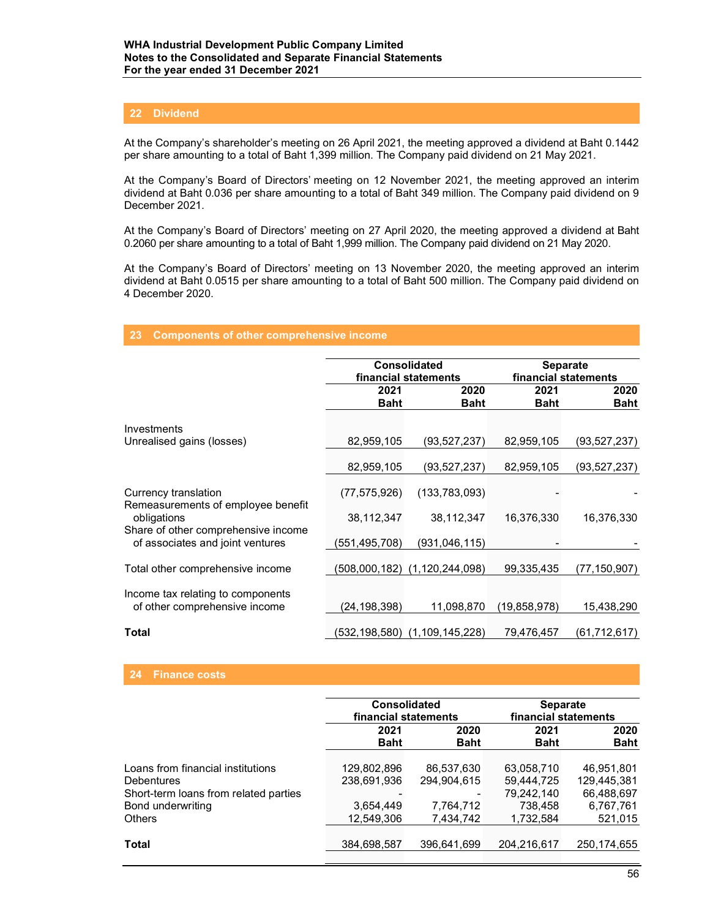#### 22 Dividend

At the Company's shareholder's meeting on 26 April 2021, the meeting approved a dividend at Baht 0.1442 per share amounting to a total of Baht 1,399 million. The Company paid dividend on 21 May 2021.

At the Company's Board of Directors' meeting on 12 November 2021, the meeting approved an interim dividend at Baht 0.036 per share amounting to a total of Baht 349 million. The Company paid dividend on 9 December 2021.

At the Company's Board of Directors' meeting on 27 April 2020, the meeting approved a dividend at Baht 0.2060 per share amounting to a total of Baht 1,999 million. The Company paid dividend on 21 May 2020.

At the Company's Board of Directors' meeting on 13 November 2020, the meeting approved an interim dividend at Baht 0.0515 per share amounting to a total of Baht 500 million. The Company paid dividend on 4 December 2020.

### 23 Components of other comprehensive income

|                                                                    |                     | <b>Consolidated</b><br>financial statements | <b>Separate</b><br>financial statements |                     |  |
|--------------------------------------------------------------------|---------------------|---------------------------------------------|-----------------------------------------|---------------------|--|
|                                                                    | 2021<br><b>Baht</b> | 2020<br><b>Baht</b>                         | 2021<br><b>Baht</b>                     | 2020<br><b>Baht</b> |  |
| Investments<br>Unrealised gains (losses)                           | 82,959,105          | (93,527,237)                                | 82,959,105                              | (93, 527, 237)      |  |
|                                                                    | 82,959,105          | (93,527,237)                                | 82,959,105                              | (93, 527, 237)      |  |
| Currency translation<br>Remeasurements of employee benefit         | (77,575,926)        | (133, 783, 093)                             |                                         |                     |  |
| obligations<br>Share of other comprehensive income                 | 38,112,347          | 38,112,347                                  | 16,376,330                              | 16,376,330          |  |
| of associates and joint ventures                                   | (551,495,708)       | (931,046,115)                               |                                         |                     |  |
| Total other comprehensive income                                   | (508,000,182)       | (1,120,244,098)                             | 99,335,435                              | (77, 150, 907)      |  |
| Income tax relating to components<br>of other comprehensive income | (24, 198, 398)      | 11,098,870                                  | (19, 858, 978)                          | 15,438,290          |  |
| Total                                                              |                     | (532,198,580) (1,109,145,228)               | 79,476,457                              | (61,712,617)        |  |

|                                                            | <b>Consolidated</b><br>financial statements |             | <b>Separate</b><br>financial statements |                         |  |
|------------------------------------------------------------|---------------------------------------------|-------------|-----------------------------------------|-------------------------|--|
|                                                            | 2021                                        | 2020        | 2021                                    | 2020                    |  |
|                                                            | <b>Baht</b>                                 | <b>Baht</b> | <b>Baht</b>                             | <b>Baht</b>             |  |
| Loans from financial institutions                          | 129,802,896                                 | 86,537,630  | 63,058,710                              | 46.951.801              |  |
| Debentures                                                 | 238,691,936                                 | 294.904.615 | 59,444,725                              | 129,445,381             |  |
| Short-term loans from related parties<br>Bond underwriting | 3,654,449                                   | 7,764,712   | 79.242.140<br>738,458                   | 66,488,697<br>6,767,761 |  |
| Others                                                     | 12.549.306                                  | 7,434,742   | 1,732,584                               | 521,015                 |  |
| <b>Total</b>                                               | 384,698,587                                 | 396.641.699 | 204,216,617                             | 250,174,655             |  |
|                                                            |                                             |             |                                         |                         |  |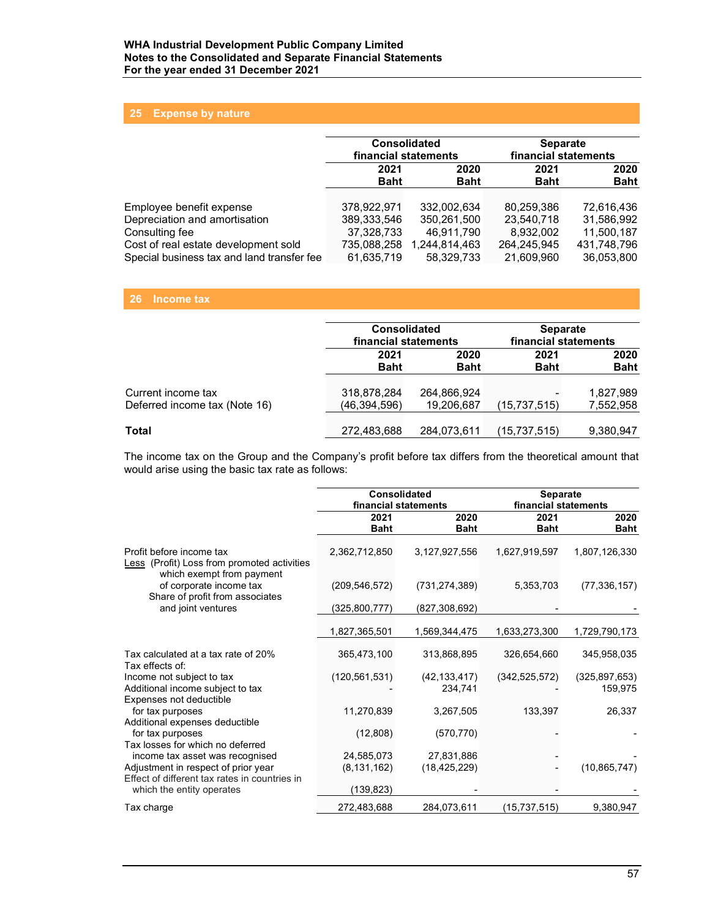# 25 Expense by nature

|                                            | <b>Consolidated</b><br>financial statements |               | <b>Separate</b><br>financial statements |             |
|--------------------------------------------|---------------------------------------------|---------------|-----------------------------------------|-------------|
|                                            | 2020<br>2021                                |               | 2021                                    | 2020        |
|                                            | <b>Baht</b>                                 | <b>Baht</b>   | <b>Baht</b>                             | <b>Baht</b> |
| Employee benefit expense                   | 378,922,971                                 | 332.002.634   | 80,259,386                              | 72,616,436  |
| Depreciation and amortisation              | 389.333.546                                 | 350.261.500   | 23.540.718                              | 31.586.992  |
| Consulting fee                             | 37,328,733                                  | 46.911.790    | 8.932.002                               | 11.500.187  |
| Cost of real estate development sold       | 735,088,258                                 | 1.244.814.463 | 264.245.945                             | 431,748,796 |
| Special business tax and land transfer fee | 61,635,719                                  | 58.329.733    | 21,609,960                              | 36,053,800  |

# 26 Income tax

|                               | <b>Consolidated</b><br>financial statements |             | <b>Separate</b><br>financial statements |             |
|-------------------------------|---------------------------------------------|-------------|-----------------------------------------|-------------|
|                               | 2021                                        | 2020        | 2021                                    | 2020        |
|                               | <b>Baht</b>                                 | <b>Baht</b> | <b>Baht</b>                             | <b>Baht</b> |
| Current income tax            | 318,878,284                                 | 264,866,924 | $\overline{\phantom{0}}$                | 1,827,989   |
| Deferred income tax (Note 16) | (46, 394, 596)                              | 19,206,687  | (15, 737, 515)                          | 7,552,958   |
| Total                         | 272,483,688                                 | 284,073,611 | (15, 737, 515)                          | 9.380.947   |

The income tax on the Group and the Company's profit before tax differs from the theoretical amount that would arise using the basic tax rate as follows:

|                                                                                                                         |                             | <b>Consolidated</b><br>financial statements | <b>Separate</b><br>financial statements |                            |
|-------------------------------------------------------------------------------------------------------------------------|-----------------------------|---------------------------------------------|-----------------------------------------|----------------------------|
|                                                                                                                         | 2021<br><b>Baht</b>         | 2020<br><b>Baht</b>                         | 2021<br><b>Baht</b>                     | 2020<br><b>Baht</b>        |
| Profit before income tax<br>Less (Profit) Loss from promoted activities<br>which exempt from payment                    | 2,362,712,850               | 3,127,927,556                               | 1,627,919,597                           | 1,807,126,330              |
| of corporate income tax<br>Share of profit from associates                                                              | (209, 546, 572)             | (731, 274, 389)                             | 5,353,703                               | (77, 336, 157)             |
| and joint ventures                                                                                                      | (325, 800, 777)             | (827,308,692)                               |                                         |                            |
|                                                                                                                         | 1,827,365,501               | 1,569,344,475                               | 1,633,273,300                           | 1,729,790,173              |
| Tax calculated at a tax rate of 20%<br>Tax effects of:                                                                  | 365,473,100                 | 313,868,895                                 | 326,654,660                             | 345,958,035                |
| Income not subject to tax<br>Additional income subject to tax                                                           | (120, 561, 531)             | (42, 133, 417)<br>234,741                   | (342, 525, 572)                         | (325, 897, 653)<br>159,975 |
| Expenses not deductible<br>for tax purposes<br>Additional expenses deductible                                           | 11,270,839                  | 3,267,505                                   | 133,397                                 | 26,337                     |
| for tax purposes<br>Tax losses for which no deferred                                                                    | (12,808)                    | (570, 770)                                  |                                         |                            |
| income tax asset was recognised<br>Adjustment in respect of prior year<br>Effect of different tax rates in countries in | 24,585,073<br>(8, 131, 162) | 27,831,886<br>(18, 425, 229)                |                                         | (10, 865, 747)             |
| which the entity operates                                                                                               | (139, 823)                  |                                             |                                         |                            |
| Tax charge                                                                                                              | 272,483,688                 | 284,073,611                                 | (15, 737, 515)                          | 9,380,947                  |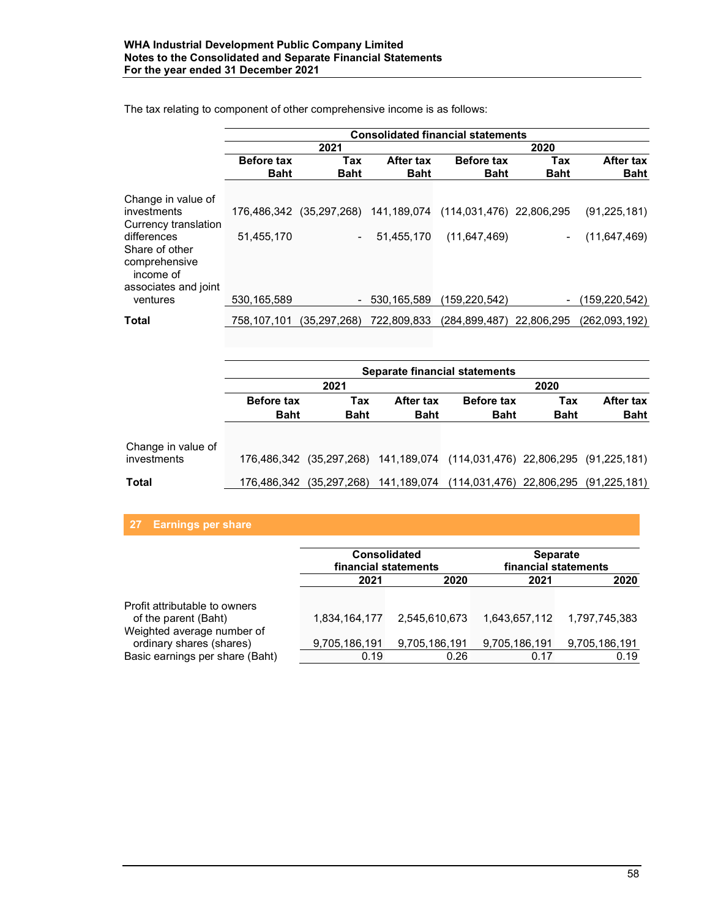|                                                                                     | <b>Consolidated financial statements</b> |                          |             |                                            |             |                 |
|-------------------------------------------------------------------------------------|------------------------------------------|--------------------------|-------------|--------------------------------------------|-------------|-----------------|
|                                                                                     |                                          | 2021                     |             | 2020                                       |             |                 |
|                                                                                     | <b>Before tax</b>                        | Tax                      | After tax   | <b>Before tax</b>                          | Tax         | After tax       |
|                                                                                     | <b>Baht</b>                              | <b>Baht</b>              | <b>Baht</b> | <b>Baht</b>                                | <b>Baht</b> | <b>Baht</b>     |
| Change in value of<br>investments<br>Currency translation                           |                                          | 176,486,342 (35,297,268) |             | 141, 189, 074 (114, 031, 476) 22, 806, 295 |             | (91, 225, 181)  |
| differences<br>Share of other<br>comprehensive<br>income of<br>associates and joint | 51,455,170                               |                          | 51,455,170  | (11, 647, 469)                             |             | (11, 647, 469)  |
| ventures                                                                            | 530, 165, 589                            |                          | 530.165.589 | (159.220.542)                              |             | (159, 220, 542) |
| Total                                                                               | 758.107.101                              | (35, 297, 268)           | 722.809.833 | (284.899.487)                              | 22.806.295  | (262,093,192)   |

The tax relating to component of other comprehensive income is as follows:

|                                   | <b>Separate financial statements</b> |                |             |                                                                            |             |                |  |
|-----------------------------------|--------------------------------------|----------------|-------------|----------------------------------------------------------------------------|-------------|----------------|--|
|                                   | 2021                                 |                |             | 2020                                                                       |             |                |  |
|                                   | <b>Before tax</b>                    | Tax            | After tax   | <b>Before tax</b>                                                          | Tax         | After tax      |  |
|                                   | <b>Baht</b>                          | <b>Baht</b>    | <b>Baht</b> | <b>Baht</b>                                                                | <b>Baht</b> | <b>Baht</b>    |  |
|                                   |                                      |                |             |                                                                            |             |                |  |
| Change in value of<br>investments |                                      |                |             | 176,486,342 (35,297,268) 141,189,074 (114,031,476) 22,806,295 (91,225,181) |             |                |  |
|                                   |                                      |                |             |                                                                            |             |                |  |
| Total                             | 176.486.342                          | (35, 297, 268) | 141,189,074 | (114,031,476) 22,806,295                                                   |             | (91, 225, 181) |  |

# 27 Earnings per share

|                                                        | <b>Consolidated</b><br>financial statements |               | <b>Separate</b><br>financial statements |               |
|--------------------------------------------------------|---------------------------------------------|---------------|-----------------------------------------|---------------|
|                                                        | 2021                                        | 2020          | 2021                                    | 2020          |
| Profit attributable to owners<br>of the parent (Baht)  | 1,834,164,177                               | 2.545.610.673 | 1,643,657,112                           | 1.797.745.383 |
| Weighted average number of<br>ordinary shares (shares) | 9,705,186,191                               | 9,705,186,191 | 9,705,186,191                           | 9,705,186,191 |
| Basic earnings per share (Baht)                        | 0.19                                        | 0.26          | 0.17                                    | 0.19          |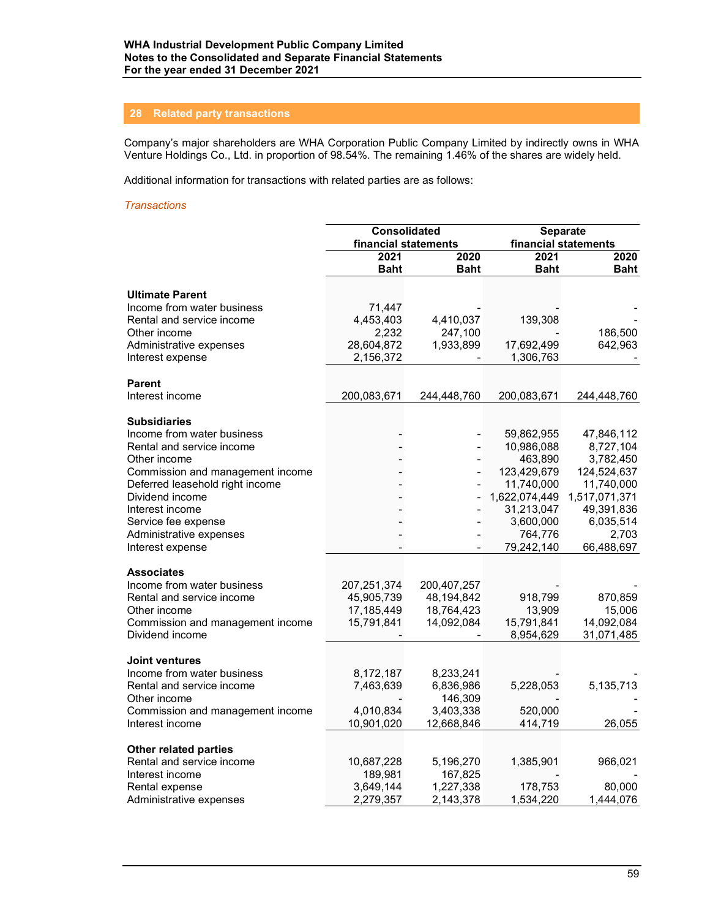### **28 Related party transactions**

Company's major shareholders are WHA Corporation Public Company Limited by indirectly owns in WHA Venture Holdings Co., Ltd. in proportion of 98.54%. The remaining 1.46% of the shares are widely held.

Additional information for transactions with related parties are as follows:

#### **Transactions**

|                                  | <b>Consolidated</b>  |             | <b>Separate</b>      |               |
|----------------------------------|----------------------|-------------|----------------------|---------------|
|                                  | financial statements |             | financial statements |               |
|                                  | 2021                 | 2020        | 2021                 | 2020          |
|                                  | Baht                 | <b>Baht</b> | <b>Baht</b>          | <b>Baht</b>   |
|                                  |                      |             |                      |               |
| <b>Ultimate Parent</b>           |                      |             |                      |               |
| Income from water business       | 71,447               |             |                      |               |
| Rental and service income        | 4,453,403            | 4,410,037   | 139,308              |               |
| Other income                     | 2,232                | 247,100     |                      | 186,500       |
| Administrative expenses          | 28,604,872           | 1,933,899   | 17,692,499           | 642,963       |
| Interest expense                 | 2,156,372            |             | 1,306,763            |               |
| <b>Parent</b>                    |                      |             |                      |               |
| Interest income                  | 200,083,671          | 244,448,760 | 200,083,671          | 244,448,760   |
|                                  |                      |             |                      |               |
| <b>Subsidiaries</b>              |                      |             |                      |               |
| Income from water business       |                      |             | 59,862,955           | 47,846,112    |
| Rental and service income        |                      |             | 10,986,088           | 8,727,104     |
| Other income                     |                      |             | 463,890              | 3,782,450     |
| Commission and management income |                      |             | 123,429,679          | 124,524,637   |
| Deferred leasehold right income  |                      |             | 11,740,000           | 11,740,000    |
| Dividend income                  |                      |             | 1,622,074,449        | 1,517,071,371 |
| Interest income                  |                      |             | 31,213,047           | 49,391,836    |
| Service fee expense              |                      |             | 3,600,000            | 6,035,514     |
| Administrative expenses          |                      |             | 764,776              | 2,703         |
| Interest expense                 |                      |             | 79,242,140           | 66,488,697    |
|                                  |                      |             |                      |               |
| <b>Associates</b>                |                      |             |                      |               |
| Income from water business       | 207, 251, 374        | 200,407,257 |                      |               |
| Rental and service income        | 45,905,739           | 48,194,842  | 918,799              | 870,859       |
| Other income                     | 17,185,449           | 18,764,423  | 13,909               | 15,006        |
| Commission and management income | 15,791,841           | 14,092,084  | 15,791,841           | 14,092,084    |
| Dividend income                  |                      |             | 8,954,629            | 31,071,485    |
| Joint ventures                   |                      |             |                      |               |
| Income from water business       | 8,172,187            | 8,233,241   |                      |               |
| Rental and service income        | 7,463,639            | 6,836,986   | 5,228,053            | 5,135,713     |
| Other income                     |                      | 146,309     |                      |               |
| Commission and management income | 4,010,834            | 3,403,338   | 520,000              |               |
| Interest income                  | 10,901,020           | 12,668,846  | 414,719              | 26,055        |
|                                  |                      |             |                      |               |
| <b>Other related parties</b>     |                      |             |                      |               |
| Rental and service income        | 10,687,228           | 5,196,270   | 1,385,901            | 966,021       |
| Interest income                  | 189,981              | 167,825     |                      |               |
| Rental expense                   | 3,649,144            | 1,227,338   | 178,753              | 80,000        |
| Administrative expenses          | 2,279,357            | 2,143,378   | 1,534,220            | 1,444,076     |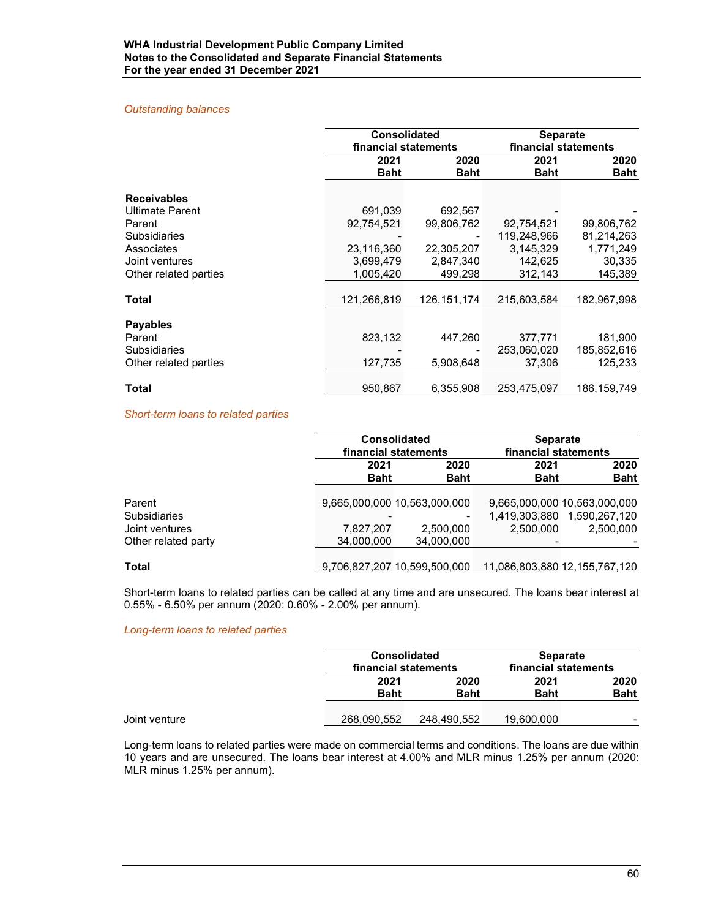## **Outstanding balances**

|                        | <b>Consolidated</b>  |               | <b>Separate</b>      |               |  |
|------------------------|----------------------|---------------|----------------------|---------------|--|
|                        | financial statements |               | financial statements |               |  |
|                        | 2021                 | 2020          | 2021                 | 2020          |  |
|                        | <b>Baht</b>          | <b>Baht</b>   | <b>Baht</b>          | <b>Baht</b>   |  |
|                        |                      |               |                      |               |  |
| <b>Receivables</b>     |                      |               |                      |               |  |
| <b>Ultimate Parent</b> | 691,039              | 692,567       |                      |               |  |
| Parent                 | 92.754.521           | 99,806,762    | 92,754,521           | 99,806,762    |  |
| <b>Subsidiaries</b>    |                      |               | 119,248,966          | 81,214,263    |  |
| Associates             | 23,116,360           | 22,305,207    | 3,145,329            | 1,771,249     |  |
| Joint ventures         | 3,699,479            | 2,847,340     | 142,625              | 30,335        |  |
| Other related parties  | 1,005,420            | 499,298       | 312,143              | 145,389       |  |
| Total                  | 121,266,819          | 126, 151, 174 | 215,603,584          | 182,967,998   |  |
|                        |                      |               |                      |               |  |
| <b>Payables</b>        |                      |               |                      |               |  |
| Parent                 | 823,132              | 447,260       | 377,771              | 181,900       |  |
| <b>Subsidiaries</b>    |                      |               | 253,060,020          | 185,852,616   |  |
| Other related parties  | 127,735              | 5,908,648     | 37,306               | 125,233       |  |
|                        |                      |               |                      |               |  |
| Total                  | 950,867              | 6,355,908     | 253,475,097          | 186, 159, 749 |  |

#### Short-term loans to related parties

|                                                                        |                         | <b>Consolidated</b><br>financial statements             | <b>Separate</b><br>financial statements |                                                                          |
|------------------------------------------------------------------------|-------------------------|---------------------------------------------------------|-----------------------------------------|--------------------------------------------------------------------------|
|                                                                        | 2021<br><b>Baht</b>     | 2020<br><b>Baht</b>                                     | 2021<br><b>Baht</b>                     | 2020<br><b>Baht</b>                                                      |
| Parent<br><b>Subsidiaries</b><br>Joint ventures<br>Other related party | 7,827,207<br>34,000,000 | 9,665,000,000 10,563,000,000<br>2,500,000<br>34,000,000 | 2.500.000                               | 9,665,000,000 10,563,000,000<br>1,419,303,880 1,590,267,120<br>2,500,000 |
| <b>Total</b>                                                           |                         | 9,706,827,207 10,599,500,000                            | 11,086,803,880 12,155,767,120           |                                                                          |

Short-term loans to related parties can be called at any time and are unsecured. The loans bear interest at 0.55% - 6.50% per annum (2020: 0.60% - 2.00% per annum).

## Long-term loans to related parties

|               | <b>Consolidated</b><br>financial statements |                     | <b>Separate</b><br>financial statements |                     |
|---------------|---------------------------------------------|---------------------|-----------------------------------------|---------------------|
|               | 2021<br><b>Baht</b>                         | 2020<br><b>Baht</b> | 2021<br><b>Baht</b>                     | 2020<br><b>Baht</b> |
| Joint venture | 268,090,552                                 | 248.490.552         | 19,600,000                              |                     |

Long-term loans to related parties were made on commercial terms and conditions. The loans are due within 10 years and are unsecured. The loans bear interest at 4.00% and MLR minus 1.25% per annum (2020: MLR minus 1.25% per annum).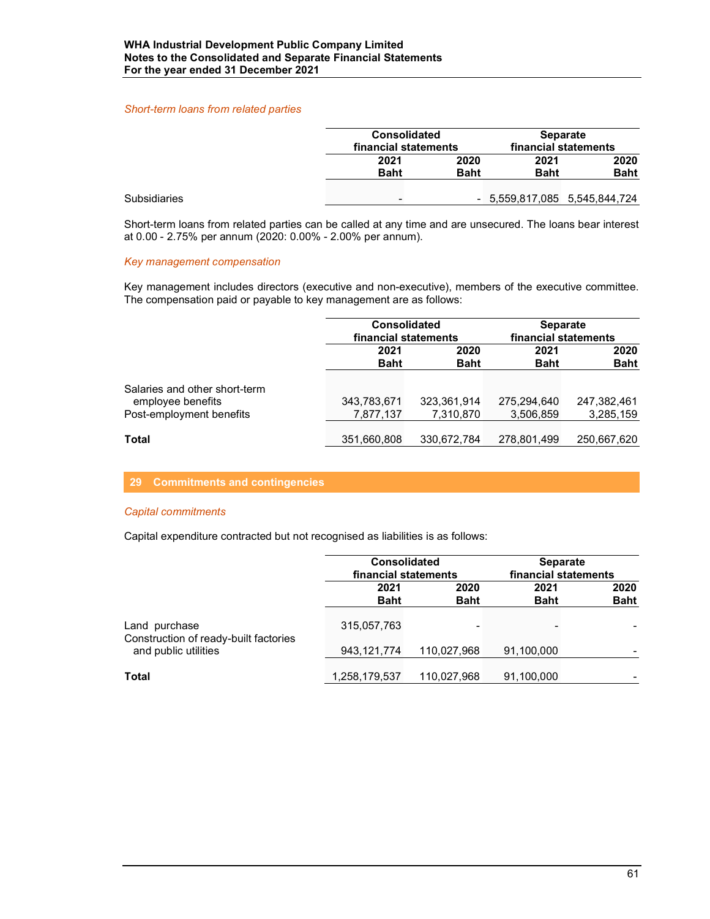### Short-term loans from related parties

|                     |             | <b>Consolidated</b><br>financial statements |                               | <b>Separate</b><br>financial statements |  |
|---------------------|-------------|---------------------------------------------|-------------------------------|-----------------------------------------|--|
|                     |             |                                             |                               |                                         |  |
|                     | 2021        | 2020                                        | 2021                          | 2020                                    |  |
|                     | <b>Baht</b> | <b>Baht</b>                                 | <b>Baht</b>                   | <b>Baht</b>                             |  |
|                     |             |                                             |                               |                                         |  |
| <b>Subsidiaries</b> | -           |                                             | - 5,559,817,085 5,545,844,724 |                                         |  |

Short-term loans from related parties can be called at any time and are unsecured. The loans bear interest at 0.00 - 2.75% per annum (2020: 0.00% - 2.00% per annum).

# Key management compensation

Key management includes directors (executive and non-executive), members of the executive committee. The compensation paid or payable to key management are as follows:

|                               | <b>Consolidated</b>  |             | <b>Separate</b>      |             |
|-------------------------------|----------------------|-------------|----------------------|-------------|
|                               | financial statements |             | financial statements |             |
|                               | 2021                 | 2020        | 2021                 | 2020        |
|                               | <b>Baht</b>          | <b>Baht</b> | <b>Baht</b>          | <b>Baht</b> |
| Salaries and other short-term |                      |             |                      |             |
| employee benefits             | 343,783,671          | 323,361,914 | 275,294,640          | 247,382,461 |
| Post-employment benefits      | 7,877,137            | 7,310,870   | 3,506,859            | 3,285,159   |
|                               |                      |             |                      |             |
| <b>Total</b>                  | 351,660,808          | 330,672,784 | 278,801,499          | 250,667,620 |

# 29 Commitments and contingencies

#### **Capital commitments**

Capital expenditure contracted but not recognised as liabilities is as follows:

|                                                        | <b>Consolidated</b><br>financial statements |                     | <b>Separate</b><br>financial statements |                     |
|--------------------------------------------------------|---------------------------------------------|---------------------|-----------------------------------------|---------------------|
|                                                        | 2021<br><b>Baht</b>                         | 2020<br><b>Baht</b> | 2021<br><b>Baht</b>                     | 2020<br><b>Baht</b> |
| Land purchase<br>Construction of ready-built factories | 315,057,763                                 |                     |                                         |                     |
| and public utilities                                   | 943, 121, 774                               | 110,027,968         | 91,100,000                              |                     |
| <b>Total</b>                                           | 1,258,179,537                               | 110.027.968         | 91,100,000                              |                     |